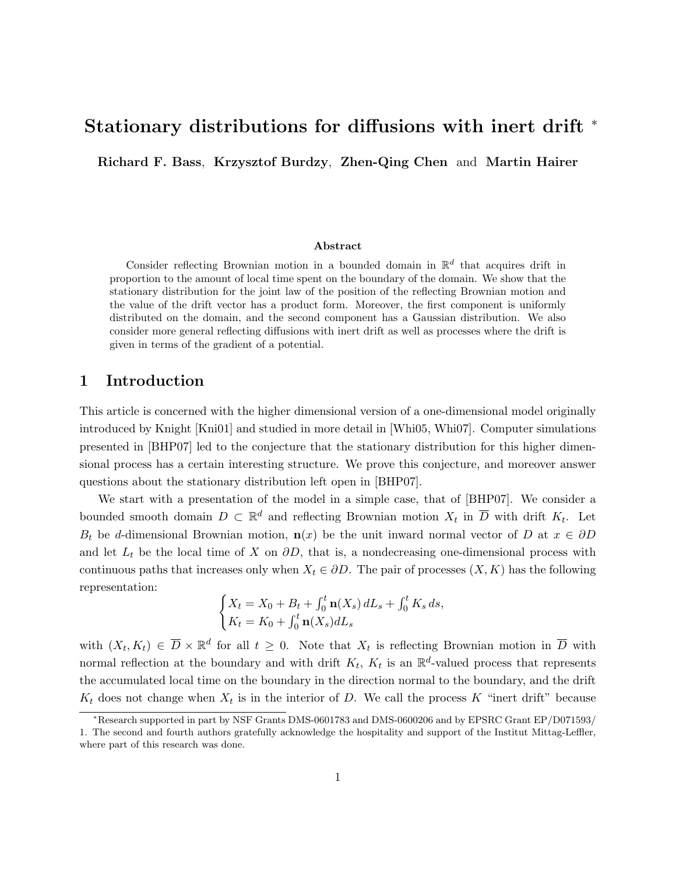# Stationary distributions for diffusions with inert drift <sup>∗</sup>

Richard F. Bass, Krzysztof Burdzy, Zhen-Qing Chen and Martin Hairer

#### Abstract

Consider reflecting Brownian motion in a bounded domain in  $\mathbb{R}^d$  that acquires drift in proportion to the amount of local time spent on the boundary of the domain. We show that the stationary distribution for the joint law of the position of the reflecting Brownian motion and the value of the drift vector has a product form. Moreover, the first component is uniformly distributed on the domain, and the second component has a Gaussian distribution. We also consider more general reflecting diffusions with inert drift as well as processes where the drift is given in terms of the gradient of a potential.

# 1 Introduction

This article is concerned with the higher dimensional version of a one-dimensional model originally introduced by Knight [Kni01] and studied in more detail in [Whi05, Whi07]. Computer simulations presented in [BHP07] led to the conjecture that the stationary distribution for this higher dimensional process has a certain interesting structure. We prove this conjecture, and moreover answer questions about the stationary distribution left open in [BHP07].

We start with a presentation of the model in a simple case, that of [BHP07]. We consider a bounded smooth domain  $D \subset \mathbb{R}^d$  and reflecting Brownian motion  $X_t$  in  $\overline{D}$  with drift  $K_t$ . Let  $B_t$  be d-dimensional Brownian motion,  $\mathbf{n}(x)$  be the unit inward normal vector of D at  $x \in \partial D$ and let  $L_t$  be the local time of X on  $\partial D$ , that is, a nondecreasing one-dimensional process with continuous paths that increases only when  $X_t \in \partial D$ . The pair of processes  $(X, K)$  has the following representation:

$$
\begin{cases} X_t = X_0 + B_t + \int_0^t \mathbf{n}(X_s) dL_s + \int_0^t K_s ds, \\ K_t = K_0 + \int_0^t \mathbf{n}(X_s) dL_s \end{cases}
$$

with  $(X_t, K_t) \in \overline{D} \times \mathbb{R}^d$  for all  $t \geq 0$ . Note that  $X_t$  is reflecting Brownian motion in  $\overline{D}$  with normal reflection at the boundary and with drift  $K_t$ ,  $K_t$  is an  $\mathbb{R}^d$ -valued process that represents the accumulated local time on the boundary in the direction normal to the boundary, and the drift  $K_t$  does not change when  $X_t$  is in the interior of D. We call the process K "inert drift" because

<sup>∗</sup>Research supported in part by NSF Grants DMS-0601783 and DMS-0600206 and by EPSRC Grant EP/D071593/ 1. The second and fourth authors gratefully acknowledge the hospitality and support of the Institut Mittag-Leffler, where part of this research was done.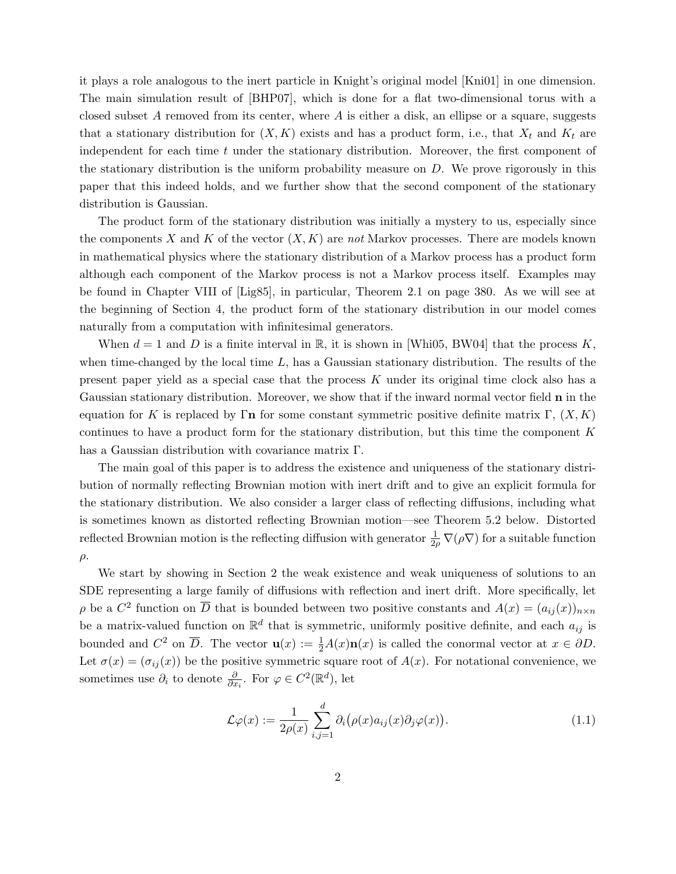it plays a role analogous to the inert particle in Knight's original model [Kni01] in one dimension. The main simulation result of [BHP07], which is done for a flat two-dimensional torus with a closed subset A removed from its center, where A is either a disk, an ellipse or a square, suggests that a stationary distribution for  $(X, K)$  exists and has a product form, i.e., that  $X_t$  and  $K_t$  are independent for each time  $t$  under the stationary distribution. Moreover, the first component of the stationary distribution is the uniform probability measure on  $D$ . We prove rigorously in this paper that this indeed holds, and we further show that the second component of the stationary distribution is Gaussian.

The product form of the stationary distribution was initially a mystery to us, especially since the components X and K of the vector  $(X, K)$  are not Markov processes. There are models known in mathematical physics where the stationary distribution of a Markov process has a product form although each component of the Markov process is not a Markov process itself. Examples may be found in Chapter VIII of [Lig85], in particular, Theorem 2.1 on page 380. As we will see at the beginning of Section 4, the product form of the stationary distribution in our model comes naturally from a computation with infinitesimal generators.

When  $d = 1$  and D is a finite interval in R, it is shown in [Whi05, BW04] that the process K, when time-changed by the local time  $L$ , has a Gaussian stationary distribution. The results of the present paper yield as a special case that the process K under its original time clock also has a Gaussian stationary distribution. Moreover, we show that if the inward normal vector field n in the equation for K is replaced by Γ**n** for some constant symmetric positive definite matrix Γ,  $(X, K)$ continues to have a product form for the stationary distribution, but this time the component  $K$ has a Gaussian distribution with covariance matrix Γ.

The main goal of this paper is to address the existence and uniqueness of the stationary distribution of normally reflecting Brownian motion with inert drift and to give an explicit formula for the stationary distribution. We also consider a larger class of reflecting diffusions, including what is sometimes known as distorted reflecting Brownian motion—see Theorem 5.2 below. Distorted reflected Brownian motion is the reflecting diffusion with generator  $\frac{1}{2\rho} \nabla (\rho \nabla)$  for a suitable function  $\rho$ .

We start by showing in Section 2 the weak existence and weak uniqueness of solutions to an SDE representing a large family of diffusions with reflection and inert drift. More specifically, let  $\rho$  be a  $C^2$  function on  $\overline{D}$  that is bounded between two positive constants and  $A(x) = (a_{ij}(x))_{n \times n}$ be a matrix-valued function on  $\mathbb{R}^d$  that is symmetric, uniformly positive definite, and each  $a_{ij}$  is bounded and  $C^2$  on  $\overline{D}$ . The vector  $\mathbf{u}(x) := \frac{1}{2}A(x)\mathbf{n}(x)$  is called the conormal vector at  $x \in \partial D$ . Let  $\sigma(x) = (\sigma_{ij}(x))$  be the positive symmetric square root of  $A(x)$ . For notational convenience, we sometimes use  $\partial_i$  to denote  $\frac{\partial}{\partial x_i}$ . For  $\varphi \in C^2(\mathbb{R}^d)$ , let

$$
\mathcal{L}\varphi(x) := \frac{1}{2\rho(x)} \sum_{i,j=1}^{d} \partial_i (\rho(x)a_{ij}(x)\partial_j \varphi(x)).
$$
\n(1.1)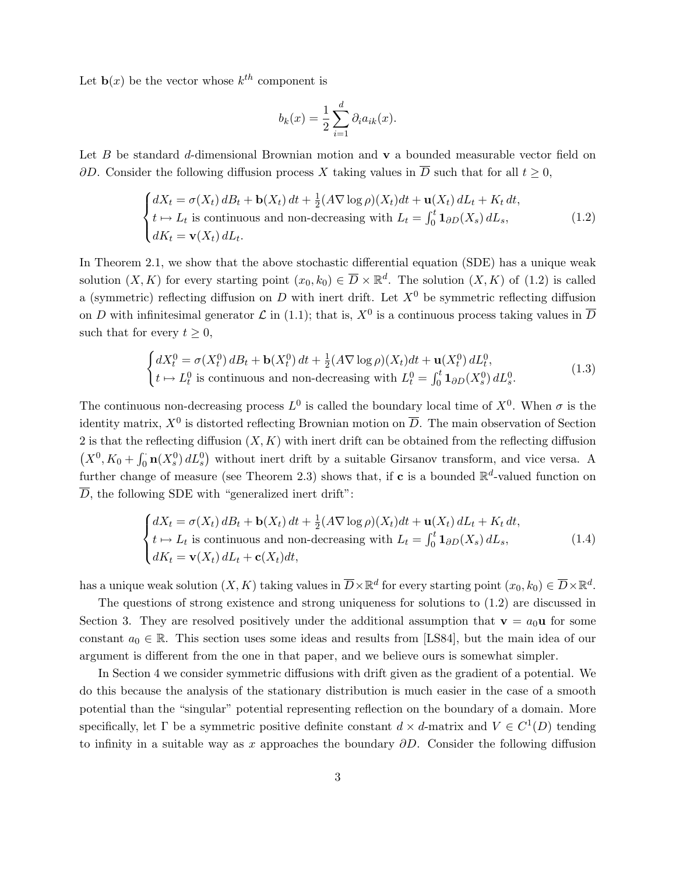Let  $\mathbf{b}(x)$  be the vector whose  $k^{th}$  component is

$$
b_k(x) = \frac{1}{2} \sum_{i=1}^d \partial_i a_{ik}(x).
$$

Let B be standard d-dimensional Brownian motion and  $\bf{v}$  a bounded measurable vector field on  $\partial D$ . Consider the following diffusion process X taking values in  $\overline{D}$  such that for all  $t \geq 0$ ,

$$
\begin{cases}\ndX_t = \sigma(X_t) \, dB_t + \mathbf{b}(X_t) \, dt + \frac{1}{2} (A \nabla \log \rho)(X_t) dt + \mathbf{u}(X_t) \, dL_t + K_t \, dt, \\
t \mapsto L_t \text{ is continuous and non-decreasing with } L_t = \int_0^t \mathbf{1}_{\partial D}(X_s) \, dL_s, \\
dK_t = \mathbf{v}(X_t) \, dL_t.\n\end{cases} \tag{1.2}
$$

In Theorem 2.1, we show that the above stochastic differential equation (SDE) has a unique weak solution  $(X, K)$  for every starting point  $(x_0, k_0) \in \overline{D} \times \mathbb{R}^d$ . The solution  $(X, K)$  of  $(1.2)$  is called a (symmetric) reflecting diffusion on D with inert drift. Let  $X^0$  be symmetric reflecting diffusion on D with infinitesimal generator  $\mathcal L$  in (1.1); that is,  $X^0$  is a continuous process taking values in  $\overline D$ such that for every  $t \geq 0$ ,

$$
\begin{cases} dX_t^0 = \sigma(X_t^0) dB_t + \mathbf{b}(X_t^0) dt + \frac{1}{2} (A \nabla \log \rho)(X_t) dt + \mathbf{u}(X_t^0) dL_t^0, \\ t \mapsto L_t^0 \text{ is continuous and non-decreasing with } L_t^0 = \int_0^t \mathbf{1}_{\partial D}(X_s^0) dL_s^0. \end{cases}
$$
(1.3)

The continuous non-decreasing process  $L^0$  is called the boundary local time of  $X^0$ . When  $\sigma$  is the identity matrix,  $X^0$  is distorted reflecting Brownian motion on  $\overline{D}$ . The main observation of Section 2 is that the reflecting diffusion  $(X, K)$  with inert drift can be obtained from the reflecting diffusion  $(X^0, K_0 + \int_0^1 \mathbf{n}(X_s^0) dL_s^0)$  without inert drift by a suitable Girsanov transform, and vice versa. A further change of measure (see Theorem 2.3) shows that, if **c** is a bounded  $\mathbb{R}^d$ -valued function on  $\overline{D}$ , the following SDE with "generalized inert drift":

$$
\begin{cases}\ndX_t = \sigma(X_t) dB_t + \mathbf{b}(X_t) dt + \frac{1}{2} (A \nabla \log \rho)(X_t) dt + \mathbf{u}(X_t) dL_t + K_t dt, \\
t \mapsto L_t \text{ is continuous and non-decreasing with } L_t = \int_0^t \mathbf{1}_{\partial D}(X_s) dL_s, \\
dK_t = \mathbf{v}(X_t) dL_t + \mathbf{c}(X_t) dt,\n\end{cases}
$$
\n(1.4)

has a unique weak solution  $(X, K)$  taking values in  $\overline{D}\times\mathbb{R}^d$  for every starting point  $(x_0, k_0) \in \overline{D}\times\mathbb{R}^d$ .

The questions of strong existence and strong uniqueness for solutions to (1.2) are discussed in Section 3. They are resolved positively under the additional assumption that  $\mathbf{v} = a_0 \mathbf{u}$  for some constant  $a_0 \in \mathbb{R}$ . This section uses some ideas and results from [LS84], but the main idea of our argument is different from the one in that paper, and we believe ours is somewhat simpler.

In Section 4 we consider symmetric diffusions with drift given as the gradient of a potential. We do this because the analysis of the stationary distribution is much easier in the case of a smooth potential than the "singular" potential representing reflection on the boundary of a domain. More specifically, let  $\Gamma$  be a symmetric positive definite constant  $d \times d$ -matrix and  $V \in C^1(D)$  tending to infinity in a suitable way as x approaches the boundary  $\partial D$ . Consider the following diffusion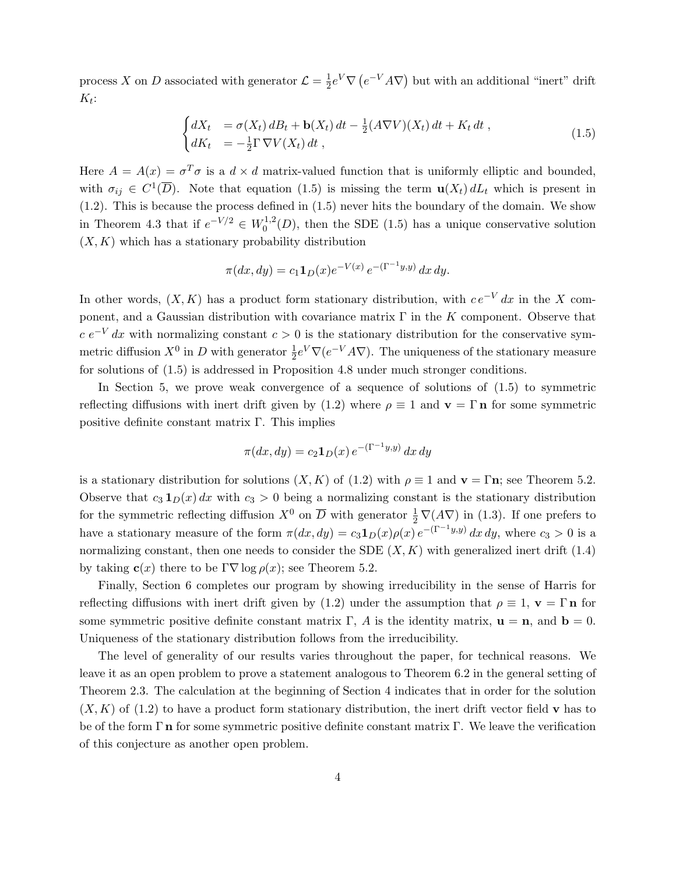process X on D associated with generator  $\mathcal{L} = \frac{1}{2}$  $\frac{1}{2}e^V\nabla\left(e^{-V}A\nabla\right)$  but with an additional "inert" drift  $K_t$ :

$$
\begin{cases}\ndX_t = \sigma(X_t) dB_t + \mathbf{b}(X_t) dt - \frac{1}{2} (A \nabla V)(X_t) dt + K_t dt, \\
dK_t = -\frac{1}{2} \Gamma \nabla V(X_t) dt,\n\end{cases} \tag{1.5}
$$

Here  $A = A(x) = \sigma^T \sigma$  is a  $d \times d$  matrix-valued function that is uniformly elliptic and bounded, with  $\sigma_{ij} \in C^1(\overline{D})$ . Note that equation (1.5) is missing the term  $\mathbf{u}(X_t) dL_t$  which is present in (1.2). This is because the process defined in (1.5) never hits the boundary of the domain. We show in Theorem 4.3 that if  $e^{-V/2} \in W_0^{1,2}$  $0^{1,2}(D)$ , then the SDE (1.5) has a unique conservative solution  $(X, K)$  which has a stationary probability distribution

$$
\pi(dx, dy) = c_1 \mathbf{1}_D(x) e^{-V(x)} e^{-(\Gamma^{-1}y, y)} dx dy.
$$

In other words,  $(X, K)$  has a product form stationary distribution, with  $ce^{-V} dx$  in the X component, and a Gaussian distribution with covariance matrix  $\Gamma$  in the K component. Observe that  $c e^{-V}$  dx with normalizing constant  $c > 0$  is the stationary distribution for the conservative symmetric diffusion  $X^0$  in D with generator  $\frac{1}{2}e^V\nabla(e^{-V}A\nabla)$ . The uniqueness of the stationary measure for solutions of (1.5) is addressed in Proposition 4.8 under much stronger conditions.

In Section 5, we prove weak convergence of a sequence of solutions of (1.5) to symmetric reflecting diffusions with inert drift given by (1.2) where  $\rho \equiv 1$  and  $\mathbf{v} = \Gamma \mathbf{n}$  for some symmetric positive definite constant matrix Γ. This implies

$$
\pi(dx, dy) = c_2 \mathbf{1}_D(x) e^{-(\Gamma^{-1}y, y)} dx dy
$$

is a stationary distribution for solutions  $(X, K)$  of  $(1.2)$  with  $\rho \equiv 1$  and  $\mathbf{v} = \Gamma \mathbf{n}$ ; see Theorem 5.2. Observe that  $c_3 \mathbf{1}_D(x) dx$  with  $c_3 > 0$  being a normalizing constant is the stationary distribution for the symmetric reflecting diffusion  $X^0$  on  $\overline{D}$  with generator  $\frac{1}{2} \nabla (A \nabla)$  in (1.3). If one prefers to have a stationary measure of the form  $\pi(dx, dy) = c_3 \mathbf{1}_D(x) \rho(x) e^{-(\Gamma^{-1}y, y)} dx dy$ , where  $c_3 > 0$  is a normalizing constant, then one needs to consider the SDE  $(X, K)$  with generalized inert drift (1.4) by taking  $c(x)$  there to be  $\Gamma \nabla \log \rho(x)$ ; see Theorem 5.2.

Finally, Section 6 completes our program by showing irreducibility in the sense of Harris for reflecting diffusions with inert drift given by (1.2) under the assumption that  $\rho \equiv 1$ ,  $\mathbf{v} = \Gamma \mathbf{n}$  for some symmetric positive definite constant matrix  $\Gamma$ , A is the identity matrix,  $\mathbf{u} = \mathbf{n}$ , and  $\mathbf{b} = 0$ . Uniqueness of the stationary distribution follows from the irreducibility.

The level of generality of our results varies throughout the paper, for technical reasons. We leave it as an open problem to prove a statement analogous to Theorem 6.2 in the general setting of Theorem 2.3. The calculation at the beginning of Section 4 indicates that in order for the solution  $(X, K)$  of (1.2) to have a product form stationary distribution, the inert drift vector field v has to be of the form  $\Gamma$  n for some symmetric positive definite constant matrix  $\Gamma$ . We leave the verification of this conjecture as another open problem.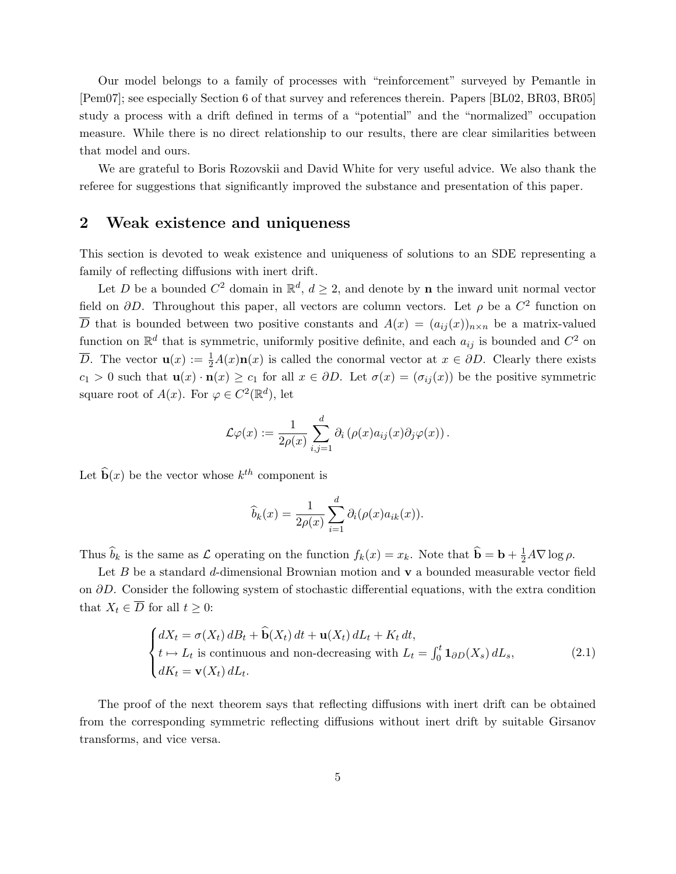Our model belongs to a family of processes with "reinforcement" surveyed by Pemantle in [Pem07]; see especially Section 6 of that survey and references therein. Papers [BL02, BR03, BR05] study a process with a drift defined in terms of a "potential" and the "normalized" occupation measure. While there is no direct relationship to our results, there are clear similarities between that model and ours.

We are grateful to Boris Rozovskii and David White for very useful advice. We also thank the referee for suggestions that significantly improved the substance and presentation of this paper.

# 2 Weak existence and uniqueness

This section is devoted to weak existence and uniqueness of solutions to an SDE representing a family of reflecting diffusions with inert drift.

Let D be a bounded  $C^2$  domain in  $\mathbb{R}^d$ ,  $d \geq 2$ , and denote by **n** the inward unit normal vector field on  $\partial D$ . Throughout this paper, all vectors are column vectors. Let  $\rho$  be a  $C^2$  function on  $\overline{D}$  that is bounded between two positive constants and  $A(x) = (a_{ij}(x))_{n \times n}$  be a matrix-valued function on  $\mathbb{R}^d$  that is symmetric, uniformly positive definite, and each  $a_{ij}$  is bounded and  $C^2$  on D. The vector  $\mathbf{u}(x) := \frac{1}{2}A(x)\mathbf{n}(x)$  is called the conormal vector at  $x \in \partial D$ . Clearly there exists  $c_1 > 0$  such that  $\mathbf{u}(x) \cdot \mathbf{n}(x) \ge c_1$  for all  $x \in \partial D$ . Let  $\sigma(x) = (\sigma_{ij}(x))$  be the positive symmetric square root of  $A(x)$ . For  $\varphi \in C^2(\mathbb{R}^d)$ , let

$$
\mathcal{L}\varphi(x) := \frac{1}{2\rho(x)} \sum_{i,j=1}^d \partial_i \left( \rho(x) a_{ij}(x) \partial_j \varphi(x) \right).
$$

Let  $\widehat{\mathbf{b}}(x)$  be the vector whose  $k^{th}$  component is

$$
\widehat{b}_k(x) = \frac{1}{2\rho(x)} \sum_{i=1}^d \partial_i(\rho(x)a_{ik}(x)).
$$

Thus  $\hat{b}_k$  is the same as  $\mathcal L$  operating on the function  $f_k(x) = x_k$ . Note that  $\hat{\mathbf{b}} = \mathbf{b} + \frac{1}{2}A\nabla \log \rho$ .

Let  $B$  be a standard d-dimensional Brownian motion and  $\bf{v}$  a bounded measurable vector field on  $\partial D$ . Consider the following system of stochastic differential equations, with the extra condition that  $X_t \in \overline{D}$  for all  $t \geq 0$ :

$$
\begin{cases}\ndX_t = \sigma(X_t) dB_t + \hat{\mathbf{b}}(X_t) dt + \mathbf{u}(X_t) dL_t + K_t dt, \\
t \mapsto L_t \text{ is continuous and non-decreasing with } L_t = \int_0^t \mathbf{1}_{\partial D}(X_s) dL_s, \\
dK_t = \mathbf{v}(X_t) dL_t.\n\end{cases} \tag{2.1}
$$

The proof of the next theorem says that reflecting diffusions with inert drift can be obtained from the corresponding symmetric reflecting diffusions without inert drift by suitable Girsanov transforms, and vice versa.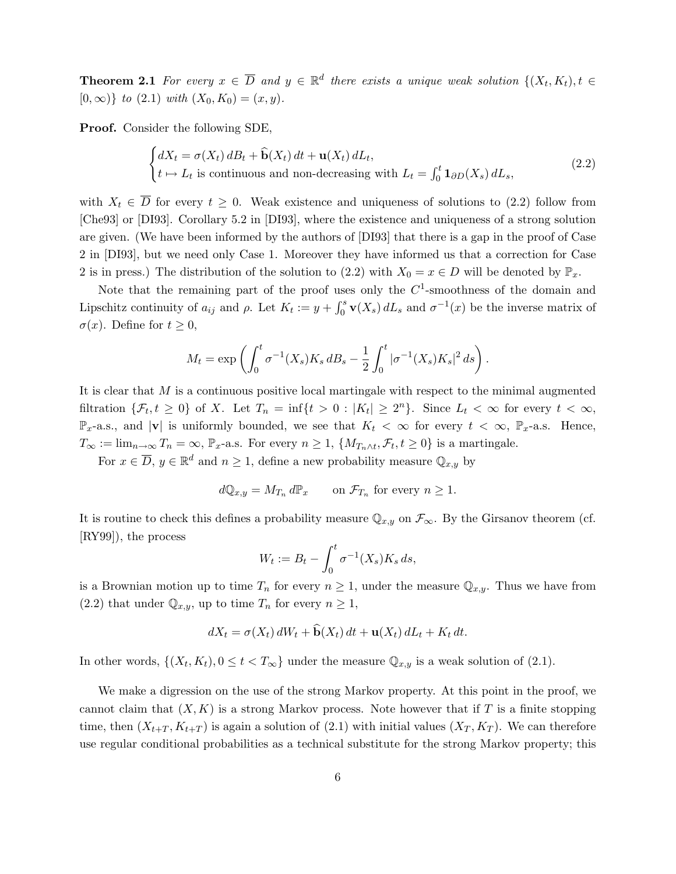**Theorem 2.1** For every  $x \in \overline{D}$  and  $y \in \mathbb{R}^d$  there exists a unique weak solution  $\{(X_t, K_t), t \in$  $[0, \infty)$  to  $(2.1)$  with  $(X_0, K_0) = (x, y)$ .

Proof. Consider the following SDE,

$$
\begin{cases} dX_t = \sigma(X_t) dB_t + \widehat{\mathbf{b}}(X_t) dt + \mathbf{u}(X_t) dL_t, \\ t \mapsto L_t \text{ is continuous and non-decreasing with } L_t = \int_0^t \mathbf{1}_{\partial D}(X_s) dL_s, \end{cases}
$$
(2.2)

with  $X_t \in \overline{D}$  for every  $t \geq 0$ . Weak existence and uniqueness of solutions to (2.2) follow from [Che93] or [DI93]. Corollary 5.2 in [DI93], where the existence and uniqueness of a strong solution are given. (We have been informed by the authors of [DI93] that there is a gap in the proof of Case 2 in [DI93], but we need only Case 1. Moreover they have informed us that a correction for Case 2 is in press.) The distribution of the solution to (2.2) with  $X_0 = x \in D$  will be denoted by  $\mathbb{P}_x$ .

Note that the remaining part of the proof uses only the  $C<sup>1</sup>$ -smoothness of the domain and Lipschitz continuity of  $a_{ij}$  and  $\rho$ . Let  $K_t := y + \int_0^s \mathbf{v}(X_s) dL_s$  and  $\sigma^{-1}(x)$  be the inverse matrix of  $\sigma(x)$ . Define for  $t \geq 0$ ,

$$
M_t = \exp\left(\int_0^t \sigma^{-1}(X_s) K_s dB_s - \frac{1}{2} \int_0^t |\sigma^{-1}(X_s) K_s|^2 ds\right).
$$

It is clear that M is a continuous positive local martingale with respect to the minimal augmented filtration  $\{\mathcal{F}_t, t \geq 0\}$  of X. Let  $T_n = \inf\{t > 0 : |K_t| \geq 2^n\}$ . Since  $L_t < \infty$  for every  $t < \infty$ ,  $\mathbb{P}_x$ -a.s., and |v| is uniformly bounded, we see that  $K_t < \infty$  for every  $t < \infty$ ,  $\mathbb{P}_x$ -a.s. Hence,  $T_{\infty} := \lim_{n \to \infty} T_n = \infty$ ,  $\mathbb{P}_x$ -a.s. For every  $n \geq 1$ ,  $\{M_{T_n \wedge t}, \mathcal{F}_t, t \geq 0\}$  is a martingale.

For  $x \in \overline{D}$ ,  $y \in \mathbb{R}^d$  and  $n \geq 1$ , define a new probability measure  $\mathbb{Q}_{x,y}$  by

$$
d\mathbb{Q}_{x,y} = M_{T_n} d\mathbb{P}_x \qquad \text{on } \mathcal{F}_{T_n} \text{ for every } n \ge 1.
$$

It is routine to check this defines a probability measure  $\mathbb{Q}_{x,y}$  on  $\mathcal{F}_{\infty}$ . By the Girsanov theorem (cf. [RY99]), the process

$$
W_t := B_t - \int_0^t \sigma^{-1}(X_s) K_s ds,
$$

is a Brownian motion up to time  $T_n$  for every  $n \geq 1$ , under the measure  $\mathbb{Q}_{x,y}$ . Thus we have from (2.2) that under  $\mathbb{Q}_{x,y}$ , up to time  $T_n$  for every  $n \geq 1$ ,

$$
dX_t = \sigma(X_t) dW_t + \mathbf{b}(X_t) dt + \mathbf{u}(X_t) dL_t + K_t dt.
$$

In other words,  $\{(X_t, K_t), 0 \le t < T_\infty\}$  under the measure  $\mathbb{Q}_{x,y}$  is a weak solution of (2.1).

We make a digression on the use of the strong Markov property. At this point in the proof, we cannot claim that  $(X, K)$  is a strong Markov process. Note however that if T is a finite stopping time, then  $(X_{t+T}, K_{t+T})$  is again a solution of  $(2.1)$  with initial values  $(X_T, K_T)$ . We can therefore use regular conditional probabilities as a technical substitute for the strong Markov property; this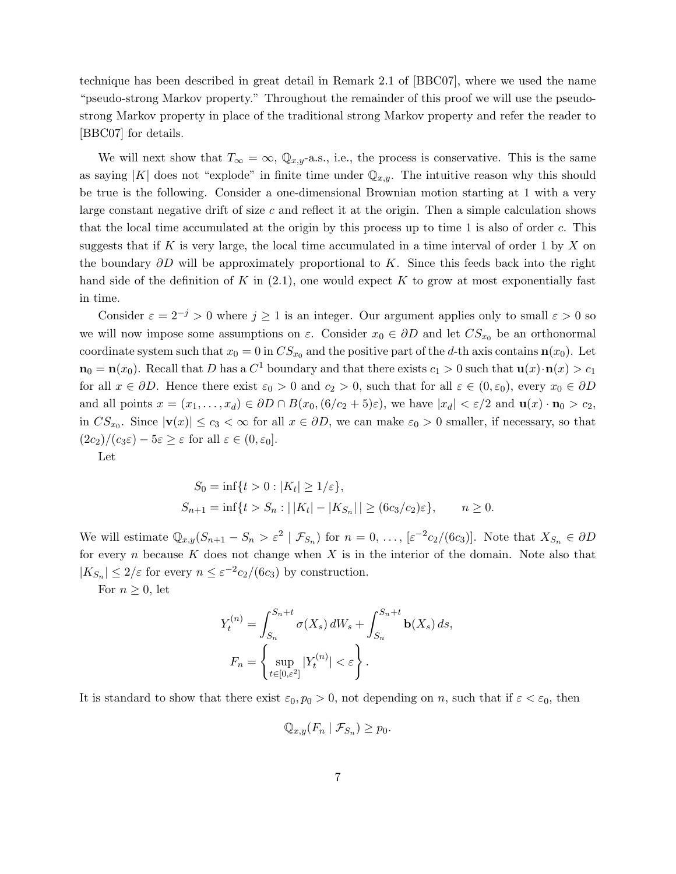technique has been described in great detail in Remark 2.1 of [BBC07], where we used the name "pseudo-strong Markov property." Throughout the remainder of this proof we will use the pseudostrong Markov property in place of the traditional strong Markov property and refer the reader to [BBC07] for details.

We will next show that  $T_{\infty} = \infty$ ,  $\mathbb{Q}_{x,y}$ -a.s., i.e., the process is conservative. This is the same as saying |K| does not "explode" in finite time under  $\mathbb{Q}_{x,y}$ . The intuitive reason why this should be true is the following. Consider a one-dimensional Brownian motion starting at 1 with a very large constant negative drift of size  $c$  and reflect it at the origin. Then a simple calculation shows that the local time accumulated at the origin by this process up to time 1 is also of order  $c$ . This suggests that if K is very large, the local time accumulated in a time interval of order 1 by X on the boundary  $\partial D$  will be approximately proportional to K. Since this feeds back into the right hand side of the definition of K in  $(2.1)$ , one would expect K to grow at most exponentially fast in time.

Consider  $\varepsilon = 2^{-j} > 0$  where  $j \ge 1$  is an integer. Our argument applies only to small  $\varepsilon > 0$  so we will now impose some assumptions on  $\varepsilon$ . Consider  $x_0 \in \partial D$  and let  $CS_{x_0}$  be an orthonormal coordinate system such that  $x_0 = 0$  in  $CS_{x_0}$  and the positive part of the d-th axis contains  $\mathbf{n}(x_0)$ . Let  $n_0 = n(x_0)$ . Recall that D has a  $C^1$  boundary and that there exists  $c_1 > 0$  such that  $u(x) \cdot n(x) > c_1$ for all  $x \in \partial D$ . Hence there exist  $\varepsilon_0 > 0$  and  $c_2 > 0$ , such that for all  $\varepsilon \in (0, \varepsilon_0)$ , every  $x_0 \in \partial D$ and all points  $x = (x_1, \ldots, x_d) \in \partial D \cap B(x_0, (6/c_2 + 5)\varepsilon)$ , we have  $|x_d| < \varepsilon/2$  and  $\mathbf{u}(x) \cdot \mathbf{n}_0 > c_2$ , in  $CS_{x_0}$ . Since  $|\mathbf{v}(x)| \le c_3 < \infty$  for all  $x \in \partial D$ , we can make  $\varepsilon_0 > 0$  smaller, if necessary, so that  $(2c_2)/(c_3\varepsilon) - 5\varepsilon \geq \varepsilon$  for all  $\varepsilon \in (0, \varepsilon_0]$ .

Let

$$
S_0 = \inf\{t > 0 : |K_t| \ge 1/\varepsilon\},
$$
  
\n
$$
S_{n+1} = \inf\{t > S_n : ||K_t| - |K_{S_n}|| \ge (6c_3/c_2)\varepsilon\}, \qquad n \ge 0.
$$

We will estimate  $\mathbb{Q}_{x,y}(S_{n+1} - S_n > \varepsilon^2 \mid \mathcal{F}_{S_n})$  for  $n = 0, \ldots, \lbrack \varepsilon^{-2} c_2 / (6c_3) \rbrack$ . Note that  $X_{S_n} \in \partial D$ for every  $n$  because  $K$  does not change when  $X$  is in the interior of the domain. Note also that  $|K_{S_n}| \leq 2/\varepsilon$  for every  $n \leq \varepsilon^{-2} c_2/(6c_3)$  by construction.

For  $n \geq 0$ , let

$$
Y_t^{(n)} = \int_{S_n}^{S_n+t} \sigma(X_s) dW_s + \int_{S_n}^{S_n+t} \mathbf{b}(X_s) ds,
$$

$$
F_n = \left\{ \sup_{t \in [0,\varepsilon^2]} |Y_t^{(n)}| < \varepsilon \right\}.
$$

It is standard to show that there exist  $\varepsilon_0$ ,  $p_0 > 0$ , not depending on n, such that if  $\varepsilon < \varepsilon_0$ , then

$$
\mathbb{Q}_{x,y}(F_n \mid \mathcal{F}_{S_n}) \ge p_0.
$$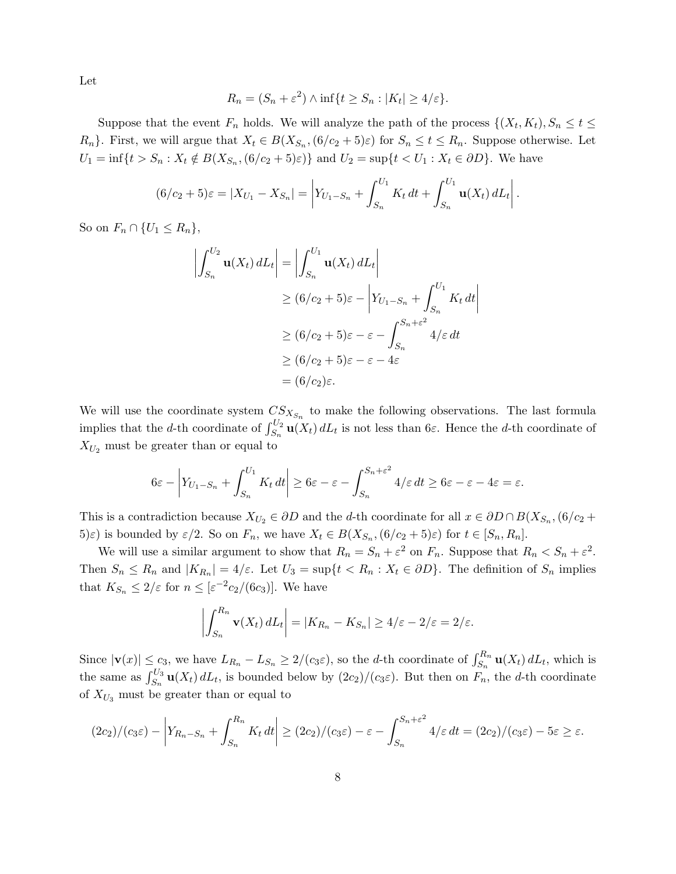Let

$$
R_n = (S_n + \varepsilon^2) \wedge \inf\{t \ge S_n : |K_t| \ge 4/\varepsilon\}.
$$

Suppose that the event  $F_n$  holds. We will analyze the path of the process  $\{(X_t, K_t), S_n \le t \le$  $R_n$ . First, we will argue that  $X_t \in B(X_{S_n}, (6/c_2 + 5)\varepsilon)$  for  $S_n \le t \le R_n$ . Suppose otherwise. Let  $U_1 = \inf\{t > S_n : X_t \notin B(X_{S_n}, (6/c_2 + 5)\varepsilon)\}\$ and  $U_2 = \sup\{t < U_1 : X_t \in \partial D\}$ . We have

$$
(6/c_2 + 5)\varepsilon = |X_{U_1} - X_{S_n}| = \left| Y_{U_1 - S_n} + \int_{S_n}^{U_1} K_t dt + \int_{S_n}^{U_1} \mathbf{u}(X_t) dL_t \right|.
$$

So on  $F_n \cap \{U_1 \leq R_n\},\$ 

$$
\left| \int_{S_n}^{U_2} \mathbf{u}(X_t) dL_t \right| = \left| \int_{S_n}^{U_1} \mathbf{u}(X_t) dL_t \right|
$$
  
\n
$$
\ge (6/c_2 + 5)\varepsilon - \left| Y_{U_1 - S_n} + \int_{S_n}^{U_1} K_t dt \right|
$$
  
\n
$$
\ge (6/c_2 + 5)\varepsilon - \varepsilon - \int_{S_n}^{S_n + \varepsilon^2} 4/\varepsilon dt
$$
  
\n
$$
\ge (6/c_2 + 5)\varepsilon - \varepsilon - 4\varepsilon
$$
  
\n
$$
= (6/c_2)\varepsilon.
$$

We will use the coordinate system  $CS_{X_{S_n}}$  to make the following observations. The last formula implies that the d-th coordinate of  $\int_{S_n}^{U_2}$ **u** $(X_t) dL_t$  is not less than 6 $\varepsilon$ . Hence the d-th coordinate of  $X_{U_2}$  must be greater than or equal to

$$
6\varepsilon - \left| Y_{U_1 - S_n} + \int_{S_n}^{U_1} K_t dt \right| \ge 6\varepsilon - \varepsilon - \int_{S_n}^{S_n + \varepsilon^2} 4/\varepsilon dt \ge 6\varepsilon - \varepsilon - 4\varepsilon = \varepsilon.
$$

This is a contradiction because  $X_{U_2} \in \partial D$  and the d-th coordinate for all  $x \in \partial D \cap B(X_{S_n}, (6/c_2 +$  $(5)\varepsilon$ ) is bounded by  $\varepsilon/2$ . So on  $F_n$ , we have  $X_t \in B(X_{S_n}, (6/c_2 + 5)\varepsilon)$  for  $t \in [S_n, R_n]$ .

We will use a similar argument to show that  $R_n = S_n + \varepsilon^2$  on  $F_n$ . Suppose that  $R_n < S_n + \varepsilon^2$ . Then  $S_n \le R_n$  and  $|K_{R_n}| = 4/\varepsilon$ . Let  $U_3 = \sup\{t < R_n : X_t \in \partial D\}$ . The definition of  $S_n$  implies that  $K_{S_n} \leq 2/\varepsilon$  for  $n \leq \left[\varepsilon^{-2} c_2/(6c_3)\right]$ . We have

$$
\left| \int_{S_n}^{R_n} \mathbf{v}(X_t) dL_t \right| = |K_{R_n} - K_{S_n}| \ge 4/\varepsilon - 2/\varepsilon = 2/\varepsilon.
$$

Since  $|\mathbf{v}(x)| \leq c_3$ , we have  $L_{R_n} - L_{S_n} \geq 2/(c_3\varepsilon)$ , so the d-th coordinate of  $\int_{S_n}^{R_n} \mathbf{u}(X_t) dL_t$ , which is the same as  $\int_{S_n}^{U_3} \mathbf{u}(X_t) dL_t$ , is bounded below by  $(2c_2)/(c_3\varepsilon)$ . But then on  $F_n$ , the d-th coordinate of  $X_{U_3}$  must be greater than or equal to

$$
(2c_2)/(c_3\varepsilon)-\left|Y_{R_n-S_n}+\int_{S_n}^{R_n}K_t dt\right|\geq (2c_2)/(c_3\varepsilon)-\varepsilon-\int_{S_n}^{S_n+\varepsilon^2}4/\varepsilon dt=(2c_2)/(c_3\varepsilon)-5\varepsilon\geq\varepsilon.
$$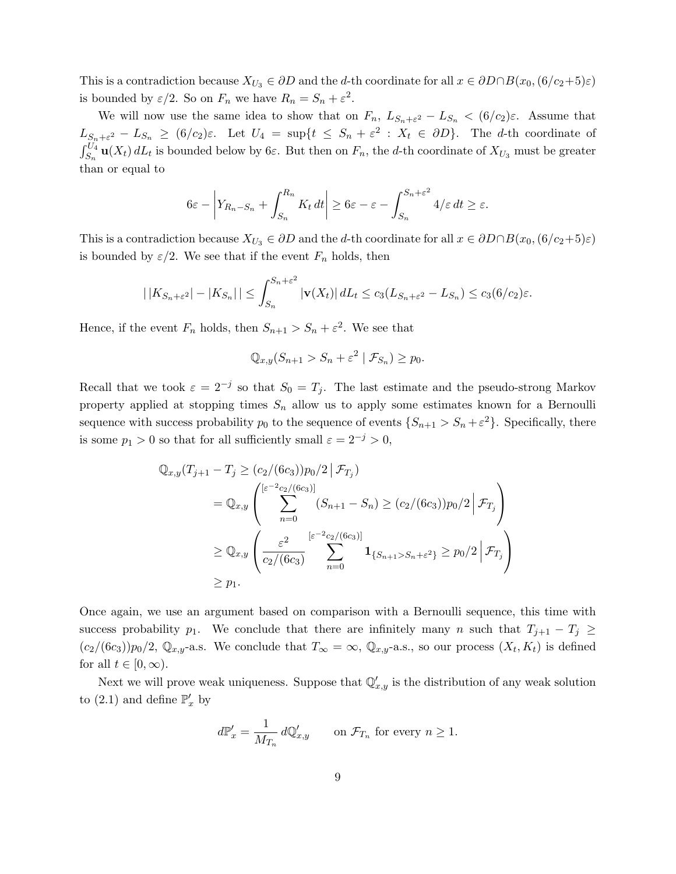This is a contradiction because  $X_{U_3} \in \partial D$  and the d-th coordinate for all  $x \in \partial D \cap B(x_0, (6/c_2+5)\varepsilon)$ is bounded by  $\varepsilon/2$ . So on  $F_n$  we have  $R_n = S_n + \varepsilon^2$ .

We will now use the same idea to show that on  $F_n$ ,  $L_{S_n+\varepsilon^2}-L_{S_n} < (6/c_2)\varepsilon$ . Assume that  $L_{S_n+\varepsilon^2} - L_{S_n} \geq (6/c_2)\varepsilon$ . Let  $U_4 = \sup\{t \leq S_n + \varepsilon^2 : X_t \in \partial D\}$ . The *d*-th coordinate of  $\int_{S_n}^{U_4}$ **u**( $X_t$ )  $dL_t$  is bounded below by  $6\varepsilon$ . But then on  $F_n$ , the d-th coordinate of  $X_{U_3}$  must be greater than or equal to

$$
6\varepsilon - \left| Y_{R_n - S_n} + \int_{S_n}^{R_n} K_t dt \right| \ge 6\varepsilon - \varepsilon - \int_{S_n}^{S_n + \varepsilon^2} 4/\varepsilon dt \ge \varepsilon.
$$

This is a contradiction because  $X_{U_3} \in \partial D$  and the d-th coordinate for all  $x \in \partial D \cap B(x_0, (6/c_2+5)\varepsilon)$ is bounded by  $\varepsilon/2$ . We see that if the event  $F_n$  holds, then

$$
|\,|K_{S_n+\varepsilon^2}|-|K_{S_n}|\,|\leq \int_{S_n}^{S_n+\varepsilon^2} |\mathbf{v}(X_t)|\,dL_t\leq c_3(L_{S_n+\varepsilon^2}-L_{S_n})\leq c_3(6/c_2)\varepsilon.
$$

Hence, if the event  $F_n$  holds, then  $S_{n+1} > S_n + \varepsilon^2$ . We see that

$$
\mathbb{Q}_{x,y}(S_{n+1} > S_n + \varepsilon^2 \mid \mathcal{F}_{S_n}) \ge p_0.
$$

Recall that we took  $\varepsilon = 2^{-j}$  so that  $S_0 = T_j$ . The last estimate and the pseudo-strong Markov property applied at stopping times  $S_n$  allow us to apply some estimates known for a Bernoulli sequence with success probability  $p_0$  to the sequence of events  $\{S_{n+1} > S_n + \varepsilon^2\}$ . Specifically, there is some  $p_1 > 0$  so that for all sufficiently small  $\varepsilon = 2^{-j} > 0$ ,

$$
\mathbb{Q}_{x,y}(T_{j+1} - T_j \ge (c_2/(6c_3))p_0/2 \,|\, \mathcal{F}_{T_j})
$$
\n
$$
= \mathbb{Q}_{x,y} \left( \sum_{n=0}^{[\varepsilon^{-2}c_2/(6c_3)]} (S_{n+1} - S_n) \ge (c_2/(6c_3))p_0/2 \,|\, \mathcal{F}_{T_j} \right)
$$
\n
$$
\ge \mathbb{Q}_{x,y} \left( \frac{\varepsilon^2}{c_2/(6c_3)} \sum_{n=0}^{[\varepsilon^{-2}c_2/(6c_3)]} \mathbf{1}_{\{S_{n+1} > S_n + \varepsilon^2\}} \ge p_0/2 \,|\, \mathcal{F}_{T_j} \right)
$$
\n
$$
\ge p_1.
$$

Once again, we use an argument based on comparison with a Bernoulli sequence, this time with success probability p<sub>1</sub>. We conclude that there are infinitely many n such that  $T_{j+1} - T_j \geq$  $(c_2/(6c_3))p_0/2$ ,  $\mathbb{Q}_{x,y}$ -a.s. We conclude that  $T_{\infty} = \infty$ ,  $\mathbb{Q}_{x,y}$ -a.s., so our process  $(X_t, K_t)$  is defined for all  $t \in [0, \infty)$ .

Next we will prove weak uniqueness. Suppose that  $\mathbb{Q}'_{x,y}$  is the distribution of any weak solution to (2.1) and define  $\mathbb{P}'_x$  by

$$
d\mathbb{P}'_x = \frac{1}{M_{T_n}} d\mathbb{Q}'_{x,y} \qquad \text{on } \mathcal{F}_{T_n} \text{ for every } n \ge 1.
$$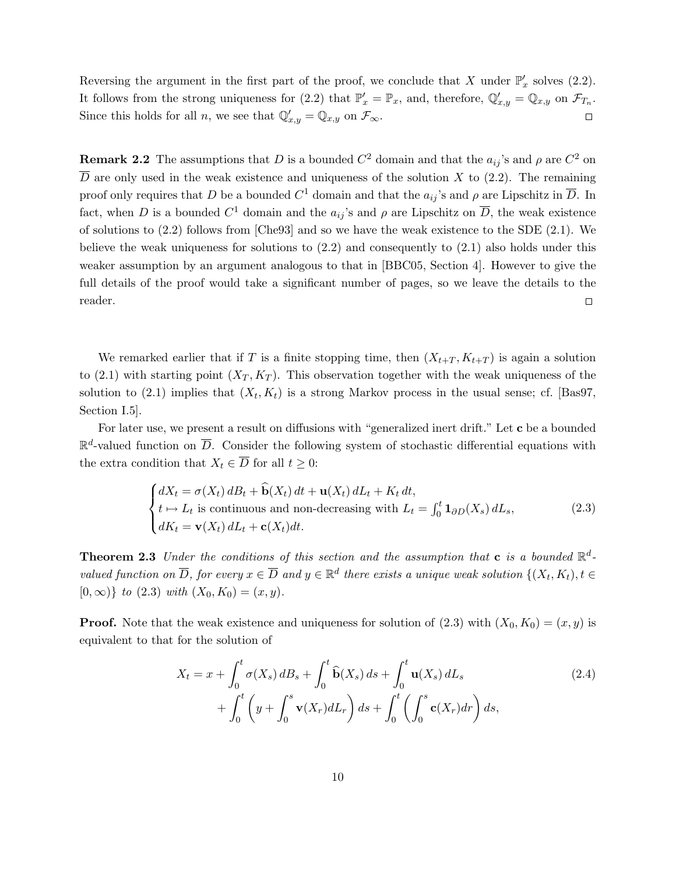Reversing the argument in the first part of the proof, we conclude that X under  $\mathbb{P}'_x$  solves (2.2). It follows from the strong uniqueness for (2.2) that  $\mathbb{P}'_x = \mathbb{P}_x$ , and, therefore,  $\mathbb{Q}'_{x,y} = \mathbb{Q}_{x,y}$  on  $\mathcal{F}_{T_n}$ . Since this holds for all *n*, we see that  $\mathbb{Q}'_{x,y} = \mathbb{Q}_{x,y}$  on  $\mathcal{F}_{\infty}$ .  $\Box$ 

**Remark 2.2** The assumptions that D is a bounded  $C^2$  domain and that the  $a_{ij}$ 's and  $\rho$  are  $C^2$  on  $\overline{D}$  are only used in the weak existence and uniqueness of the solution X to (2.2). The remaining proof only requires that D be a bounded  $C^1$  domain and that the  $a_{ij}$ 's and  $\rho$  are Lipschitz in  $\overline{D}$ . In fact, when D is a bounded  $C^1$  domain and the  $a_{ij}$ 's and  $\rho$  are Lipschitz on  $\overline{D}$ , the weak existence of solutions to (2.2) follows from [Che93] and so we have the weak existence to the SDE (2.1). We believe the weak uniqueness for solutions to  $(2.2)$  and consequently to  $(2.1)$  also holds under this weaker assumption by an argument analogous to that in [BBC05, Section 4]. However to give the full details of the proof would take a significant number of pages, so we leave the details to the reader.  $\Box$ 

We remarked earlier that if T is a finite stopping time, then  $(X_{t+T}, K_{t+T})$  is again a solution to (2.1) with starting point  $(X_T, K_T)$ . This observation together with the weak uniqueness of the solution to (2.1) implies that  $(X_t, K_t)$  is a strong Markov process in the usual sense; cf. [Bas97, Section I.5].

For later use, we present a result on diffusions with "generalized inert drift." Let c be a bounded  $\mathbb{R}^d$ -valued function on  $\overline{D}$ . Consider the following system of stochastic differential equations with the extra condition that  $X_t \in \overline{D}$  for all  $t \geq 0$ :

$$
\begin{cases}\ndX_t = \sigma(X_t) dB_t + \hat{\mathbf{b}}(X_t) dt + \mathbf{u}(X_t) dL_t + K_t dt, \\
t \mapsto L_t \text{ is continuous and non-decreasing with } L_t = \int_0^t \mathbf{1}_{\partial D}(X_s) dL_s, \\
dK_t = \mathbf{v}(X_t) dL_t + \mathbf{c}(X_t) dt.\n\end{cases}
$$
\n(2.3)

**Theorem 2.3** Under the conditions of this section and the assumption that **c** is a bounded  $\mathbb{R}^d$ valued function on  $\overline{D}$ , for every  $x \in \overline{D}$  and  $y \in \mathbb{R}^d$  there exists a unique weak solution  $\{(X_t, K_t), t \in$  $[0, \infty)$  to  $(2.3)$  with  $(X_0, K_0) = (x, y)$ .

**Proof.** Note that the weak existence and uniqueness for solution of  $(2.3)$  with  $(X_0, K_0) = (x, y)$  is equivalent to that for the solution of

$$
X_t = x + \int_0^t \sigma(X_s) dB_s + \int_0^t \widehat{\mathbf{b}}(X_s) ds + \int_0^t \mathbf{u}(X_s) dL_s
$$
  
+ 
$$
\int_0^t \left( y + \int_0^s \mathbf{v}(X_r) dL_r \right) ds + \int_0^t \left( \int_0^s \mathbf{c}(X_r) dr \right) ds,
$$
 (2.4)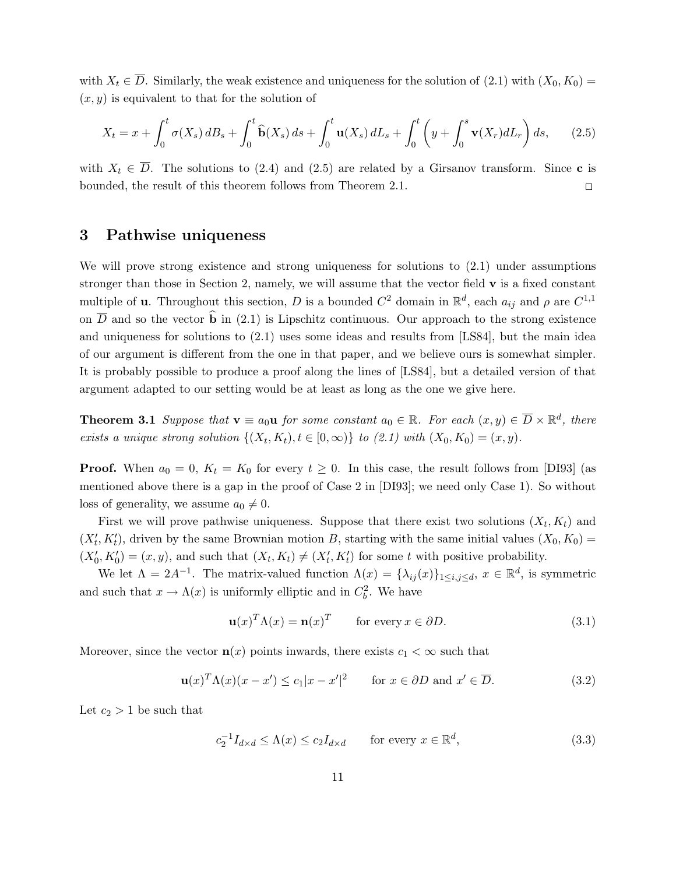with  $X_t \in \overline{D}$ . Similarly, the weak existence and uniqueness for the solution of (2.1) with  $(X_0, K_0)$  =  $(x, y)$  is equivalent to that for the solution of

$$
X_t = x + \int_0^t \sigma(X_s) dB_s + \int_0^t \widehat{\mathbf{b}}(X_s) ds + \int_0^t \mathbf{u}(X_s) dL_s + \int_0^t \left( y + \int_0^s \mathbf{v}(X_r) dL_r \right) ds, \qquad (2.5)
$$

with  $X_t \in \overline{D}$ . The solutions to (2.4) and (2.5) are related by a Girsanov transform. Since **c** is bounded, the result of this theorem follows from Theorem 2.1.  $\Box$ 

# 3 Pathwise uniqueness

We will prove strong existence and strong uniqueness for solutions to  $(2.1)$  under assumptions stronger than those in Section 2, namely, we will assume that the vector field v is a fixed constant multiple of **u**. Throughout this section, D is a bounded  $C^2$  domain in  $\mathbb{R}^d$ , each  $a_{ij}$  and  $\rho$  are  $C^{1,1}$ on  $\overline{D}$  and so the vector  $\hat{b}$  in (2.1) is Lipschitz continuous. Our approach to the strong existence and uniqueness for solutions to (2.1) uses some ideas and results from [LS84], but the main idea of our argument is different from the one in that paper, and we believe ours is somewhat simpler. It is probably possible to produce a proof along the lines of [LS84], but a detailed version of that argument adapted to our setting would be at least as long as the one we give here.

**Theorem 3.1** Suppose that  $\mathbf{v} \equiv a_0 \mathbf{u}$  for some constant  $a_0 \in \mathbb{R}$ . For each  $(x, y) \in \overline{D} \times \mathbb{R}^d$ , there exists a unique strong solution  $\{(X_t, K_t), t \in [0, \infty)\}\$  to  $(2.1)$  with  $(X_0, K_0) = (x, y)$ .

**Proof.** When  $a_0 = 0$ ,  $K_t = K_0$  for every  $t \geq 0$ . In this case, the result follows from [DI93] (as mentioned above there is a gap in the proof of Case 2 in [DI93]; we need only Case 1). So without loss of generality, we assume  $a_0 \neq 0$ .

First we will prove pathwise uniqueness. Suppose that there exist two solutions  $(X_t, K_t)$  and  $(X'_t, K'_t)$ , driven by the same Brownian motion B, starting with the same initial values  $(X_0, K_0)$  =  $(X'_0, K'_0) = (x, y)$ , and such that  $(X_t, K_t) \neq (X'_t, K'_t)$  for some t with positive probability.

We let  $\Lambda = 2A^{-1}$ . The matrix-valued function  $\Lambda(x) = {\lambda_{ij}(x)}_{1 \le i,j \le d}$ ,  $x \in \mathbb{R}^d$ , is symmetric and such that  $x \to \Lambda(x)$  is uniformly elliptic and in  $C_b^2$ . We have

$$
\mathbf{u}(x)^T \Lambda(x) = \mathbf{n}(x)^T \qquad \text{for every } x \in \partial D. \tag{3.1}
$$

Moreover, since the vector  $\mathbf{n}(x)$  points inwards, there exists  $c_1 < \infty$  such that

$$
\mathbf{u}(x)^T \Lambda(x) (x - x') \le c_1 |x - x'|^2 \quad \text{for } x \in \partial D \text{ and } x' \in \overline{D}.
$$
 (3.2)

Let  $c_2 > 1$  be such that

$$
c_2^{-1}I_{d \times d} \le \Lambda(x) \le c_2 I_{d \times d} \qquad \text{for every } x \in \mathbb{R}^d,
$$
 (3.3)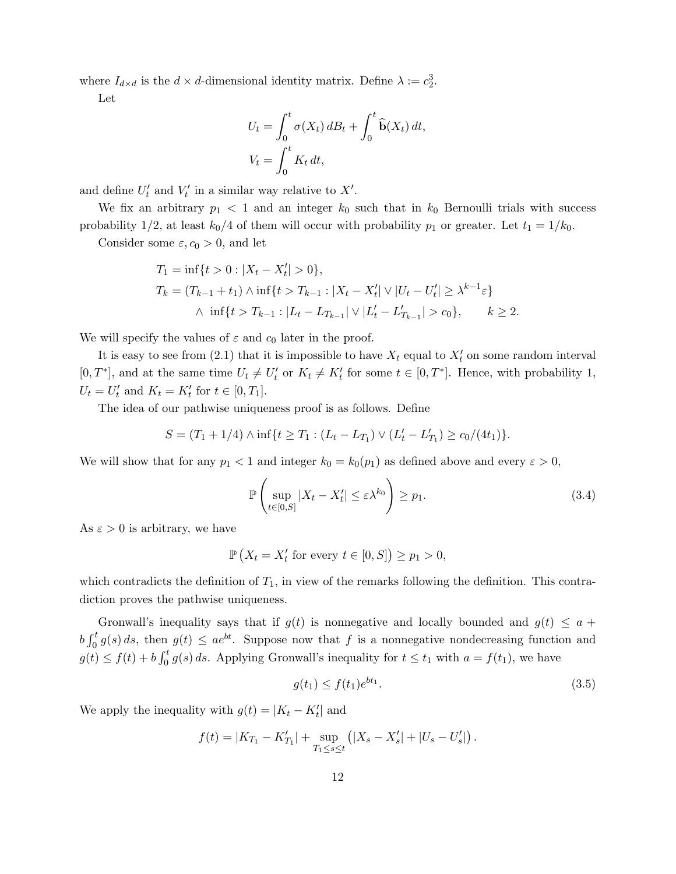where  $I_{d \times d}$  is the  $d \times d$ -dimensional identity matrix. Define  $\lambda := c_2^3$ .

Let

$$
U_t = \int_0^t \sigma(X_t) dB_t + \int_0^t \widehat{\mathbf{b}}(X_t) dt,
$$
  

$$
V_t = \int_0^t K_t dt,
$$

and define  $U'_t$  and  $V'_t$  in a similar way relative to  $X'.$ 

We fix an arbitrary  $p_1 < 1$  and an integer  $k_0$  such that in  $k_0$  Bernoulli trials with success probability 1/2, at least  $k_0/4$  of them will occur with probability  $p_1$  or greater. Let  $t_1 = 1/k_0$ .

Consider some  $\varepsilon, c_0 > 0$ , and let

$$
T_1 = \inf\{t > 0 : |X_t - X'_t| > 0\},
$$
  
\n
$$
T_k = (T_{k-1} + t_1) \wedge \inf\{t > T_{k-1} : |X_t - X'_t| \vee |U_t - U'_t| \ge \lambda^{k-1} \varepsilon\}
$$
  
\n
$$
\wedge \inf\{t > T_{k-1} : |L_t - L_{T_{k-1}}| \vee |L'_t - L'_{T_{k-1}}| > c_0\}, \qquad k \ge 2.
$$

We will specify the values of  $\varepsilon$  and  $c_0$  later in the proof.

It is easy to see from  $(2.1)$  that it is impossible to have  $X_t$  equal to  $X_t'$  on some random interval  $[0, T^*]$ , and at the same time  $U_t \neq U'_t$  or  $K_t \neq K'_t$  for some  $t \in [0, T^*]$ . Hence, with probability 1,  $U_t = U'_t$  and  $K_t = K'_t$  for  $t \in [0, T_1]$ .

The idea of our pathwise uniqueness proof is as follows. Define

$$
S = (T_1 + 1/4) \wedge \inf\{t \ge T_1 : (L_t - L_{T_1}) \vee (L'_t - L'_{T_1}) \ge c_0/(4t_1)\}.
$$

We will show that for any  $p_1 < 1$  and integer  $k_0 = k_0(p_1)$  as defined above and every  $\varepsilon > 0$ ,

$$
\mathbb{P}\left(\sup_{t\in[0,S]}|X_t - X'_t| \le \varepsilon \lambda^{k_0}\right) \ge p_1. \tag{3.4}
$$

As  $\varepsilon > 0$  is arbitrary, we have

$$
\mathbb{P}\left(X_t = X'_t \text{ for every } t \in [0, S]\right) \ge p_1 > 0,
$$

which contradicts the definition of  $T_1$ , in view of the remarks following the definition. This contradiction proves the pathwise uniqueness.

Gronwall's inequality says that if  $g(t)$  is nonnegative and locally bounded and  $g(t) \leq a +$  $b \int_0^t g(s) ds$ , then  $g(t) \leq a e^{bt}$ . Suppose now that f is a nonnegative nondecreasing function and  $g(t) \le f(t) + b \int_0^t g(s) ds$ . Applying Gronwall's inequality for  $t \le t_1$  with  $a = f(t_1)$ , we have

$$
g(t_1) \le f(t_1)e^{bt_1}.\tag{3.5}
$$

We apply the inequality with  $g(t) = |K_t - K_t'|$  and

$$
f(t) = |K_{T_1} - K'_{T_1}| + \sup_{T_1 \le s \le t} (|X_s - X'_s| + |U_s - U'_s|).
$$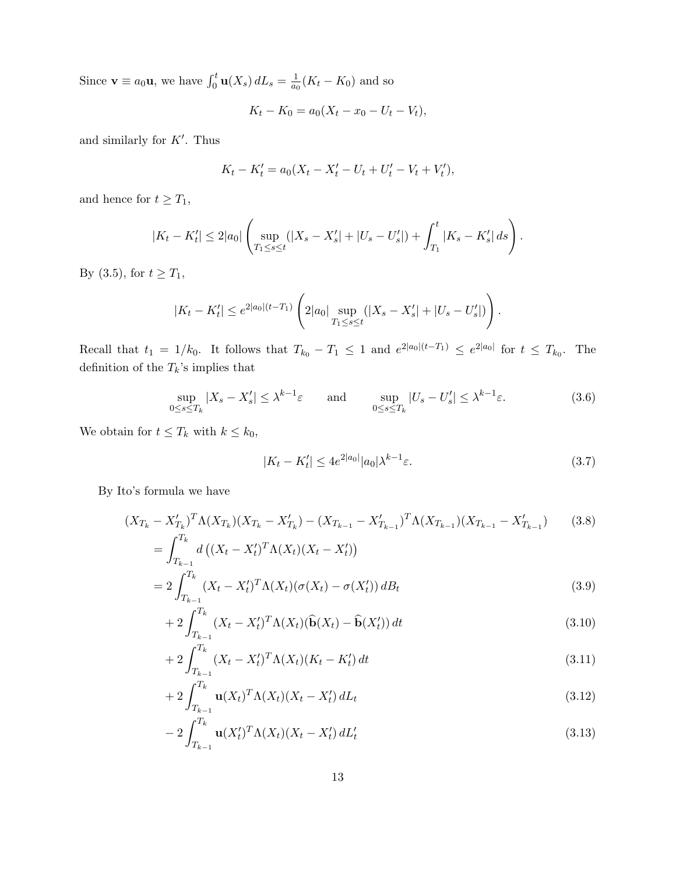Since  $\mathbf{v} \equiv a_0 \mathbf{u}$ , we have  $\int_0^t \mathbf{u}(X_s) dL_s = \frac{1}{a_0}$  $\frac{1}{a_0}(K_t - K_0)$  and so

$$
K_t - K_0 = a_0(X_t - x_0 - U_t - V_t),
$$

and similarly for  $K'$ . Thus

$$
K_t - K'_t = a_0(X_t - X'_t - U_t + U'_t - V_t + V'_t),
$$

and hence for  $t \geq T_1$ ,

$$
|K_t - K'_t| \le 2|a_0| \left( \sup_{T_1 \le s \le t} (|X_s - X'_s| + |U_s - U'_s|) + \int_{T_1}^t |K_s - K'_s| \, ds \right).
$$

By (3.5), for  $t \ge T_1$ ,

$$
|K_t - K'_t| \le e^{2|a_0|(t-T_1)} \left( 2|a_0| \sup_{T_1 \le s \le t} (|X_s - X'_s| + |U_s - U'_s|) \right).
$$

Recall that  $t_1 = 1/k_0$ . It follows that  $T_{k_0} - T_1 \leq 1$  and  $e^{2|a_0|(t-T_1)} \leq e^{2|a_0|}$  for  $t \leq T_{k_0}$ . The definition of the  $T_k\!\!$  's implies that

$$
\sup_{0 \le s \le T_k} |X_s - X'_s| \le \lambda^{k-1} \varepsilon \quad \text{and} \quad \sup_{0 \le s \le T_k} |U_s - U'_s| \le \lambda^{k-1} \varepsilon. \tag{3.6}
$$

We obtain for  $t \leq T_k$  with  $k \leq k_0$ ,

$$
|K_t - K'_t| \le 4e^{2|a_0|} |a_0| \lambda^{k-1} \varepsilon. \tag{3.7}
$$

By Ito's formula we have

$$
(X_{T_k} - X'_{T_k})^T \Lambda (X_{T_k}) (X_{T_k} - X'_{T_k}) - (X_{T_{k-1}} - X'_{T_{k-1}})^T \Lambda (X_{T_{k-1}}) (X_{T_{k-1}} - X'_{T_{k-1}}) \tag{3.8}
$$

$$
= \int_{T_k}^{T_k} d \left( (X_t - X'_t)^T \Lambda (X_t) (X_t - X'_t) \right)
$$

$$
J_{T_{k-1}}^{T_k}
$$
  
= 
$$
2 \int_{T_{k-1}}^{T_k} (X_t - X_t')^T \Lambda(X_t) (\sigma(X_t) - \sigma(X_t')) dB_t
$$
 (3.9)

$$
+2\int_{T_{k-1}}^{T_k} (X_t - X_t')^T \Lambda(X_t)(\widehat{\mathbf{b}}(X_t) - \widehat{\mathbf{b}}(X_t')) dt
$$
\n(3.10)

$$
+ 2 \int_{T_{k-1}}^{T_k} (X_t - X_t')^T \Lambda(X_t) (K_t - K_t') dt \tag{3.11}
$$

$$
+ 2 \int_{T_{k-1}}^{T_k} \mathbf{u}(X_t)^T \Lambda(X_t) (X_t - X_t') dL_t \tag{3.12}
$$

$$
-2\int_{T_{k-1}}^{T_k} \mathbf{u}(X'_t)^T \Lambda(X_t) (X_t - X'_t) dL'_t \tag{3.13}
$$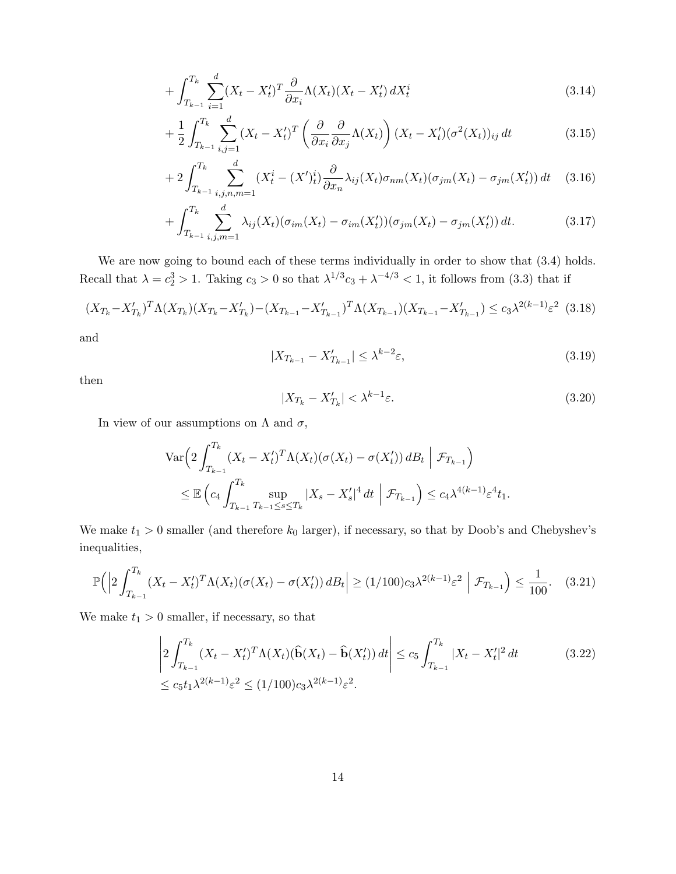$$
+\int_{T_{k-1}}^{T_k} \sum_{i=1}^d (X_t - X_t')^T \frac{\partial}{\partial x_i} \Lambda(X_t) (X_t - X_t') dX_t^i \tag{3.14}
$$

$$
+\frac{1}{2}\int_{T_{k-1}}^{T_k}\sum_{i,j=1}^d (X_t-X_t')^T\left(\frac{\partial}{\partial x_i}\frac{\partial}{\partial x_j}\Lambda(X_t)\right)(X_t-X_t')(\sigma^2(X_t))_{ij} dt\tag{3.15}
$$

$$
+2\int_{T_{k-1}}^{T_k} \sum_{i,j,n,m=1}^d (X_t^i - (X')_t^i) \frac{\partial}{\partial x_n} \lambda_{ij}(X_t) \sigma_{nm}(X_t) (\sigma_{jm}(X_t) - \sigma_{jm}(X'_t)) dt \quad (3.16)
$$

$$
+\int_{T_{k-1}}^{T_k} \sum_{i,j,m=1}^d \lambda_{ij}(X_t)(\sigma_{im}(X_t) - \sigma_{im}(X'_t))(\sigma_{jm}(X_t) - \sigma_{jm}(X'_t)) dt.
$$
 (3.17)

We are now going to bound each of these terms individually in order to show that  $(3.4)$  holds. Recall that  $\lambda = c_2^3 > 1$ . Taking  $c_3 > 0$  so that  $\lambda^{1/3}c_3 + \lambda^{-4/3} < 1$ , it follows from (3.3) that if

$$
(X_{T_k} - X'_{T_k})^T \Lambda (X_{T_k}) (X_{T_k} - X'_{T_k}) - (X_{T_{k-1}} - X'_{T_{k-1}})^T \Lambda (X_{T_{k-1}}) (X_{T_{k-1}} - X'_{T_{k-1}}) \le c_3 \lambda^{2(k-1)} \varepsilon^2
$$
(3.18)

and

$$
|X_{T_{k-1}} - X'_{T_{k-1}}| \le \lambda^{k-2} \varepsilon,\tag{3.19}
$$

then

$$
|X_{T_k} - X'_{T_k}| < \lambda^{k-1} \varepsilon. \tag{3.20}
$$

In view of our assumptions on  $\Lambda$  and  $\sigma$ ,

$$
\operatorname{Var}\left(2\int_{T_{k-1}}^{T_k} (X_t - X'_t)^T \Lambda(X_t) (\sigma(X_t) - \sigma(X'_t)) \, dB_t \mid \mathcal{F}_{T_{k-1}}\right) \\
\leq \mathbb{E}\left(c_4 \int_{T_{k-1}}^{T_k} \sup_{T_{k-1} \leq s \leq T_k} |X_s - X'_s|^4 \, dt \mid \mathcal{F}_{T_{k-1}}\right) \leq c_4 \lambda^{4(k-1)} \varepsilon^4 t_1.
$$

We make  $t_1 > 0$  smaller (and therefore  $k_0$  larger), if necessary, so that by Doob's and Chebyshev's inequalities,

$$
\mathbb{P}\Big(\Big|2\int_{T_{k-1}}^{T_k} (X_t - X_t')^T \Lambda(X_t) (\sigma(X_t) - \sigma(X_t')) \, dB_t \Big| \ge (1/100)c_3 \lambda^{2(k-1)} \varepsilon^2 \Big| \, \mathcal{F}_{T_{k-1}} \Big) \le \frac{1}{100}.\tag{3.21}
$$

We make  $t_1 > 0$  smaller, if necessary, so that

$$
\left| 2 \int_{T_{k-1}}^{T_k} (X_t - X_t')^T \Lambda(X_t) (\widehat{\mathbf{b}}(X_t) - \widehat{\mathbf{b}}(X_t')) dt \right| \le c_5 \int_{T_{k-1}}^{T_k} |X_t - X_t'|^2 dt \qquad (3.22)
$$
  

$$
\le c_5 t_1 \lambda^{2(k-1)} \varepsilon^2 \le (1/100) c_3 \lambda^{2(k-1)} \varepsilon^2.
$$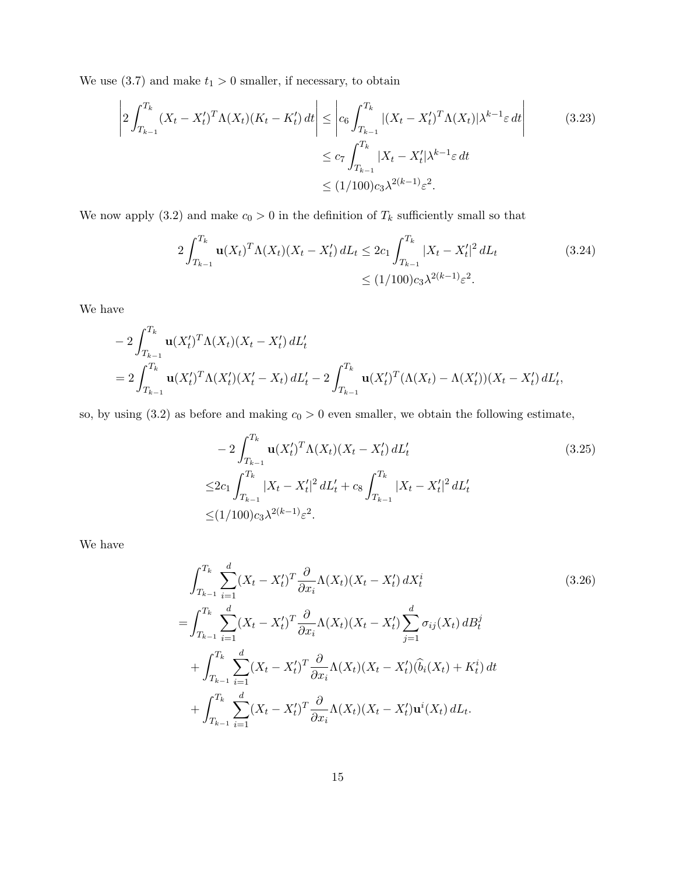We use (3.7) and make  $t_1 > 0$  smaller, if necessary, to obtain

$$
\left| 2 \int_{T_{k-1}}^{T_k} (X_t - X_t')^T \Lambda(X_t) (K_t - K_t') dt \right| \leq \left| c_6 \int_{T_{k-1}}^{T_k} |(X_t - X_t')^T \Lambda(X_t)| \lambda^{k-1} \varepsilon dt \right|
$$
\n
$$
\leq c_7 \int_{T_{k-1}}^{T_k} |X_t - X_t'| \lambda^{k-1} \varepsilon dt
$$
\n
$$
\leq (1/100) c_3 \lambda^{2(k-1)} \varepsilon^2.
$$
\n(3.23)

We now apply (3.2) and make  $c_0 > 0$  in the definition of  $T_k$  sufficiently small so that

$$
2\int_{T_{k-1}}^{T_k} \mathbf{u}(X_t)^T \Lambda(X_t) (X_t - X_t') dL_t \le 2c_1 \int_{T_{k-1}}^{T_k} |X_t - X_t'|^2 dL_t
$$
\n
$$
\le (1/100)c_3 \lambda^{2(k-1)} \varepsilon^2.
$$
\n(3.24)

We have

$$
- 2 \int_{T_{k-1}}^{T_k} \mathbf{u}(X'_t)^T \Lambda(X_t) (X_t - X'_t) dL'_t
$$
  
= 
$$
2 \int_{T_{k-1}}^{T_k} \mathbf{u}(X'_t)^T \Lambda(X'_t) (X'_t - X_t) dL'_t - 2 \int_{T_{k-1}}^{T_k} \mathbf{u}(X'_t)^T (\Lambda(X_t) - \Lambda(X'_t)) (X_t - X'_t) dL'_t,
$$

so, by using  $(3.2)$  as before and making  $c_0 > 0$  even smaller, we obtain the following estimate,

$$
-2\int_{T_{k-1}}^{T_k} \mathbf{u}(X'_t)^T \Lambda(X_t)(X_t - X'_t) dL'_t
$$
\n
$$
\leq 2c_1 \int_{T_{k-1}}^{T_k} |X_t - X'_t|^2 dL'_t + c_8 \int_{T_{k-1}}^{T_k} |X_t - X'_t|^2 dL'_t
$$
\n
$$
\leq (1/100)c_3 \lambda^{2(k-1)} \varepsilon^2.
$$
\n(3.25)

We have

$$
\int_{T_{k-1}}^{T_k} \sum_{i=1}^d (X_t - X'_t)^T \frac{\partial}{\partial x_i} \Lambda(X_t) (X_t - X'_t) dX_t^i
$$
\n
$$
= \int_{T_{k-1}}^{T_k} \sum_{i=1}^d (X_t - X'_t)^T \frac{\partial}{\partial x_i} \Lambda(X_t) (X_t - X'_t) \sum_{j=1}^d \sigma_{ij}(X_t) dB_t^j
$$
\n
$$
+ \int_{T_{k-1}}^{T_k} \sum_{i=1}^d (X_t - X'_t)^T \frac{\partial}{\partial x_i} \Lambda(X_t) (X_t - X'_t) (\hat{b}_i(X_t) + K_t^i) dt
$$
\n
$$
+ \int_{T_{k-1}}^{T_k} \sum_{i=1}^d (X_t - X'_t)^T \frac{\partial}{\partial x_i} \Lambda(X_t) (X_t - X'_t) \mathbf{u}^i(X_t) dL_t.
$$
\n(3.26)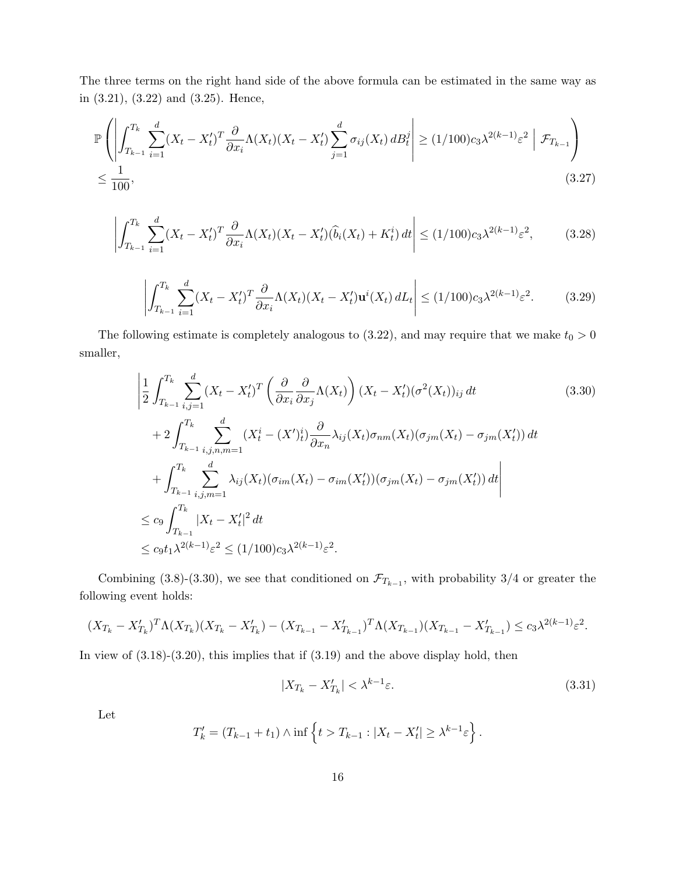The three terms on the right hand side of the above formula can be estimated in the same way as in (3.21), (3.22) and (3.25). Hence,

$$
\mathbb{P}\left(\left|\int_{T_{k-1}}^{T_k} \sum_{i=1}^d (X_t - X_t')^T \frac{\partial}{\partial x_i} \Lambda(X_t) (X_t - X_t') \sum_{j=1}^d \sigma_{ij}(X_t) \, dB_t^j\right| \ge (1/100)c_3 \lambda^{2(k-1)} \varepsilon^2 \left|\mathcal{F}_{T_{k-1}}\right)
$$
\n
$$
\le \frac{1}{100},\tag{3.27}
$$

$$
\left| \int_{T_{k-1}}^{T_k} \sum_{i=1}^d (X_t - X_t')^T \frac{\partial}{\partial x_i} \Lambda(X_t) (X_t - X_t') (\hat{b}_i(X_t) + K_t^i) dt \right| \le (1/100) c_3 \lambda^{2(k-1)} \varepsilon^2, \tag{3.28}
$$

$$
\left| \int_{T_{k-1}}^{T_k} \sum_{i=1}^d (X_t - X_t')^T \frac{\partial}{\partial x_i} \Lambda(X_t) (X_t - X_t') \mathbf{u}^i(X_t) \, dL_t \right| \le (1/100) c_3 \lambda^{2(k-1)} \varepsilon^2. \tag{3.29}
$$

The following estimate is completely analogous to (3.22), and may require that we make  $t_0 > 0$ smaller,

$$
\left| \frac{1}{2} \int_{T_{k-1}}^{T_k} \sum_{i,j=1}^d (X_t - X_t')^T \left( \frac{\partial}{\partial x_i} \frac{\partial}{\partial x_j} \Lambda(X_t) \right) (X_t - X_t') (\sigma^2(X_t))_{ij} dt \right|
$$
\n
$$
+ 2 \int_{T_{k-1}}^{T_k} \sum_{i,j,n,m=1}^d (X_t^i - (X')_t^i) \frac{\partial}{\partial x_n} \lambda_{ij} (X_t) \sigma_{nm}(X_t) (\sigma_{jm}(X_t) - \sigma_{jm}(X_t')) dt
$$
\n
$$
+ \int_{T_{k-1}}^{T_k} \sum_{i,j,m=1}^d \lambda_{ij} (X_t) (\sigma_{im}(X_t) - \sigma_{im}(X_t')) (\sigma_{jm}(X_t) - \sigma_{jm}(X_t')) dt
$$
\n
$$
\leq c_9 \int_{T_{k-1}}^{T_k} |X_t - X_t'|^2 dt
$$
\n
$$
\leq c_9 t_1 \lambda^{2(k-1)} \varepsilon^2 \leq (1/100) c_3 \lambda^{2(k-1)} \varepsilon^2.
$$
\n(1/100)

Combining (3.8)-(3.30), we see that conditioned on  $\mathcal{F}_{T_{k-1}}$ , with probability 3/4 or greater the following event holds:

$$
(X_{T_k} - X'_{T_k})^T \Lambda (X_{T_k}) (X_{T_k} - X'_{T_k}) - (X_{T_{k-1}} - X'_{T_{k-1}})^T \Lambda (X_{T_{k-1}}) (X_{T_{k-1}} - X'_{T_{k-1}}) \le c_3 \lambda^{2(k-1)} \varepsilon^2.
$$

In view of  $(3.18)-(3.20)$ , this implies that if  $(3.19)$  and the above display hold, then

$$
|X_{T_k} - X'_{T_k}| < \lambda^{k-1} \varepsilon. \tag{3.31}
$$

Let

$$
T'_{k} = (T_{k-1} + t_1) \wedge \inf \left\{ t > T_{k-1} : |X_t - X'_t| \geq \lambda^{k-1} \varepsilon \right\}.
$$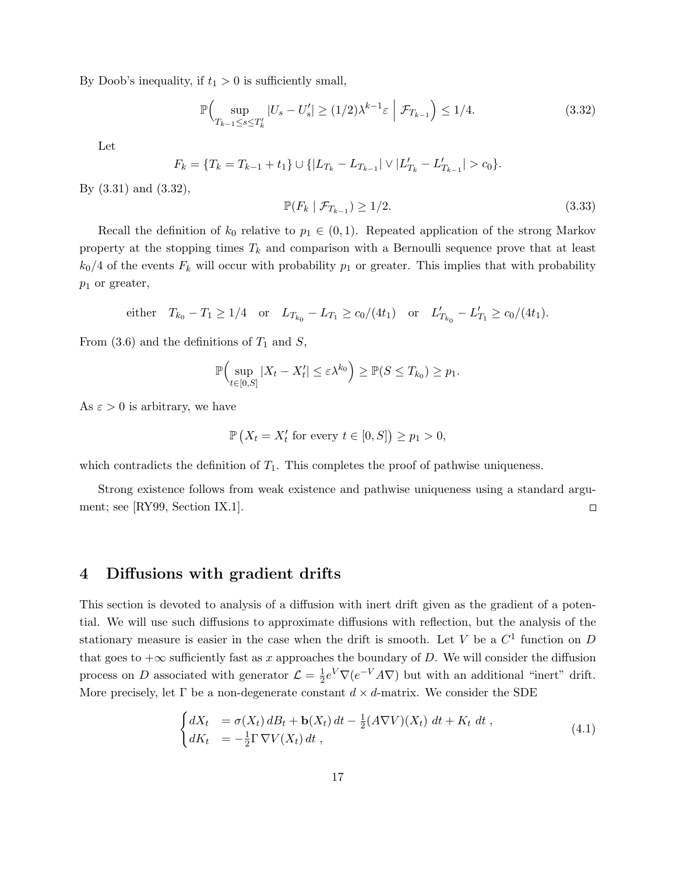By Doob's inequality, if  $t_1 > 0$  is sufficiently small,

$$
\mathbb{P}\Big(\sup_{T_{k-1}\leq s\leq T'_k}|U_s-U'_s|\geq (1/2)\lambda^{k-1}\varepsilon\Big|\mathcal{F}_{T_{k-1}}\Big)\leq 1/4.\tag{3.32}
$$

Let

$$
F_k = \{T_k = T_{k-1} + t_1\} \cup \{|L_{T_k} - L_{T_{k-1}}| \vee |L'_{T_k} - L'_{T_{k-1}}| > c_0\}.
$$

By (3.31) and (3.32),

$$
\mathbb{P}(F_k \mid \mathcal{F}_{T_{k-1}}) \ge 1/2. \tag{3.33}
$$

Recall the definition of  $k_0$  relative to  $p_1 \in (0,1)$ . Repeated application of the strong Markov property at the stopping times  $T_k$  and comparison with a Bernoulli sequence prove that at least  $k_0/4$  of the events  $F_k$  will occur with probability  $p_1$  or greater. This implies that with probability  $p_1$  or greater,

either 
$$
T_{k_0} - T_1 \ge 1/4
$$
 or  $L_{T_{k_0}} - L_{T_1} \ge c_0/(4t_1)$  or  $L'_{T_{k_0}} - L'_{T_1} \ge c_0/(4t_1)$ .

From  $(3.6)$  and the definitions of  $T_1$  and  $S$ ,

$$
\mathbb{P}\Big(\sup_{t\in[0,S]}|X_t-X'_t|\leq \varepsilon\lambda^{k_0}\Big)\geq \mathbb{P}(S\leq T_{k_0})\geq p_1.
$$

As  $\varepsilon > 0$  is arbitrary, we have

$$
\mathbb{P}\left(X_t = X'_t \text{ for every } t \in [0, S]\right) \ge p_1 > 0,
$$

which contradicts the definition of  $T_1$ . This completes the proof of pathwise uniqueness.

Strong existence follows from weak existence and pathwise uniqueness using a standard argument; see [RY99, Section IX.1].  $\Box$ 

### 4 Diffusions with gradient drifts

This section is devoted to analysis of a diffusion with inert drift given as the gradient of a potential. We will use such diffusions to approximate diffusions with reflection, but the analysis of the stationary measure is easier in the case when the drift is smooth. Let V be a  $C<sup>1</sup>$  function on D that goes to  $+\infty$  sufficiently fast as x approaches the boundary of D. We will consider the diffusion process on D associated with generator  $\mathcal{L} = \frac{1}{2}$  $\frac{1}{2}e^V\nabla(e^{-V}A\nabla)$  but with an additional "inert" drift. More precisely, let  $\Gamma$  be a non-degenerate constant  $d \times d$ -matrix. We consider the SDE

$$
\begin{cases}\ndX_t = \sigma(X_t) dB_t + \mathbf{b}(X_t) dt - \frac{1}{2}(A\nabla V)(X_t) dt + K_t dt, \\
dK_t = -\frac{1}{2}\Gamma \nabla V(X_t) dt,\n\end{cases} \tag{4.1}
$$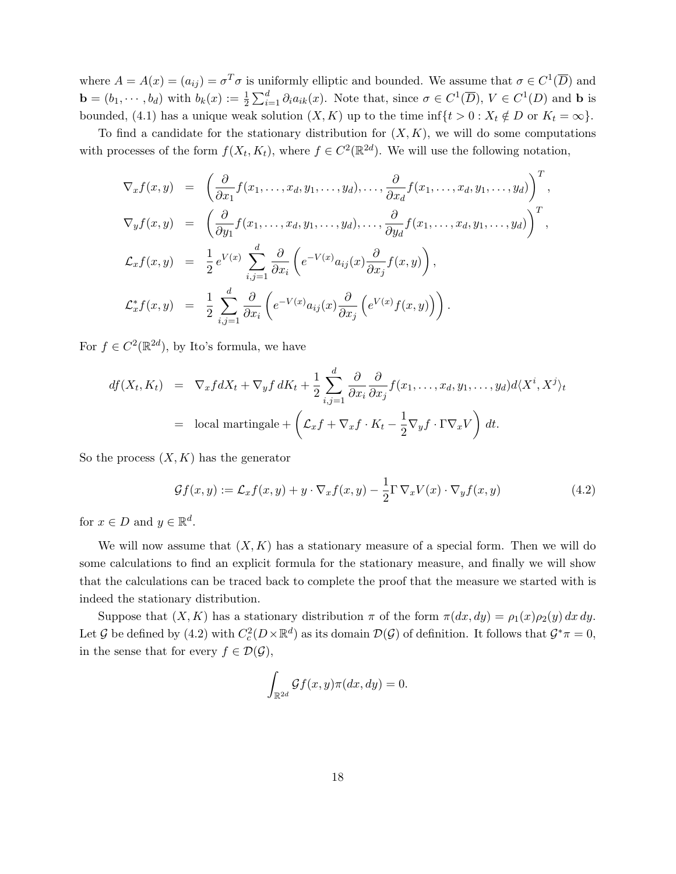where  $A = A(x) = (a_{ij}) = \sigma^T \sigma$  is uniformly elliptic and bounded. We assume that  $\sigma \in C^1(\overline{D})$  and  $\mathbf{b} = (b_1, \dots, b_d)$  with  $b_k(x) := \frac{1}{2} \sum_{i=1}^d \partial_i a_{ik}(x)$ . Note that, since  $\sigma \in C^1(\overline{D}), V \in C^1(D)$  and  $\mathbf{b}$  is bounded, (4.1) has a unique weak solution  $(X, K)$  up to the time inf $\{t > 0 : X_t \notin D$  or  $K_t = \infty\}.$ 

To find a candidate for the stationary distribution for  $(X, K)$ , we will do some computations with processes of the form  $f(X_t, K_t)$ , where  $f \in C^2(\mathbb{R}^{2d})$ . We will use the following notation,

$$
\nabla_x f(x, y) = \left( \frac{\partial}{\partial x_1} f(x_1, \dots, x_d, y_1, \dots, y_d), \dots, \frac{\partial}{\partial x_d} f(x_1, \dots, x_d, y_1, \dots, y_d) \right)^T,
$$
  
\n
$$
\nabla_y f(x, y) = \left( \frac{\partial}{\partial y_1} f(x_1, \dots, x_d, y_1, \dots, y_d), \dots, \frac{\partial}{\partial y_d} f(x_1, \dots, x_d, y_1, \dots, y_d) \right)^T,
$$
  
\n
$$
\mathcal{L}_x f(x, y) = \frac{1}{2} e^{V(x)} \sum_{i,j=1}^d \frac{\partial}{\partial x_i} \left( e^{-V(x)} a_{ij}(x) \frac{\partial}{\partial x_j} f(x, y) \right),
$$
  
\n
$$
\mathcal{L}_x^* f(x, y) = \frac{1}{2} \sum_{i,j=1}^d \frac{\partial}{\partial x_i} \left( e^{-V(x)} a_{ij}(x) \frac{\partial}{\partial x_j} \left( e^{V(x)} f(x, y) \right) \right).
$$

For  $f \in C^2(\mathbb{R}^{2d})$ , by Ito's formula, we have

$$
df(X_t, K_t) = \nabla_x f dX_t + \nabla_y f dK_t + \frac{1}{2} \sum_{i,j=1}^d \frac{\partial}{\partial x_i} \frac{\partial}{\partial x_j} f(x_1, \dots, x_d, y_1, \dots, y_d) d\langle X^i, X^j \rangle_t
$$
  
\n= local martingale + \left( \mathcal{L}\_x f + \nabla\_x f \cdot K\_t - \frac{1}{2} \nabla\_y f \cdot \Gamma \nabla\_x V \right) dt.

So the process  $(X, K)$  has the generator

$$
\mathcal{G}f(x,y) := \mathcal{L}_x f(x,y) + y \cdot \nabla_x f(x,y) - \frac{1}{2} \Gamma \nabla_x V(x) \cdot \nabla_y f(x,y) \tag{4.2}
$$

for  $x \in D$  and  $y \in \mathbb{R}^d$ .

We will now assume that  $(X, K)$  has a stationary measure of a special form. Then we will do some calculations to find an explicit formula for the stationary measure, and finally we will show that the calculations can be traced back to complete the proof that the measure we started with is indeed the stationary distribution.

Suppose that  $(X, K)$  has a stationary distribution  $\pi$  of the form  $\pi(dx, dy) = \rho_1(x)\rho_2(y) dx dy$ . Let G be defined by (4.2) with  $C_c^2(D\times\mathbb{R}^d)$  as its domain  $\mathcal{D}(\mathcal{G})$  of definition. It follows that  $\mathcal{G}^*\pi=0$ , in the sense that for every  $f \in \mathcal{D}(\mathcal{G}),$ 

$$
\int_{\mathbb{R}^{2d}} \mathcal{G}f(x,y)\pi(dx,dy) = 0.
$$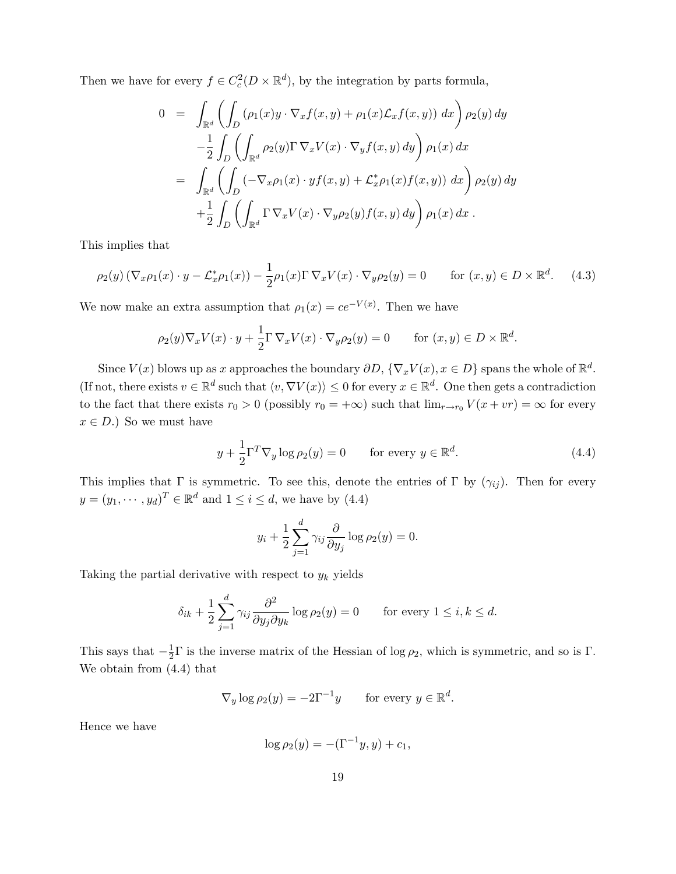Then we have for every  $f \in C_c^2(D \times \mathbb{R}^d)$ , by the integration by parts formula,

$$
0 = \int_{\mathbb{R}^d} \left( \int_D (\rho_1(x) y \cdot \nabla_x f(x, y) + \rho_1(x) \mathcal{L}_x f(x, y)) dx \right) \rho_2(y) dy
$$
  

$$
- \frac{1}{2} \int_D \left( \int_{\mathbb{R}^d} \rho_2(y) \Gamma \nabla_x V(x) \cdot \nabla_y f(x, y) dy \right) \rho_1(x) dx
$$
  

$$
= \int_{\mathbb{R}^d} \left( \int_D (-\nabla_x \rho_1(x) \cdot y f(x, y) + \mathcal{L}_x^* \rho_1(x) f(x, y)) dx \right) \rho_2(y) dy
$$
  

$$
+ \frac{1}{2} \int_D \left( \int_{\mathbb{R}^d} \Gamma \nabla_x V(x) \cdot \nabla_y \rho_2(y) f(x, y) dy \right) \rho_1(x) dx.
$$

This implies that

$$
\rho_2(y) \left( \nabla_x \rho_1(x) \cdot y - \mathcal{L}_x^* \rho_1(x) \right) - \frac{1}{2} \rho_1(x) \Gamma \nabla_x V(x) \cdot \nabla_y \rho_2(y) = 0 \quad \text{for } (x, y) \in D \times \mathbb{R}^d. \tag{4.3}
$$

We now make an extra assumption that  $\rho_1(x) = ce^{-V(x)}$ . Then we have

$$
\rho_2(y)\nabla_x V(x) \cdot y + \frac{1}{2}\Gamma \nabla_x V(x) \cdot \nabla_y \rho_2(y) = 0 \quad \text{for } (x, y) \in D \times \mathbb{R}^d.
$$

Since  $V(x)$  blows up as x approaches the boundary  $\partial D$ ,  $\{\nabla_x V(x), x \in D\}$  spans the whole of  $\mathbb{R}^d$ . (If not, there exists  $v \in \mathbb{R}^d$  such that  $\langle v, \nabla V(x) \rangle \leq 0$  for every  $x \in \mathbb{R}^d$ . One then gets a contradiction to the fact that there exists  $r_0 > 0$  (possibly  $r_0 = +\infty$ ) such that  $\lim_{r \to r_0} V(x + v r) = \infty$  for every  $x \in D.$ ) So we must have

$$
y + \frac{1}{2}\Gamma^T \nabla_y \log \rho_2(y) = 0 \qquad \text{for every } y \in \mathbb{R}^d.
$$
 (4.4)

This implies that Γ is symmetric. To see this, denote the entries of Γ by  $(\gamma_{ij})$ . Then for every  $y = (y_1, \dots, y_d)^T \in \mathbb{R}^d$  and  $1 \leq i \leq d$ , we have by (4.4)

$$
y_i + \frac{1}{2} \sum_{j=1}^d \gamma_{ij} \frac{\partial}{\partial y_j} \log \rho_2(y) = 0.
$$

Taking the partial derivative with respect to  $y_k$  yields

$$
\delta_{ik} + \frac{1}{2} \sum_{j=1}^d \gamma_{ij} \frac{\partial^2}{\partial y_j \partial y_k} \log \rho_2(y) = 0 \quad \text{for every } 1 \le i, k \le d.
$$

This says that  $-\frac{1}{2}$  $\frac{1}{2}\Gamma$  is the inverse matrix of the Hessian of log  $\rho_2$ , which is symmetric, and so is  $\Gamma$ . We obtain from (4.4) that

$$
\nabla_y \log \rho_2(y) = -2\Gamma^{-1}y \quad \text{for every } y \in \mathbb{R}^d.
$$

Hence we have

$$
\log \rho_2(y) = -(\Gamma^{-1}y, y) + c_1,
$$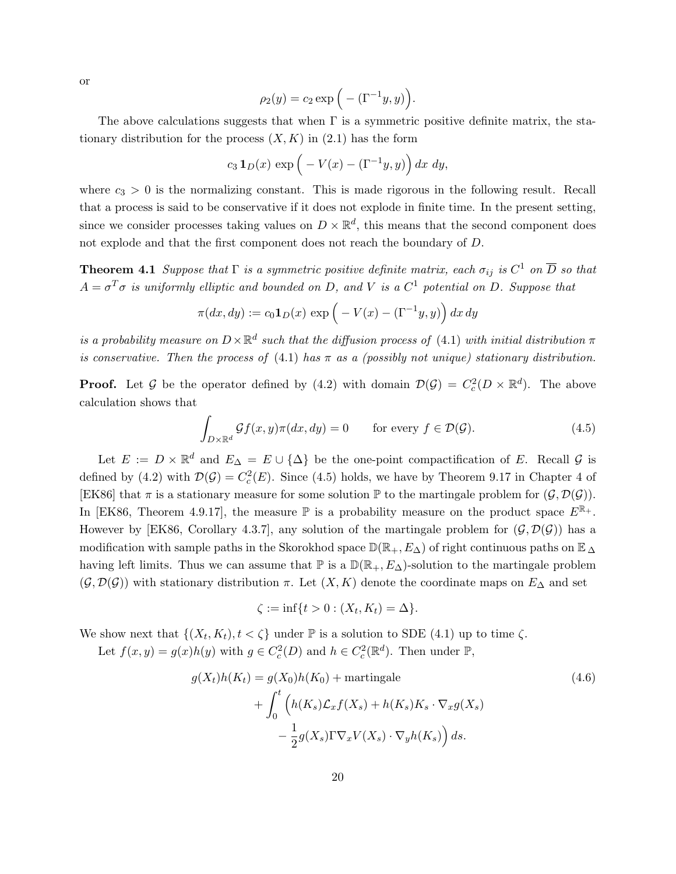or

$$
\rho_2(y) = c_2 \exp\left(-\left(\Gamma^{-1}y, y\right)\right)
$$

.

The above calculations suggests that when  $\Gamma$  is a symmetric positive definite matrix, the stationary distribution for the process  $(X, K)$  in  $(2.1)$  has the form

$$
c_3 \mathbf{1}_D(x) \exp\left(-V(x) - (\Gamma^{-1}y, y)\right) dx dy,
$$

where  $c_3 > 0$  is the normalizing constant. This is made rigorous in the following result. Recall that a process is said to be conservative if it does not explode in finite time. In the present setting, since we consider processes taking values on  $D \times \mathbb{R}^d$ , this means that the second component does not explode and that the first component does not reach the boundary of D.

**Theorem 4.1** Suppose that  $\Gamma$  is a symmetric positive definite matrix, each  $\sigma_{ij}$  is  $C^1$  on  $\overline{D}$  so that  $A = \sigma^T \sigma$  is uniformly elliptic and bounded on D, and V is a  $C^1$  potential on D. Suppose that

$$
\pi(dx, dy) := c_0 \mathbf{1}_D(x) \exp\left(-V(x) - (\Gamma^{-1}y, y)\right) dx dy
$$

is a probability measure on  $D\times\mathbb{R}^d$  such that the diffusion process of (4.1) with initial distribution  $\pi$ is conservative. Then the process of  $(4.1)$  has  $\pi$  as a (possibly not unique) stationary distribution.

**Proof.** Let G be the operator defined by (4.2) with domain  $\mathcal{D}(\mathcal{G}) = C_c^2(D \times \mathbb{R}^d)$ . The above calculation shows that

$$
\int_{D \times \mathbb{R}^d} \mathcal{G}f(x, y)\pi(dx, dy) = 0 \quad \text{for every } f \in \mathcal{D}(\mathcal{G}).
$$
\n(4.5)

Let  $E := D \times \mathbb{R}^d$  and  $E_{\Delta} = E \cup {\Delta}$  be the one-point compactification of E. Recall G is defined by (4.2) with  $\mathcal{D}(\mathcal{G}) = C_c^2(E)$ . Since (4.5) holds, we have by Theorem 9.17 in Chapter 4 of [EK86] that  $\pi$  is a stationary measure for some solution  $\mathbb P$  to the martingale problem for  $(\mathcal G, \mathcal D(\mathcal G))$ . In [EK86, Theorem 4.9.17], the measure  $\mathbb P$  is a probability measure on the product space  $E^{\mathbb R_+}$ . However by [EK86, Corollary 4.3.7], any solution of the martingale problem for  $(\mathcal{G}, \mathcal{D}(\mathcal{G}))$  has a modification with sample paths in the Skorokhod space  $\mathbb{D}(\mathbb{R}_+, E_\Delta)$  of right continuous paths on  $\mathbb{E}_\Delta$ having left limits. Thus we can assume that  $\mathbb P$  is a  $\mathbb D(\mathbb R_+, E_\Delta)$ -solution to the martingale problem  $(\mathcal{G}, \mathcal{D}(\mathcal{G}))$  with stationary distribution  $\pi$ . Let  $(X, K)$  denote the coordinate maps on  $E_{\Delta}$  and set

$$
\zeta := \inf\{t > 0 : (X_t, K_t) = \Delta\}.
$$

We show next that  $\{(X_t, K_t), t < \zeta\}$  under  $\mathbb P$  is a solution to SDE (4.1) up to time  $\zeta$ .

Let  $f(x, y) = g(x)h(y)$  with  $g \in C_c^2(D)$  and  $h \in C_c^2(\mathbb{R}^d)$ . Then under  $\mathbb{P}$ ,

$$
g(X_t)h(K_t) = g(X_0)h(K_0) + \text{martingale}
$$
  
+ 
$$
\int_0^t \left( h(K_s)\mathcal{L}_x f(X_s) + h(K_s)K_s \cdot \nabla_x g(X_s) - \frac{1}{2}g(X_s)\Gamma \nabla_x V(X_s) \cdot \nabla_y h(K_s) \right) ds.
$$
 (4.6)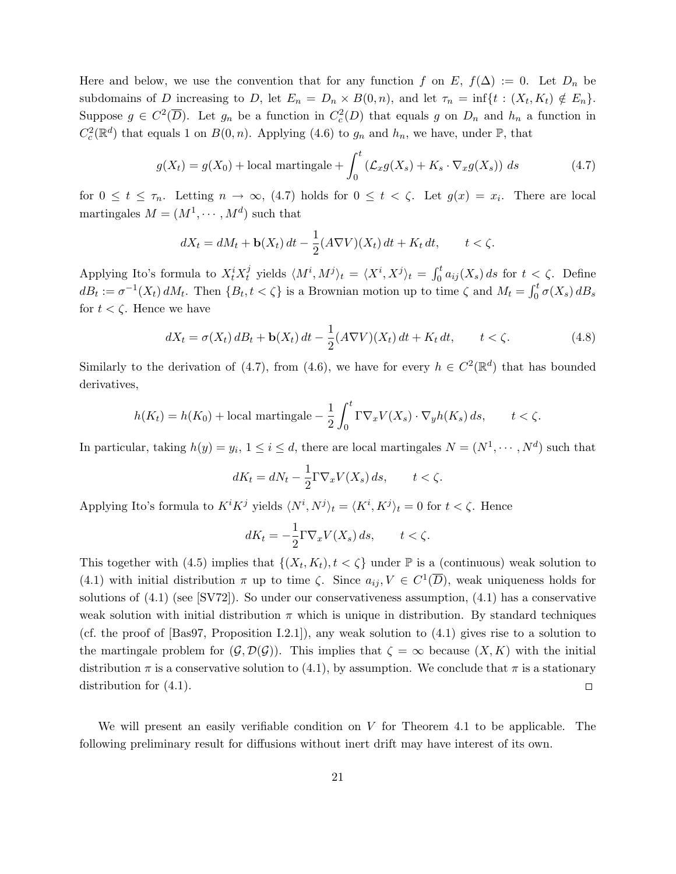Here and below, we use the convention that for any function f on E,  $f(\Delta) := 0$ . Let  $D_n$  be subdomains of D increasing to D, let  $E_n = D_n \times B(0,n)$ , and let  $\tau_n = \inf\{t : (X_t, K_t) \notin E_n\}.$ Suppose  $g \in C^2(\overline{D})$ . Let  $g_n$  be a function in  $C_c^2(D)$  that equals g on  $D_n$  and  $h_n$  a function in  $C_c^2(\mathbb{R}^d)$  that equals 1 on  $B(0,n)$ . Applying (4.6) to  $g_n$  and  $h_n$ , we have, under  $\mathbb{P}$ , that

$$
g(X_t) = g(X_0) + \text{local martingale} + \int_0^t \left( \mathcal{L}_x g(X_s) + K_s \cdot \nabla_x g(X_s) \right) ds \tag{4.7}
$$

for  $0 \le t \le \tau_n$ . Letting  $n \to \infty$ , (4.7) holds for  $0 \le t < \zeta$ . Let  $g(x) = x_i$ . There are local martingales  $M = (M^1, \dots, M^d)$  such that

$$
dX_t = dM_t + \mathbf{b}(X_t) dt - \frac{1}{2} (A \nabla V)(X_t) dt + K_t dt, \qquad t < \zeta.
$$

Applying Ito's formula to  $X_t^i X_t^j$  $y_t^j$  yields  $\langle M^i, M^j \rangle_t = \langle X^i, X^j \rangle_t = \int_0^t a_{ij}(X_s) ds$  for  $t < \zeta$ . Define  $dB_t := \sigma^{-1}(X_t) dM_t$ . Then  $\{B_t, t < \zeta\}$  is a Brownian motion up to time  $\zeta$  and  $M_t = \int_0^t \sigma(X_s) dB_s$ for  $t < \zeta$ . Hence we have

$$
dX_t = \sigma(X_t) dB_t + \mathbf{b}(X_t) dt - \frac{1}{2} (A \nabla V)(X_t) dt + K_t dt, \qquad t < \zeta.
$$
 (4.8)

Similarly to the derivation of (4.7), from (4.6), we have for every  $h \in C^2(\mathbb{R}^d)$  that has bounded derivatives,

$$
h(K_t) = h(K_0) + \text{local martingale} - \frac{1}{2} \int_0^t \Gamma \nabla_x V(X_s) \cdot \nabla_y h(K_s) \, ds, \qquad t < \zeta.
$$

In particular, taking  $h(y) = y_i, 1 \le i \le d$ , there are local martingales  $N = (N^1, \dots, N^d)$  such that

$$
dK_t = dN_t - \frac{1}{2} \Gamma \nabla_x V(X_s) \, ds, \qquad t < \zeta.
$$

Applying Ito's formula to  $K^i K^j$  yields  $\langle N^i, N^j \rangle_t = \langle K^i, K^j \rangle_t = 0$  for  $t < \zeta$ . Hence

$$
dK_t = -\frac{1}{2}\Gamma \nabla_x V(X_s) \, ds, \qquad t < \zeta.
$$

This together with (4.5) implies that  $\{(X_t, K_t), t < \zeta\}$  under  $\mathbb P$  is a (continuous) weak solution to (4.1) with initial distribution  $\pi$  up to time  $\zeta$ . Since  $a_{ij}, V \in C^1(\overline{D})$ , weak uniqueness holds for solutions of (4.1) (see [SV72]). So under our conservativeness assumption, (4.1) has a conservative weak solution with initial distribution  $\pi$  which is unique in distribution. By standard techniques (cf. the proof of [Bas97, Proposition I.2.1]), any weak solution to (4.1) gives rise to a solution to the martingale problem for  $(\mathcal{G}, \mathcal{D}(\mathcal{G}))$ . This implies that  $\zeta = \infty$  because  $(X, K)$  with the initial distribution  $\pi$  is a conservative solution to (4.1), by assumption. We conclude that  $\pi$  is a stationary distribution for (4.1).  $\Box$ 

We will present an easily verifiable condition on  $V$  for Theorem 4.1 to be applicable. The following preliminary result for diffusions without inert drift may have interest of its own.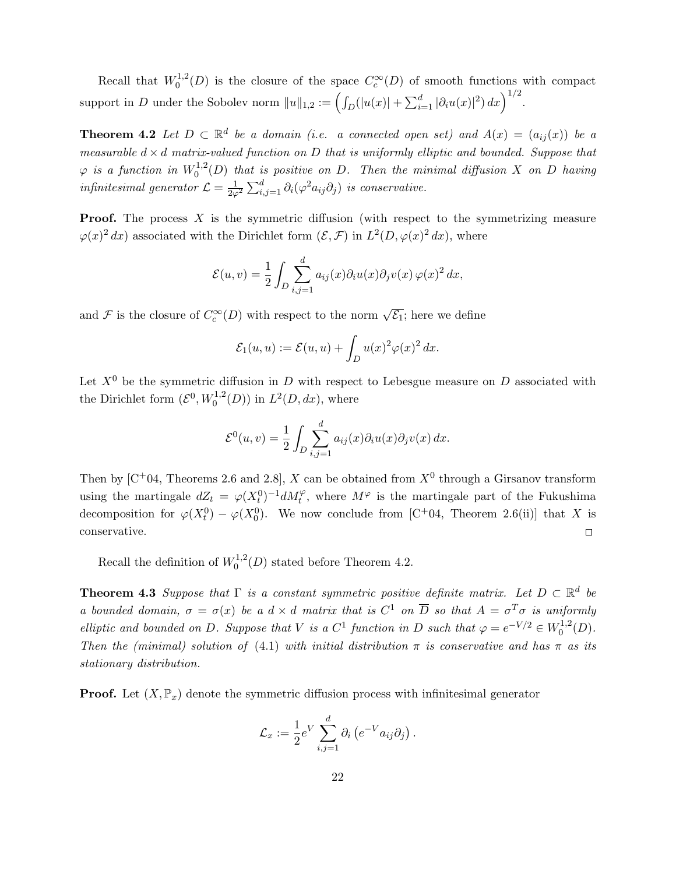Recall that  $W_0^{1,2}$  $C_0^{1,2}(D)$  is the closure of the space  $C_c^{\infty}(D)$  of smooth functions with compact support in D under the Sobolev norm  $||u||_{1,2} := \left(\int_D (|u(x)| + \sum_{i=1}^d |\partial_i u(x)|^2) dx\right)^{1/2}$ .

**Theorem 4.2** Let  $D \subset \mathbb{R}^d$  be a domain (i.e. a connected open set) and  $A(x) = (a_{ij}(x))$  be a measurable  $d \times d$  matrix-valued function on D that is uniformly elliptic and bounded. Suppose that  $\varphi$  is a function in  $W_0^{1,2}$  $\int_0^{1,2}(D)$  that is positive on D. Then the minimal diffusion X on D having infinitesimal generator  $\mathcal{L} = \frac{1}{2\varphi^2} \sum_{i,j=1}^d \partial_i (\varphi^2 a_{ij} \partial_j)$  is conservative.

**Proof.** The process  $X$  is the symmetric diffusion (with respect to the symmetrizing measure  $\varphi(x)^2 dx$  associated with the Dirichlet form  $(\mathcal{E}, \mathcal{F})$  in  $L^2(D, \varphi(x)^2 dx)$ , where

$$
\mathcal{E}(u,v) = \frac{1}{2} \int_D \sum_{i,j=1}^d a_{ij}(x) \partial_i u(x) \partial_j v(x) \varphi(x)^2 dx,
$$

and F is the closure of  $C_c^{\infty}(D)$  with respect to the norm  $\sqrt{\mathcal{E}_1}$ ; here we define

$$
\mathcal{E}_1(u, u) := \mathcal{E}(u, u) + \int_D u(x)^2 \varphi(x)^2 dx.
$$

Let  $X^0$  be the symmetric diffusion in D with respect to Lebesgue measure on D associated with the Dirichlet form  $(\mathcal{E}^0, W_0^{1,2}(D))$  in  $L^2(D, dx)$ , where

$$
\mathcal{E}^0(u,v) = \frac{1}{2} \int_D \sum_{i,j=1}^d a_{ij}(x) \partial_i u(x) \partial_j v(x) dx.
$$

Then by  $[C+04, Theorems 2.6 and 2.8], X can be obtained from  $X^0$  through a Girsanov transform$ using the martingale  $dZ_t = \varphi(X_t^0)^{-1} dM_t^{\varphi}$ , where  $M^{\varphi}$  is the martingale part of the Fukushima decomposition for  $\varphi(X_t^0) - \varphi(X_0^0)$ . We now conclude from [C+04, Theorem 2.6(ii)] that X is conservative.  $\Box$ 

Recall the definition of  $W_0^{1,2}$  $_{0}^{1,2}(D)$  stated before Theorem 4.2.

**Theorem 4.3** Suppose that  $\Gamma$  is a constant symmetric positive definite matrix. Let  $D \subset \mathbb{R}^d$  be a bounded domain,  $\sigma = \sigma(x)$  be a  $d \times d$  matrix that is  $C^1$  on  $\overline{D}$  so that  $A = \sigma^T \sigma$  is uniformly elliptic and bounded on D. Suppose that V is a  $C^1$  function in D such that  $\varphi = e^{-V/2} \in W_0^{1,2}$  $\binom{1,2}{0}$ . Then the (minimal) solution of (4.1) with initial distribution  $\pi$  is conservative and has  $\pi$  as its stationary distribution.

**Proof.** Let  $(X, \mathbb{P}_x)$  denote the symmetric diffusion process with infinitesimal generator

$$
\mathcal{L}_x := \frac{1}{2} e^V \sum_{i,j=1}^d \partial_i \left( e^{-V} a_{ij} \partial_j \right).
$$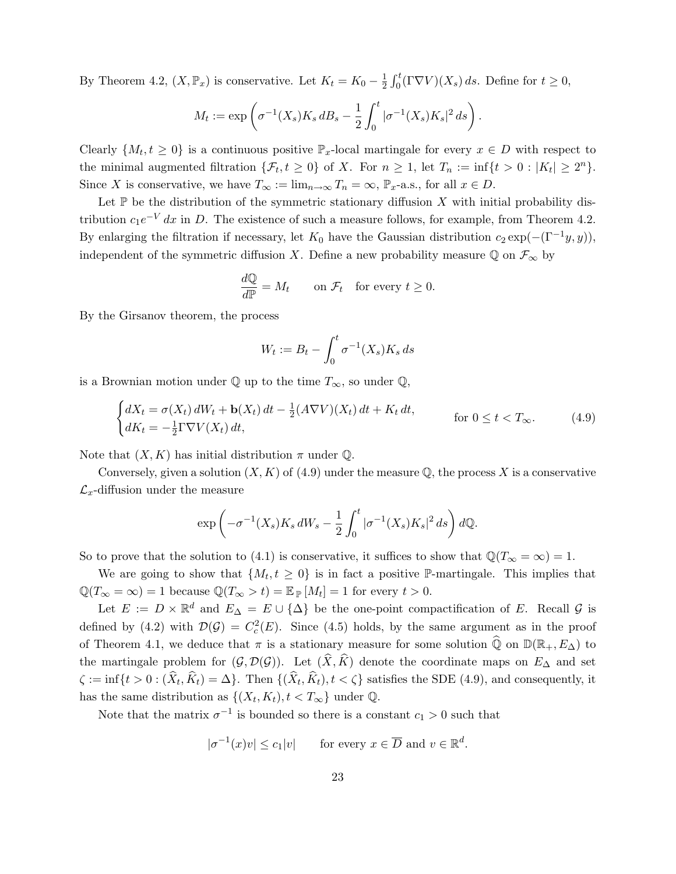By Theorem 4.2,  $(X, \mathbb{P}_x)$  is conservative. Let  $K_t = K_0 - \frac{1}{2}$  $\frac{1}{2} \int_0^t (\Gamma \nabla V)(X_s) ds$ . Define for  $t \geq 0$ ,

$$
M_t := \exp\left(\sigma^{-1}(X_s)K_s dB_s - \frac{1}{2}\int_0^t |\sigma^{-1}(X_s)K_s|^2 ds\right).
$$

Clearly  $\{M_t, t \geq 0\}$  is a continuous positive  $\mathbb{P}_x$ -local martingale for every  $x \in D$  with respect to the minimal augmented filtration  $\{\mathcal{F}_t, t \geq 0\}$  of X. For  $n \geq 1$ , let  $T_n := \inf\{t > 0 : |K_t| \geq 2^n\}$ . Since X is conservative, we have  $T_{\infty} := \lim_{n \to \infty} T_n = \infty$ ,  $\mathbb{P}_x$ -a.s., for all  $x \in D$ .

Let  $\mathbb P$  be the distribution of the symmetric stationary diffusion X with initial probability distribution  $c_1e^{-V} dx$  in D. The existence of such a measure follows, for example, from Theorem 4.2. By enlarging the filtration if necessary, let  $K_0$  have the Gaussian distribution  $c_2 \exp(-(\Gamma^{-1}y, y)),$ independent of the symmetric diffusion X. Define a new probability measure  $\mathbb Q$  on  $\mathcal F_{\infty}$  by

$$
\frac{d\mathbb{Q}}{d\mathbb{P}} = M_t \qquad \text{on } \mathcal{F}_t \quad \text{for every } t \ge 0.
$$

By the Girsanov theorem, the process

$$
W_t := B_t - \int_0^t \sigma^{-1}(X_s) K_s ds
$$

is a Brownian motion under  $\mathbb Q$  up to the time  $T_{\infty}$ , so under  $\mathbb Q$ ,

$$
\begin{cases} dX_t = \sigma(X_t) dW_t + \mathbf{b}(X_t) dt - \frac{1}{2} (A \nabla V)(X_t) dt + K_t dt, & \text{for } 0 \le t < T_\infty. \end{cases}
$$
 (4.9)

Note that  $(X, K)$  has initial distribution  $\pi$  under Q.

Conversely, given a solution  $(X, K)$  of (4.9) under the measure  $\mathbb Q$ , the process X is a conservative  $\mathcal{L}_x$ -diffusion under the measure

$$
\exp\left(-\sigma^{-1}(X_s)K_s dW_s - \frac{1}{2}\int_0^t |\sigma^{-1}(X_s)K_s|^2 ds\right) dQ.
$$

So to prove that the solution to (4.1) is conservative, it suffices to show that  $\mathbb{Q}(T_{\infty} = \infty) = 1$ .

We are going to show that  $\{M_t, t \geq 0\}$  is in fact a positive P-martingale. This implies that  $\mathbb{Q}(T_{\infty} = \infty) = 1$  because  $\mathbb{Q}(T_{\infty} > t) = \mathbb{E}_{\mathbb{P}}[M_t] = 1$  for every  $t > 0$ .

Let  $E := D \times \mathbb{R}^d$  and  $E_{\Delta} = E \cup {\Delta}$  be the one-point compactification of E. Recall G is defined by (4.2) with  $\mathcal{D}(\mathcal{G}) = C_c^2(E)$ . Since (4.5) holds, by the same argument as in the proof of Theorem 4.1, we deduce that  $\pi$  is a stationary measure for some solution  $\widehat{Q}$  on  $\mathbb{D}(\mathbb{R}_+, E_{\Delta})$  to the martingale problem for  $(\mathcal{G}, \mathcal{D}(\mathcal{G}))$ . Let  $(\widehat{X}, \widehat{K})$  denote the coordinate maps on  $E_{\Delta}$  and set  $\zeta := \inf\{t > 0 : (X_t, K_t) = \Delta\}$ . Then  $\{(X_t, K_t), t < \zeta\}$  satisfies the SDE (4.9), and consequently, it has the same distribution as  $\{(X_t, K_t), t < T_\infty\}$  under  $\mathbb{Q}$ .

Note that the matrix  $\sigma^{-1}$  is bounded so there is a constant  $c_1 > 0$  such that

$$
|\sigma^{-1}(x)v| \le c_1|v| \qquad \text{for every } x \in \overline{D} \text{ and } v \in \mathbb{R}^d.
$$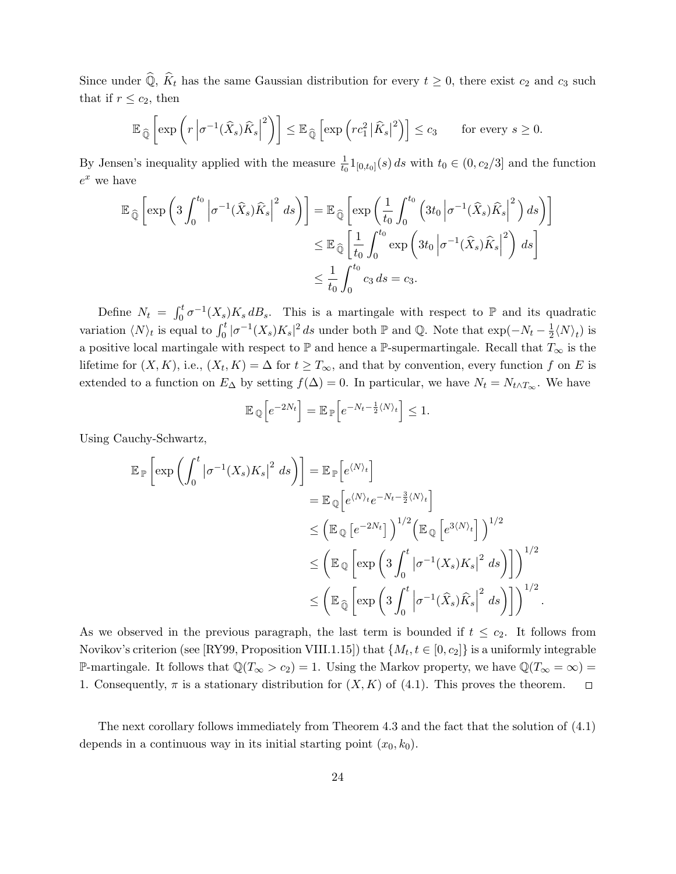Since under  $\widehat{Q}$ ,  $\widehat{K}_t$  has the same Gaussian distribution for every  $t \geq 0$ , there exist  $c_2$  and  $c_3$  such that if  $r \leq c_2$ , then

$$
\mathbb{E}_{\widehat{\mathbb{Q}}}\left[\exp\left(r\left|\sigma^{-1}(\widehat{X}_s)\widehat{K}_s\right|^2\right)\right] \leq \mathbb{E}_{\widehat{\mathbb{Q}}}\left[\exp\left(rc_1^2\left|\widehat{K}_s\right|^2\right)\right] \leq c_3 \quad \text{for every } s \geq 0.
$$

By Jensen's inequality applied with the measure  $\frac{1}{t_0} 1_{[0,t_0]}(s) ds$  with  $t_0 \in (0, c_2/3]$  and the function  $e^x$  we have

$$
\mathbb{E}_{\widehat{\mathbb{Q}}}\left[\exp\left(3\int_0^{t_0} \left|\sigma^{-1}(\widehat{X}_s)\widehat{K}_s\right|^2 ds\right)\right] = \mathbb{E}_{\widehat{\mathbb{Q}}}\left[\exp\left(\frac{1}{t_0}\int_0^{t_0} \left(3t_0 \left|\sigma^{-1}(\widehat{X}_s)\widehat{K}_s\right|^2\right) ds\right)\right]
$$
  

$$
\leq \mathbb{E}_{\widehat{\mathbb{Q}}}\left[\frac{1}{t_0}\int_0^{t_0} \exp\left(3t_0 \left|\sigma^{-1}(\widehat{X}_s)\widehat{K}_s\right|^2\right) ds\right]
$$
  

$$
\leq \frac{1}{t_0}\int_0^{t_0} c_3 ds = c_3.
$$

Define  $N_t = \int_0^t \sigma^{-1}(X_s) K_s dB_s$ . This is a martingale with respect to P and its quadratic variation  $\langle N \rangle_t$  is equal to  $\int_0^t |\sigma^{-1}(X_s)K_s|^2 ds$  under both P and Q. Note that  $\exp(-N_t - \frac{1}{2})$  $\frac{1}{2}\langle N \rangle_t$ ) is a positive local martingale with respect to  $\mathbb P$  and hence a  $\mathbb P$ -supermartingale. Recall that  $T_\infty$  is the lifetime for  $(X, K)$ , i.e.,  $(X_t, K) = \Delta$  for  $t \geq T_{\infty}$ , and that by convention, every function f on E is extended to a function on  $E_{\Delta}$  by setting  $f(\Delta) = 0$ . In particular, we have  $N_t = N_{t \wedge T_{\infty}}$ . We have

$$
\mathbb{E}_{\mathbb{Q}}\Big[e^{-2N_t}\Big] = \mathbb{E}_{\mathbb{P}}\Big[e^{-N_t - \frac{1}{2}\langle N \rangle_t}\Big] \le 1.
$$

Using Cauchy-Schwartz,

$$
\mathbb{E}_{\mathbb{P}}\left[\exp\left(\int_0^t \left|\sigma^{-1}(X_s)K_s\right|^2 ds\right)\right] = \mathbb{E}_{\mathbb{P}}\left[e^{\langle N\rangle_t}\right]
$$
  
\n
$$
= \mathbb{E}_{\mathbb{Q}}\left[e^{\langle N\rangle_t}e^{-N_t-\frac{3}{2}\langle N\rangle_t}\right]
$$
  
\n
$$
\leq \left(\mathbb{E}_{\mathbb{Q}}\left[e^{-2N_t}\right]\right)^{1/2}\left(\mathbb{E}_{\mathbb{Q}}\left[e^{3\langle N\rangle_t}\right]\right)^{1/2}
$$
  
\n
$$
\leq \left(\mathbb{E}_{\mathbb{Q}}\left[\exp\left(3\int_0^t \left|\sigma^{-1}(X_s)K_s\right|^2 ds\right)\right]\right)^{1/2}
$$
  
\n
$$
\leq \left(\mathbb{E}_{\widehat{\mathbb{Q}}}\left[\exp\left(3\int_0^t \left|\sigma^{-1}(\widehat{X}_s)\widehat{K}_s\right|^2 ds\right)\right]\right)^{1/2}.
$$

As we observed in the previous paragraph, the last term is bounded if  $t \leq c_2$ . It follows from Novikov's criterion (see [RY99, Proposition VIII.1.15]) that  $\{M_t, t \in [0, c_2]\}$  is a uniformly integrable P-martingale. It follows that  $\mathbb{Q}(T_{\infty} > c_2) = 1$ . Using the Markov property, we have  $\mathbb{Q}(T_{\infty} = \infty) =$ 1. Consequently,  $\pi$  is a stationary distribution for  $(X, K)$  of  $(4.1)$ . This proves the theorem.  $\Box$ 

The next corollary follows immediately from Theorem 4.3 and the fact that the solution of (4.1) depends in a continuous way in its initial starting point  $(x_0, k_0)$ .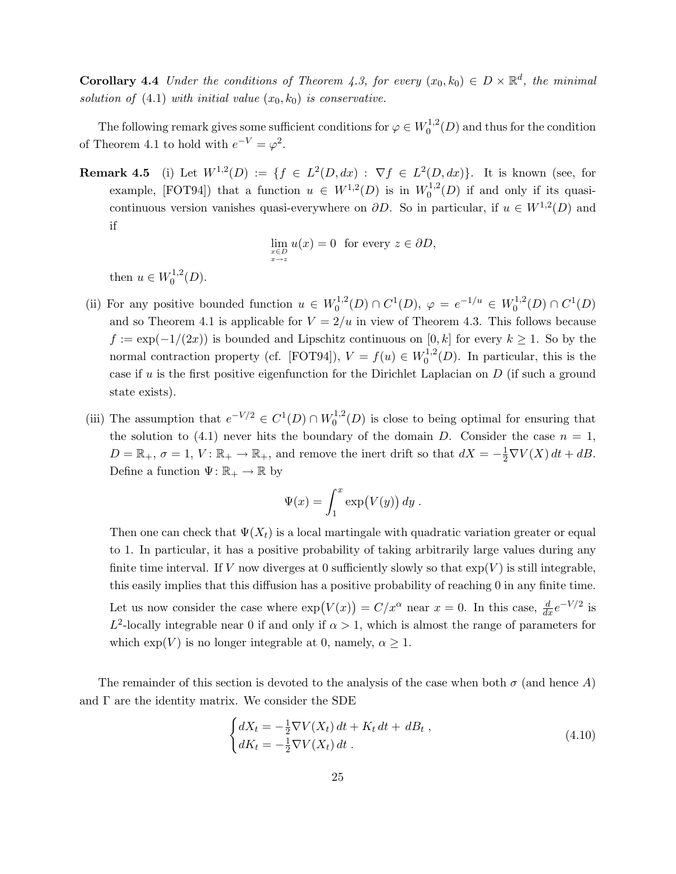**Corollary 4.4** Under the conditions of Theorem 4.3, for every  $(x_0, k_0) \in D \times \mathbb{R}^d$ , the minimal solution of  $(4.1)$  with initial value  $(x_0, k_0)$  is conservative.

The following remark gives some sufficient conditions for  $\varphi \in W_0^{1,2}$  $0^{1,2}(D)$  and thus for the condition of Theorem 4.1 to hold with  $e^{-V} = \varphi^2$ .

**Remark 4.5** (i) Let  $W^{1,2}(D) := \{f \in L^2(D,dx) : \nabla f \in L^2(D,dx)\}.$  It is known (see, for example, [FOT94]) that a function  $u \in W^{1,2}(D)$  is in  $W_0^{1,2}$  $_0^{\text{1,2}}(D)$  if and only if its quasicontinuous version vanishes quasi-everywhere on  $\partial D$ . So in particular, if  $u \in W^{1,2}(D)$  and if

$$
\lim_{\substack{x \in D \\ x \to z}} u(x) = 0 \text{ for every } z \in \partial D,
$$

then  $u \in W_0^{1,2}$  $\binom{1,2}{0}$ .

- (ii) For any positive bounded function  $u \in W_0^{1,2}$  $C^1_{0}(D) \cap C^1(D), \varphi = e^{-1/u} \in W_0^{1,2}$  $C^1,^2(D) \cap C^1(D)$ and so Theorem 4.1 is applicable for  $V = 2/u$  in view of Theorem 4.3. This follows because  $f := \exp(-1/(2x))$  is bounded and Lipschitz continuous on [0, k] for every  $k \ge 1$ . So by the normal contraction property (cf. [FOT94]),  $V = f(u) \in W_0^{1,2}$  $n_0^{1,2}(D)$ . In particular, this is the case if u is the first positive eigenfunction for the Dirichlet Laplacian on  $D$  (if such a ground state exists).
- (iii) The assumption that  $e^{-V/2} \in C^1(D) \cap W_0^{1,2}$  $_{0}^{1,2}(D)$  is close to being optimal for ensuring that the solution to (4.1) never hits the boundary of the domain D. Consider the case  $n = 1$ ,  $D = \mathbb{R}_+$ ,  $\sigma = 1$ ,  $V: \mathbb{R}_+ \to \mathbb{R}_+$ , and remove the inert drift so that  $dX = -\frac{1}{2}\nabla V(X) dt + dB$ . Define a function  $\Psi: \mathbb{R}_+ \to \mathbb{R}$  by

$$
\Psi(x) = \int_1^x \exp(V(y)) \, dy \, .
$$

Then one can check that  $\Psi(X_t)$  is a local martingale with quadratic variation greater or equal to 1. In particular, it has a positive probability of taking arbitrarily large values during any finite time interval. If V now diverges at 0 sufficiently slowly so that  $\exp(V)$  is still integrable, this easily implies that this diffusion has a positive probability of reaching 0 in any finite time. Let us now consider the case where  $\exp(V(x)) = C/x^{\alpha}$  near  $x = 0$ . In this case,  $\frac{d}{dx}e^{-V/2}$  is  $L^2$ -locally integrable near 0 if and only if  $\alpha > 1$ , which is almost the range of parameters for which  $\exp(V)$  is no longer integrable at 0, namely,  $\alpha \geq 1$ .

The remainder of this section is devoted to the analysis of the case when both  $\sigma$  (and hence A) and  $\Gamma$  are the identity matrix. We consider the SDE

$$
\begin{cases} dX_t = -\frac{1}{2} \nabla V(X_t) dt + K_t dt + dB_t, \\ dK_t = -\frac{1}{2} \nabla V(X_t) dt. \end{cases}
$$
\n(4.10)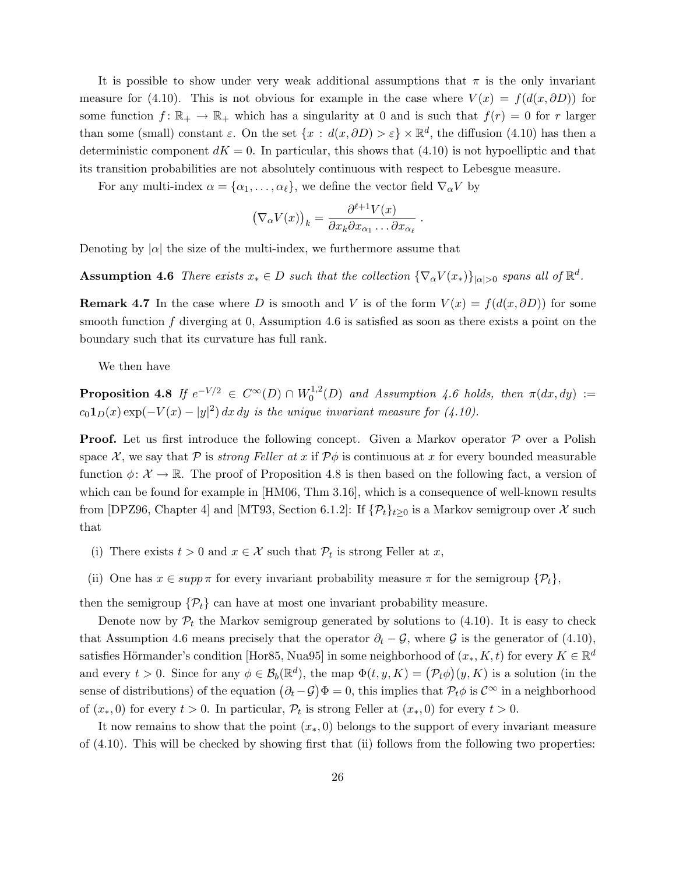It is possible to show under very weak additional assumptions that  $\pi$  is the only invariant measure for (4.10). This is not obvious for example in the case where  $V(x) = f(d(x, \partial D))$  for some function  $f: \mathbb{R}_+ \to \mathbb{R}_+$  which has a singularity at 0 and is such that  $f(r) = 0$  for r larger than some (small) constant  $\varepsilon$ . On the set  $\{x : d(x, \partial D) > \varepsilon\} \times \mathbb{R}^d$ , the diffusion (4.10) has then a deterministic component  $dK = 0$ . In particular, this shows that  $(4.10)$  is not hypoelliptic and that its transition probabilities are not absolutely continuous with respect to Lebesgue measure.

For any multi-index  $\alpha = {\alpha_1, \ldots, \alpha_\ell}$ , we define the vector field  $\nabla_\alpha V$  by

$$
(\nabla_{\alpha} V(x))_k = \frac{\partial^{\ell+1} V(x)}{\partial x_k \partial x_{\alpha_1} \dots \partial x_{\alpha_\ell}}.
$$

Denoting by  $|\alpha|$  the size of the multi-index, we furthermore assume that

**Assumption 4.6** There exists  $x_* \in D$  such that the collection  $\{\nabla_\alpha V(x_*)\}_{|\alpha|>0}$  spans all of  $\mathbb{R}^d$ .

**Remark 4.7** In the case where D is smooth and V is of the form  $V(x) = f(d(x, \partial D))$  for some smooth function  $f$  diverging at 0, Assumption 4.6 is satisfied as soon as there exists a point on the boundary such that its curvature has full rank.

We then have

**Proposition 4.8** If  $e^{-V/2} \in C^{\infty}(D) \cap W_0^{1,2}$  $\int_0^{1,2}(D)$  and Assumption 4.6 holds, then  $\pi(dx, dy) :=$  $c_0 \mathbf{1}_D(x) \exp(-V(x) - |y|^2) dx dy$  is the unique invariant measure for (4.10).

**Proof.** Let us first introduce the following concept. Given a Markov operator  $P$  over a Polish space X, we say that P is *strong Feller at x* if  $\mathcal{P}\phi$  is continuous at x for every bounded measurable function  $\phi: \mathcal{X} \to \mathbb{R}$ . The proof of Proposition 4.8 is then based on the following fact, a version of which can be found for example in [HM06, Thm 3.16], which is a consequence of well-known results from [DPZ96, Chapter 4] and [MT93, Section 6.1.2]: If  $\{\mathcal{P}_t\}_{t\geq0}$  is a Markov semigroup over X such that

- (i) There exists  $t > 0$  and  $x \in \mathcal{X}$  such that  $\mathcal{P}_t$  is strong Feller at x,
- (ii) One has  $x \in supp \pi$  for every invariant probability measure  $\pi$  for the semigroup  $\{\mathcal{P}_t\},$

then the semigroup  $\{P_t\}$  can have at most one invariant probability measure.

Denote now by  $\mathcal{P}_t$  the Markov semigroup generated by solutions to (4.10). It is easy to check that Assumption 4.6 means precisely that the operator  $\partial_t - \mathcal{G}$ , where  $\mathcal{G}$  is the generator of (4.10), satisfies Hörmander's condition [Hor85, Nua95] in some neighborhood of  $(x_*, K, t)$  for every  $K \in \mathbb{R}^d$ and every  $t > 0$ . Since for any  $\phi \in \mathcal{B}_b(\mathbb{R}^d)$ , the map  $\Phi(t, y, K) = (\mathcal{P}_t \phi)(y, K)$  is a solution (in the sense of distributions) of the equation  $(\partial_t - \mathcal{G})\Phi = 0$ , this implies that  $\mathcal{P}_t\phi$  is  $\mathcal{C}^\infty$  in a neighborhood of  $(x_*,0)$  for every  $t > 0$ . In particular,  $\mathcal{P}_t$  is strong Feller at  $(x_*,0)$  for every  $t > 0$ .

It now remains to show that the point  $(x_*, 0)$  belongs to the support of every invariant measure of (4.10). This will be checked by showing first that (ii) follows from the following two properties: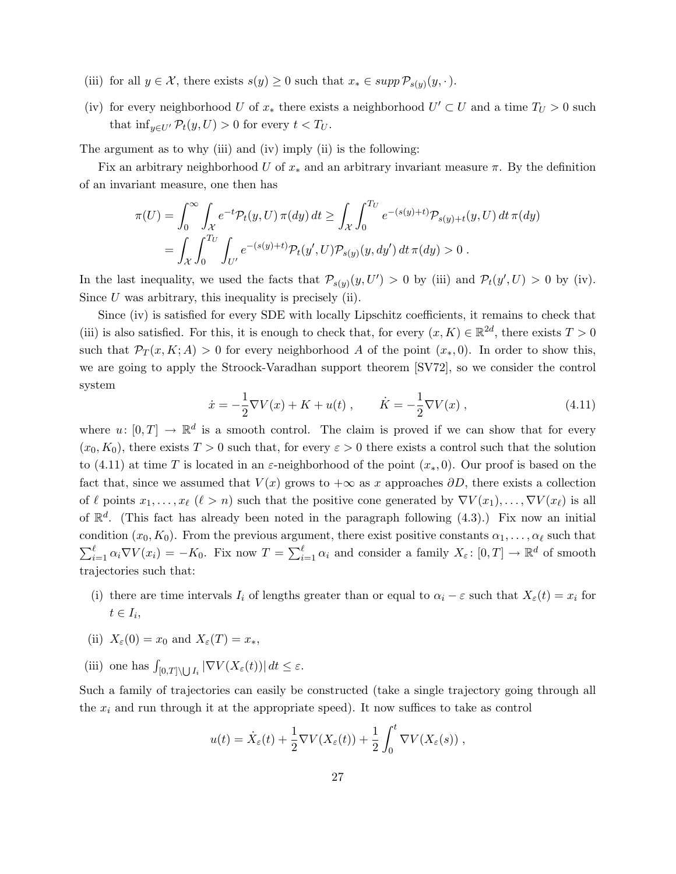- (iii) for all  $y \in \mathcal{X}$ , there exists  $s(y) \geq 0$  such that  $x_* \in \text{supp } \mathcal{P}_{s(y)}(y, \cdot)$ .
- (iv) for every neighborhood U of  $x_*$  there exists a neighborhood  $U' \subset U$  and a time  $T_U > 0$  such that  $\inf_{y \in U'} \mathcal{P}_t(y, U) > 0$  for every  $t < T_U$ .

The argument as to why (iii) and (iv) imply (ii) is the following:

Fix an arbitrary neighborhood U of  $x_*$  and an arbitrary invariant measure  $\pi$ . By the definition of an invariant measure, one then has

$$
\pi(U) = \int_0^\infty \int_{\mathcal{X}} e^{-t} \mathcal{P}_t(y, U) \, \pi(dy) \, dt \ge \int_{\mathcal{X}} \int_0^{T_U} e^{-(s(y)+t)} \mathcal{P}_{s(y)+t}(y, U) \, dt \, \pi(dy) \n= \int_{\mathcal{X}} \int_0^{T_U} \int_{U'} e^{-(s(y)+t)} \mathcal{P}_t(y', U) \mathcal{P}_{s(y)}(y, dy') \, dt \, \pi(dy) > 0.
$$

In the last inequality, we used the facts that  $\mathcal{P}_{s(y)}(y, U') > 0$  by (iii) and  $\mathcal{P}_t(y', U) > 0$  by (iv). Since  $U$  was arbitrary, this inequality is precisely (ii).

Since (iv) is satisfied for every SDE with locally Lipschitz coefficients, it remains to check that (iii) is also satisfied. For this, it is enough to check that, for every  $(x, K) \in \mathbb{R}^{2d}$ , there exists  $T > 0$ such that  $\mathcal{P}_T(x,K;A) > 0$  for every neighborhood A of the point  $(x_*,0)$ . In order to show this, we are going to apply the Stroock-Varadhan support theorem [SV72], so we consider the control system

$$
\dot{x} = -\frac{1}{2}\nabla V(x) + K + u(t) , \qquad \dot{K} = -\frac{1}{2}\nabla V(x) , \qquad (4.11)
$$

where  $u: [0, T] \to \mathbb{R}^d$  is a smooth control. The claim is proved if we can show that for every  $(x_0, K_0)$ , there exists  $T > 0$  such that, for every  $\varepsilon > 0$  there exists a control such that the solution to (4.11) at time T is located in an  $\varepsilon$ -neighborhood of the point  $(x_*,0)$ . Our proof is based on the fact that, since we assumed that  $V(x)$  grows to  $+\infty$  as x approaches  $\partial D$ , there exists a collection of  $\ell$  points  $x_1, \ldots, x_{\ell}$   $(\ell > n)$  such that the positive cone generated by  $\nabla V(x_1), \ldots, \nabla V(x_{\ell})$  is all of  $\mathbb{R}^d$ . (This fact has already been noted in the paragraph following (4.3).) Fix now an initial condition  $(x_0, K_0)$ . From the previous argument, there exist positive constants  $\alpha_1, \ldots, \alpha_\ell$  such that  $\sum_{i=1}^{\ell} \alpha_i \nabla V(x_i) = -K_0$ . Fix now  $T = \sum_{i=1}^{\ell} \alpha_i$  and consider a family  $X_{\varepsilon} : [0, T] \to \mathbb{R}^d$  of smooth trajectories such that:

- (i) there are time intervals  $I_i$  of lengths greater than or equal to  $\alpha_i \varepsilon$  such that  $X_{\varepsilon}(t) = x_i$  for  $t \in I_i$ ,
- (ii)  $X_{\varepsilon}(0) = x_0$  and  $X_{\varepsilon}(T) = x_*$ ,
- (iii) one has  $\int_{[0,T]\setminus\bigcup I_i} |\nabla V(X_{\varepsilon}(t))| dt \leq \varepsilon$ .

Such a family of trajectories can easily be constructed (take a single trajectory going through all the  $x_i$  and run through it at the appropriate speed). It now suffices to take as control

$$
u(t) = \dot{X}_{\varepsilon}(t) + \frac{1}{2}\nabla V(X_{\varepsilon}(t)) + \frac{1}{2}\int_0^t \nabla V(X_{\varepsilon}(s)),
$$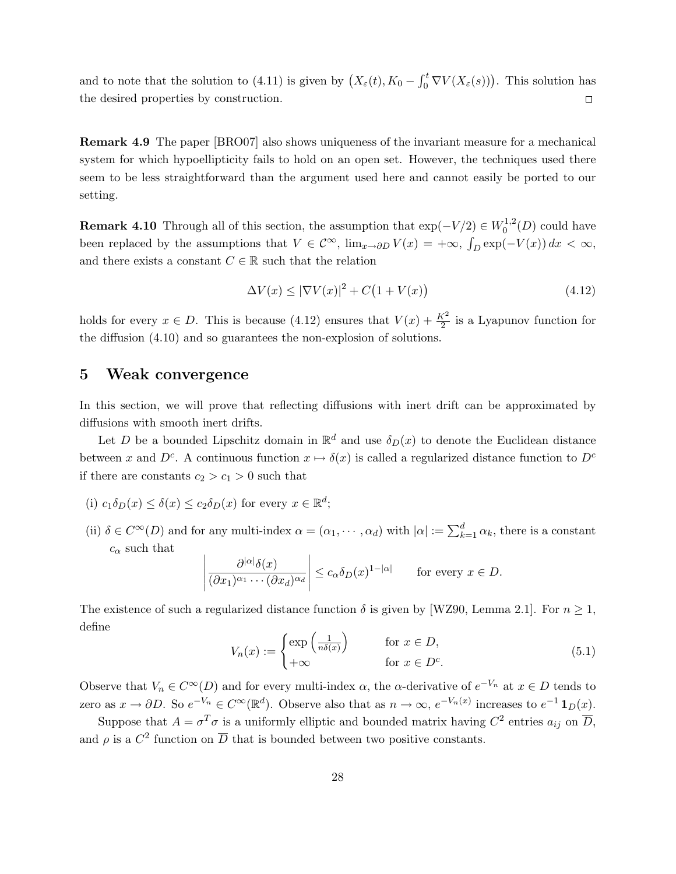and to note that the solution to (4.11) is given by  $(X_{\varepsilon}(t), K_0 - \int_0^t \nabla V(X_{\varepsilon}(s)))$ . This solution has the desired properties by construction.  $\Box$ 

Remark 4.9 The paper [BRO07] also shows uniqueness of the invariant measure for a mechanical system for which hypoellipticity fails to hold on an open set. However, the techniques used there seem to be less straightforward than the argument used here and cannot easily be ported to our setting.

**Remark 4.10** Through all of this section, the assumption that  $\exp(-V/2) \in W_0^{1,2}$  $b_0^{1,2}(D)$  could have been replaced by the assumptions that  $V \in \mathcal{C}^{\infty}$ ,  $\lim_{x \to \partial D} V(x) = +\infty$ ,  $\int_D \exp(-V(x)) dx < \infty$ , and there exists a constant  $C \in \mathbb{R}$  such that the relation

$$
\Delta V(x) \le |\nabla V(x)|^2 + C\left(1 + V(x)\right) \tag{4.12}
$$

holds for every  $x \in D$ . This is because (4.12) ensures that  $V(x) + \frac{K^2}{2}$  is a Lyapunov function for the diffusion (4.10) and so guarantees the non-explosion of solutions.

### 5 Weak convergence

In this section, we will prove that reflecting diffusions with inert drift can be approximated by diffusions with smooth inert drifts.

Let D be a bounded Lipschitz domain in  $\mathbb{R}^d$  and use  $\delta_D(x)$  to denote the Euclidean distance between x and  $D^c$ . A continuous function  $x \mapsto \delta(x)$  is called a regularized distance function to  $D^c$ if there are constants  $c_2 > c_1 > 0$  such that

- (i)  $c_1 \delta_D(x) \leq \delta(x) \leq c_2 \delta_D(x)$  for every  $x \in \mathbb{R}^d$ ;
- (ii)  $\delta \in C^{\infty}(D)$  and for any multi-index  $\alpha = (\alpha_1, \dots, \alpha_d)$  with  $|\alpha| := \sum_{k=1}^d \alpha_k$ , there is a constant  $c_{\alpha}$  such that

$$
\left|\frac{\partial^{|\alpha|}\delta(x)}{(\partial x_1)^{\alpha_1}\cdots(\partial x_d)^{\alpha_d}}\right| \leq c_{\alpha}\delta_D(x)^{1-|\alpha|} \quad \text{for every } x \in D.
$$

The existence of such a regularized distance function  $\delta$  is given by [WZ90, Lemma 2.1]. For  $n \geq 1$ , define

$$
V_n(x) := \begin{cases} \exp\left(\frac{1}{n\delta(x)}\right) & \text{for } x \in D, \\ +\infty & \text{for } x \in D^c. \end{cases}
$$
 (5.1)

Observe that  $V_n \in C^{\infty}(D)$  and for every multi-index  $\alpha$ , the  $\alpha$ -derivative of  $e^{-V_n}$  at  $x \in D$  tends to zero as  $x \to \partial D$ . So  $e^{-V_n} \in C^{\infty}(\mathbb{R}^d)$ . Observe also that as  $n \to \infty$ ,  $e^{-V_n(x)}$  increases to  $e^{-1} \mathbf{1}_D(x)$ .

Suppose that  $A = \sigma^T \sigma$  is a uniformly elliptic and bounded matrix having  $C^2$  entries  $a_{ij}$  on  $\overline{D}$ , and  $\rho$  is a  $C^2$  function on  $\overline{D}$  that is bounded between two positive constants.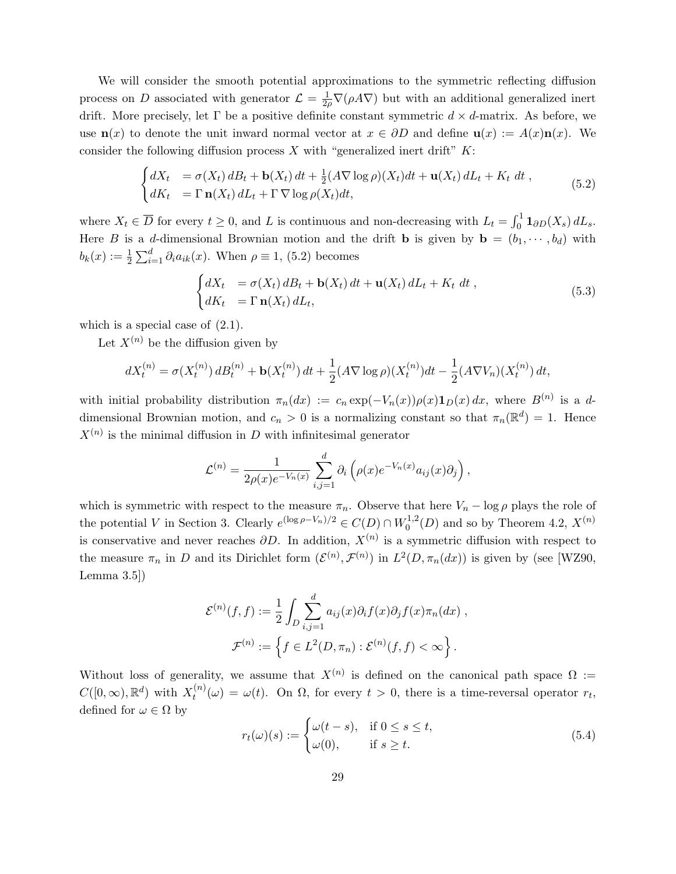We will consider the smooth potential approximations to the symmetric reflecting diffusion process on D associated with generator  $\mathcal{L} = \frac{1}{2\rho} \nabla(\rho A \nabla)$  but with an additional generalized inert drift. More precisely, let  $\Gamma$  be a positive definite constant symmetric  $d \times d$ -matrix. As before, we use  $\mathbf{n}(x)$  to denote the unit inward normal vector at  $x \in \partial D$  and define  $\mathbf{u}(x) := A(x)\mathbf{n}(x)$ . We consider the following diffusion process  $X$  with "generalized inert drift"  $K$ :

$$
\begin{cases}\ndX_t = \sigma(X_t) dB_t + \mathbf{b}(X_t) dt + \frac{1}{2} (A \nabla \log \rho)(X_t) dt + \mathbf{u}(X_t) dL_t + K_t dt, \\
dK_t = \Gamma \mathbf{n}(X_t) dL_t + \Gamma \nabla \log \rho(X_t) dt,\n\end{cases} \tag{5.2}
$$

where  $X_t \in \overline{D}$  for every  $t \geq 0$ , and L is continuous and non-decreasing with  $L_t = \int_0^1 \mathbf{1}_{\partial D}(X_s) dL_s$ . Here B is a d-dimensional Brownian motion and the drift **b** is given by  $\mathbf{b} = (b_1, \dots, b_d)$  with  $b_k(x) := \frac{1}{2} \sum_{i=1}^d \partial_i a_{ik}(x)$ . When  $\rho \equiv 1$ , (5.2) becomes

$$
\begin{cases}\ndX_t = \sigma(X_t) dB_t + \mathbf{b}(X_t) dt + \mathbf{u}(X_t) dL_t + K_t dt, \\
dK_t = \Gamma \mathbf{n}(X_t) dL_t,\n\end{cases}
$$
\n(5.3)

which is a special case of  $(2.1)$ .

Let  $X^{(n)}$  be the diffusion given by

$$
dX_t^{(n)} = \sigma(X_t^{(n)}) dB_t^{(n)} + \mathbf{b}(X_t^{(n)}) dt + \frac{1}{2} (A \nabla \log \rho)(X_t^{(n)}) dt - \frac{1}{2} (A \nabla V_n)(X_t^{(n)}) dt,
$$

with initial probability distribution  $\pi_n(dx) := c_n \exp(-V_n(x)) \rho(x) \mathbf{1}_D(x) dx$ , where  $B^{(n)}$  is a ddimensional Brownian motion, and  $c_n > 0$  is a normalizing constant so that  $\pi_n(\mathbb{R}^d) = 1$ . Hence  $X^{(n)}$  is the minimal diffusion in D with infinitesimal generator

$$
\mathcal{L}^{(n)} = \frac{1}{2\rho(x)e^{-V_n(x)}} \sum_{i,j=1}^d \partial_i \left( \rho(x)e^{-V_n(x)} a_{ij}(x)\partial_j \right),
$$

which is symmetric with respect to the measure  $\pi_n$ . Observe that here  $V_n - \log \rho$  plays the role of the potential V in Section 3. Clearly  $e^{(\log \rho - V_n)/2} \in C(D) \cap W_0^{1,2}$  $\mathcal{O}_0^{1,2}(D)$  and so by Theorem 4.2,  $X^{(n)}$ is conservative and never reaches  $\partial D$ . In addition,  $X^{(n)}$  is a symmetric diffusion with respect to the measure  $\pi_n$  in D and its Dirichlet form  $(\mathcal{E}^{(n)}, \mathcal{F}^{(n)})$  in  $L^2(D, \pi_n(dx))$  is given by (see [WZ90, Lemma 3.5])

$$
\mathcal{E}^{(n)}(f,f) := \frac{1}{2} \int_D \sum_{i,j=1}^d a_{ij}(x) \partial_i f(x) \partial_j f(x) \pi_n(dx) ,
$$

$$
\mathcal{F}^{(n)} := \left\{ f \in L^2(D, \pi_n) : \mathcal{E}^{(n)}(f,f) < \infty \right\} .
$$

Without loss of generality, we assume that  $X^{(n)}$  is defined on the canonical path space  $\Omega :=$  $C([0,\infty),\mathbb{R}^d)$  with  $X_t^{(n)}$  $t_t^{(n)}(\omega) = \omega(t)$ . On  $\Omega$ , for every  $t > 0$ , there is a time-reversal operator  $r_t$ , defined for  $\omega \in \Omega$  by

$$
r_t(\omega)(s) := \begin{cases} \omega(t-s), & \text{if } 0 \le s \le t, \\ \omega(0), & \text{if } s \ge t. \end{cases}
$$
\n
$$
(5.4)
$$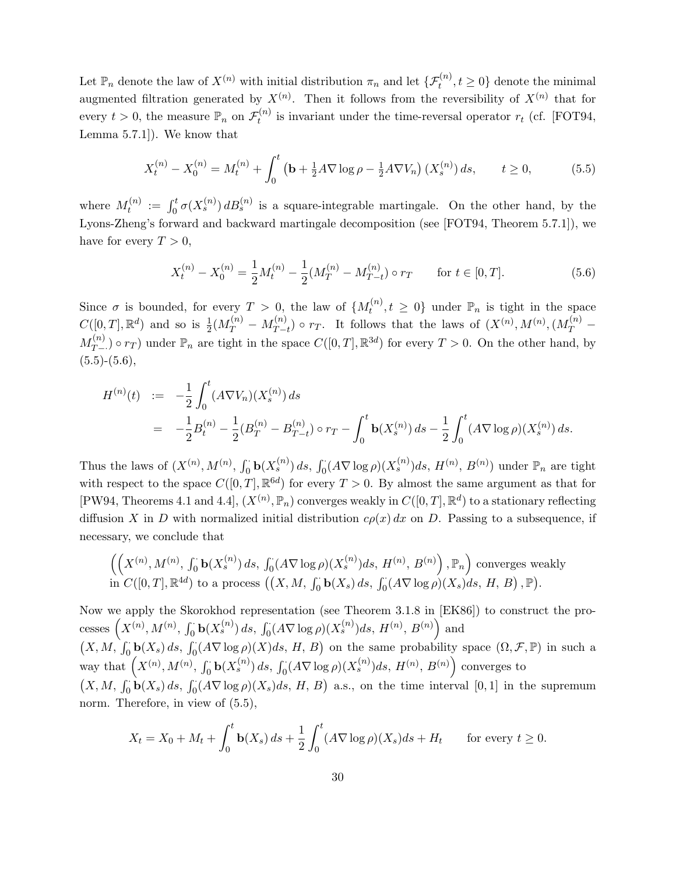Let  $\mathbb{P}_n$  denote the law of  $X^{(n)}$  with initial distribution  $\pi_n$  and let  $\{\mathcal{F}_t^{(n)}, t \geq 0\}$  denote the minimal augmented filtration generated by  $X^{(n)}$ . Then it follows from the reversibility of  $X^{(n)}$  that for every  $t > 0$ , the measure  $\mathbb{P}_n$  on  $\mathcal{F}_t^{(n)}$  $t_t^{(n)}$  is invariant under the time-reversal operator  $r_t$  (cf. [FOT94, Lemma 5.7.1]). We know that

$$
X_t^{(n)} - X_0^{(n)} = M_t^{(n)} + \int_0^t \left(\mathbf{b} + \frac{1}{2}A \nabla \log \rho - \frac{1}{2}A \nabla V_n\right) (X_s^{(n)}) ds, \qquad t \ge 0,
$$
 (5.5)

where  $M_t^{(n)}$  $t_t^{(n)} := \int_0^t \sigma(X_s^{(n)}) dB_s^{(n)}$  is a square-integrable martingale. On the other hand, by the Lyons-Zheng's forward and backward martingale decomposition (see [FOT94, Theorem 5.7.1]), we have for every  $T > 0$ ,

$$
X_t^{(n)} - X_0^{(n)} = \frac{1}{2} M_t^{(n)} - \frac{1}{2} (M_T^{(n)} - M_{T-t}^{(n)}) \circ r_T \qquad \text{for } t \in [0, T].
$$
 (5.6)

Since  $\sigma$  is bounded, for every  $T > 0$ , the law of  $\{M_t^{(n)}\}$  $t_t^{(n)}, t \geq 0$ } under  $\mathbb{P}_n$  is tight in the space  $C([0,T], \mathbb{R}^d)$  and so is  $\frac{1}{2}(M_T^{(n)} - M_{T-}^{(n)})$  $T_{T-t}^{(n)}$ ) o  $r_T$ . It follows that the laws of  $(X^{(n)}, M^{(n)}, (M_T^{(n)} M_{T-}^{(n)}$  $T_{(n)}^{(n)}$  or  $r_T$ ) under  $\mathbb{P}_n$  are tight in the space  $C([0,T], \mathbb{R}^{3d})$  for every  $T > 0$ . On the other hand, by  $(5.5)-(5.6),$ 

$$
H^{(n)}(t) := -\frac{1}{2} \int_0^t (A \nabla V_n)(X_s^{(n)}) ds
$$
  
=  $-\frac{1}{2} B_t^{(n)} - \frac{1}{2} (B_T^{(n)} - B_{T-t}^{(n)}) \circ r_T - \int_0^t \mathbf{b}(X_s^{(n)}) ds - \frac{1}{2} \int_0^t (A \nabla \log \rho)(X_s^{(n)}) ds.$ 

Thus the laws of  $(X^{(n)}, M^{(n)}, \int_0^{\cdot} \mathbf{b}(X_s^{(n)}) ds, \int_0^{\cdot} (A \nabla \log \rho)(X_s^{(n)}) ds, H^{(n)}, B^{(n)})$  under  $\mathbb{P}_n$  are tight with respect to the space  $C([0,T], \mathbb{R}^{6d})$  for every  $T > 0$ . By almost the same argument as that for [PW94, Theorems 4.1 and 4.4],  $(X^{(n)}, \mathbb{P}_n)$  converges weakly in  $C([0, T], \mathbb{R}^d)$  to a stationary reflecting diffusion X in D with normalized initial distribution  $c\rho(x) dx$  on D. Passing to a subsequence, if necessary, we conclude that

$$
\left(\left(X^{(n)}, M^{(n)}, \int_0^{\cdot} \mathbf{b}(X_s^{(n)}) ds, \int_0^{\cdot} (A \nabla \log \rho)(X_s^{(n)}) ds, H^{(n)}, B^{(n)}\right), \mathbb{P}_n\right) \text{ converges weakly}
$$
  
in  $C([0, T], \mathbb{R}^{4d})$  to a process  $((X, M, \int_0^{\cdot} \mathbf{b}(X_s) ds, \int_0^{\cdot} (A \nabla \log \rho)(X_s) ds, H, B), \mathbb{P}).$ 

Now we apply the Skorokhod representation (see Theorem 3.1.8 in [EK86]) to construct the processes  $(X^{(n)}, M^{(n)}, \int_0^{\cdot} \mathbf{b}(X_s^{(n)}) ds, \int_0^{\cdot} (A \nabla \log \rho)(X_s^{(n)}) ds, H^{(n)}, B^{(n)})$  and  $(X, M, \int_0^{\cdot} \mathbf{b}(X_s) ds, \int_0^{\cdot} (A \nabla \log \rho)(X) ds, H, B)$  on the same probability space  $(\Omega, \mathcal{F}, \mathbb{P})$  in such a way that  $(X^{(n)}, M^{(n)}, \int_0^{\cdot} \mathbf{b}(X_s^{(n)}) ds, \int_0^{\cdot} (A \nabla \log \rho)(X_s^{(n)}) ds, H^{(n)}, B^{(n)})$  converges to  $(X, M, \int_0^{\cdot} \mathbf{b}(X_s) ds, \int_0^{\cdot} (A \nabla \log \rho)(X_s) ds, H, B)$  a.s., on the time interval  $[0, 1]$  in the supremum norm. Therefore, in view of  $(5.5)$ ,

$$
X_t = X_0 + M_t + \int_0^t \mathbf{b}(X_s) ds + \frac{1}{2} \int_0^t (A \nabla \log \rho)(X_s) ds + H_t \quad \text{for every } t \ge 0.
$$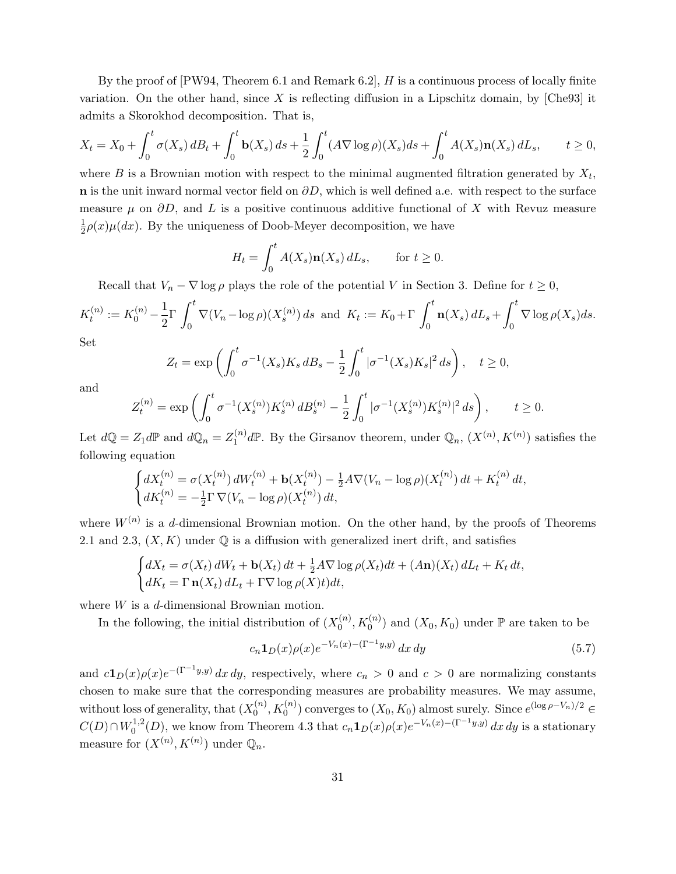By the proof of [PW94, Theorem 6.1 and Remark 6.2], H is a continuous process of locally finite variation. On the other hand, since X is reflecting diffusion in a Lipschitz domain, by  $[Che93]$  it admits a Skorokhod decomposition. That is,

$$
X_t = X_0 + \int_0^t \sigma(X_s) \, dB_t + \int_0^t \mathbf{b}(X_s) \, ds + \frac{1}{2} \int_0^t (A \nabla \log \rho)(X_s) \, ds + \int_0^t A(X_s) \mathbf{n}(X_s) \, dL_s, \qquad t \ge 0,
$$

where  $B$  is a Brownian motion with respect to the minimal augmented filtration generated by  $X_t$ , n is the unit inward normal vector field on  $\partial D$ , which is well defined a.e. with respect to the surface measure  $\mu$  on  $\partial D$ , and L is a positive continuous additive functional of X with Revuz measure 1  $\frac{1}{2}\rho(x)\mu(dx)$ . By the uniqueness of Doob-Meyer decomposition, we have

$$
H_t = \int_0^t A(X_s) \mathbf{n}(X_s) dL_s, \quad \text{for } t \ge 0.
$$

Recall that  $V_n - \nabla \log \rho$  plays the role of the potential V in Section 3. Define for  $t \geq 0$ ,

$$
K_t^{(n)} := K_0^{(n)} - \frac{1}{2} \Gamma \int_0^t \nabla (V_n - \log \rho)(X_s^{(n)}) ds \text{ and } K_t := K_0 + \Gamma \int_0^t \mathbf{n}(X_s) dL_s + \int_0^t \nabla \log \rho(X_s) ds.
$$

Set

$$
Z_t = \exp\left(\int_0^t \sigma^{-1}(X_s) K_s \, dB_s - \frac{1}{2} \int_0^t |\sigma^{-1}(X_s) K_s|^2 \, ds\right), \quad t \ge 0,
$$

and

$$
Z_t^{(n)} = \exp\left(\int_0^t \sigma^{-1}(X_s^{(n)})K_s^{(n)}\,dB_s^{(n)} - \frac{1}{2}\int_0^t |\sigma^{-1}(X_s^{(n)})K_s^{(n)}|^2\,ds\right), \qquad t \ge 0.
$$

Let  $d\mathbb{Q} = Z_1 d\mathbb{P}$  and  $d\mathbb{Q}_n = Z_1^{(n)}$  $\mathbb{Q}_1^{(n)}$  dP. By the Girsanov theorem, under  $\mathbb{Q}_n$ ,  $(X^{(n)}, K^{(n)})$  satisfies the following equation

$$
\begin{cases} dX_t^{(n)} = \sigma(X_t^{(n)}) dW_t^{(n)} + \mathbf{b}(X_t^{(n)}) - \frac{1}{2}A\nabla(V_n - \log \rho)(X_t^{(n)}) dt + K_t^{(n)} dt, \\ dK_t^{(n)} = -\frac{1}{2}\Gamma \nabla(V_n - \log \rho)(X_t^{(n)}) dt, \end{cases}
$$

where  $W^{(n)}$  is a d-dimensional Brownian motion. On the other hand, by the proofs of Theorems 2.1 and 2.3,  $(X, K)$  under  $\mathbb Q$  is a diffusion with generalized inert drift, and satisfies

$$
\begin{cases} dX_t = \sigma(X_t) dW_t + \mathbf{b}(X_t) dt + \frac{1}{2} A \nabla \log \rho(X_t) dt + (A \mathbf{n})(X_t) dL_t + K_t dt, \\ dK_t = \Gamma \mathbf{n}(X_t) dL_t + \Gamma \nabla \log \rho(X) t) dt, \end{cases}
$$

where  $W$  is a d-dimensional Brownian motion.

In the following, the initial distribution of  $(X_0^{(n)})$  $\binom{n}{0}, K_0^{(n)}$  and  $(X_0, K_0)$  under  $\mathbb P$  are taken to be

$$
c_n \mathbf{1}_D(x) \rho(x) e^{-V_n(x) - (\Gamma^{-1}y, y)} dx dy \tag{5.7}
$$

and  $c\mathbf{1}_D(x)\rho(x)e^{-(\Gamma^{-1}y,y)} dx dy$ , respectively, where  $c_n > 0$  and  $c > 0$  are normalizing constants chosen to make sure that the corresponding measures are probability measures. We may assume, without loss of generality, that  $(X_0^{(n)}$  $\binom{n}{0}, K_0^{(n)}$  converges to  $(X_0, K_0)$  almost surely. Since  $e^{(\log \rho - V_n)/2} \in$  $C(D) \cap W_0^{1,2}$  $C_0^{1,2}(D)$ , we know from Theorem 4.3 that  $c_n \mathbf{1}_D(x) \rho(x) e^{-V_n(x) - (\Gamma^{-1}y, y)} dx dy$  is a stationary measure for  $(X^{(n)}, K^{(n)})$  under  $\mathbb{Q}_n$ .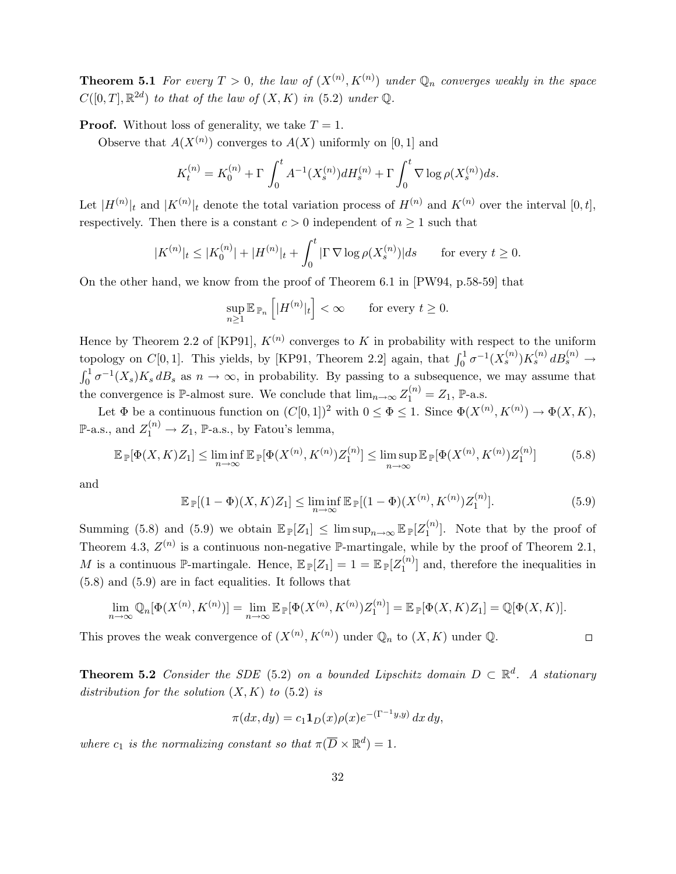**Theorem 5.1** For every  $T > 0$ , the law of  $(X^{(n)}, K^{(n)})$  under  $\mathbb{Q}_n$  converges weakly in the space  $C([0,T], \mathbb{R}^{2d})$  to that of the law of  $(X, K)$  in  $(5.2)$  under  $\mathbb{Q}$ .

**Proof.** Without loss of generality, we take  $T = 1$ .

Observe that  $A(X^{(n)})$  converges to  $A(X)$  uniformly on [0, 1] and

$$
K_t^{(n)} = K_0^{(n)} + \Gamma \int_0^t A^{-1}(X_s^{(n)}) dH_s^{(n)} + \Gamma \int_0^t \nabla \log \rho(X_s^{(n)}) ds.
$$

Let  $|H^{(n)}|_t$  and  $|K^{(n)}|_t$  denote the total variation process of  $H^{(n)}$  and  $K^{(n)}$  over the interval  $[0,t]$ , respectively. Then there is a constant  $c > 0$  independent of  $n \ge 1$  such that

$$
|K^{(n)}|_{t} \le |K_0^{(n)}| + |H^{(n)}|_{t} + \int_0^t |\Gamma \nabla \log \rho(X_s^{(n)})| ds \quad \text{for every } t \ge 0.
$$

On the other hand, we know from the proof of Theorem 6.1 in [PW94, p.58-59] that

$$
\sup_{n\geq 1}\mathbb{E}_{\mathbb{P}_n}\left[|H^{(n)}|_t\right]<\infty \qquad \text{for every } t\geq 0.
$$

Hence by Theorem 2.2 of [KP91],  $K^{(n)}$  converges to K in probability with respect to the uniform topology on  $C[0,1]$ . This yields, by [KP91, Theorem 2.2] again, that  $\int_0^1 \sigma^{-1}(X_s^{(n)})K_s^{(n)} dB_s^{(n)} \to$  $\int_0^1 \sigma^{-1}(X_s)K_s dB_s$  as  $n \to \infty$ , in probability. By passing to a subsequence, we may assume that the convergence is  $\mathbb{P}\text{-almost sure. We conclude that } \lim_{n \to \infty} Z_1^{(n)} = Z_1$ ,  $\mathbb{P}\text{-a.s.}$ 

Let  $\Phi$  be a continuous function on  $(C[0,1])^2$  with  $0 \le \Phi \le 1$ . Since  $\Phi(X^{(n)}, K^{(n)}) \to \Phi(X, K)$ ,  $\mathbb{P}\text{-a.s., and } Z_1^{(n)} \to Z_1, \, \mathbb{P}\text{-a.s., by Fatou's lemma,}$ 

$$
\mathbb{E}_{\mathbb{P}}[\Phi(X,K)Z_1] \le \liminf_{n \to \infty} \mathbb{E}_{\mathbb{P}}[\Phi(X^{(n)},K^{(n)})Z_1^{(n)}] \le \limsup_{n \to \infty} \mathbb{E}_{\mathbb{P}}[\Phi(X^{(n)},K^{(n)})Z_1^{(n)}] \tag{5.8}
$$

and

$$
\mathbb{E}_{\mathbb{P}}[(1-\Phi)(X,K)Z_1] \le \liminf_{n \to \infty} \mathbb{E}_{\mathbb{P}}[(1-\Phi)(X^{(n)},K^{(n)})Z_1^{(n)}].
$$
\n(5.9)

 $\hfill \square$ 

Summing (5.8) and (5.9) we obtain  $\mathbb{E}_{\mathbb{P}}[Z_1] \leq \limsup_{n \to \infty} \mathbb{E}_{\mathbb{P}}[Z_1^{(n)}]$  $\binom{n}{1}$ . Note that by the proof of Theorem 4.3,  $Z^{(n)}$  is a continuous non-negative P-martingale, while by the proof of Theorem 2.1, M is a continuous  $\mathbb{P}$ -martingale. Hence,  $\mathbb{E}_{\mathbb{P}}[Z_1] = 1 = \mathbb{E}_{\mathbb{P}}[Z_1^{(n)}]$  $\binom{n}{1}$  and, therefore the inequalities in (5.8) and (5.9) are in fact equalities. It follows that

$$
\lim_{n\to\infty}\mathbb{Q}_n[\Phi(X^{(n)},K^{(n)})]=\lim_{n\to\infty}\mathbb{E}_{\mathbb{P}}[\Phi(X^{(n)},K^{(n)})Z_1^{(n)}]=\mathbb{E}_{\mathbb{P}}[\Phi(X,K)Z_1]=\mathbb{Q}[\Phi(X,K)].
$$

This proves the weak convergence of  $(X^{(n)}, K^{(n)})$  under  $\mathbb{Q}_n$  to  $(X, K)$  under  $\mathbb{Q}$ .

**Theorem 5.2** Consider the SDE (5.2) on a bounded Lipschitz domain  $D \subset \mathbb{R}^d$ . A stationary distribution for the solution  $(X, K)$  to  $(5.2)$  is

$$
\pi(dx, dy) = c_1 \mathbf{1}_D(x) \rho(x) e^{-(\Gamma^{-1}y, y)} dx dy,
$$

where  $c_1$  is the normalizing constant so that  $\pi(\overline{D} \times \mathbb{R}^d) = 1$ .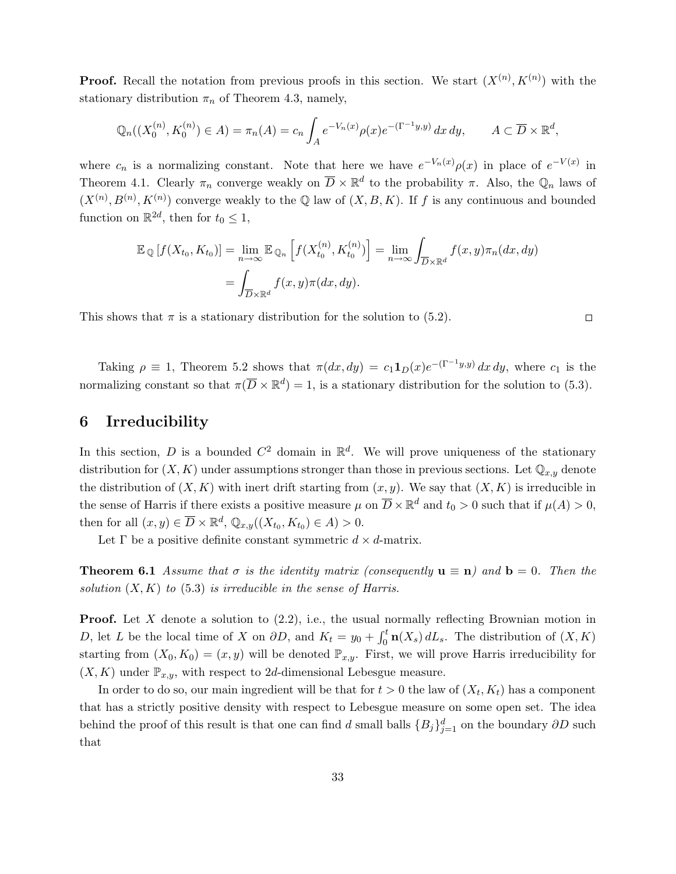**Proof.** Recall the notation from previous proofs in this section. We start  $(X^{(n)}, K^{(n)})$  with the stationary distribution  $\pi_n$  of Theorem 4.3, namely,

$$
\mathbb{Q}_n((X_0^{(n)}, K_0^{(n)}) \in A) = \pi_n(A) = c_n \int_A e^{-V_n(x)} \rho(x) e^{-(\Gamma^{-1}y, y)} dx dy, \qquad A \subset \overline{D} \times \mathbb{R}^d,
$$

where  $c_n$  is a normalizing constant. Note that here we have  $e^{-V_n(x)}\rho(x)$  in place of  $e^{-V(x)}$  in Theorem 4.1. Clearly  $\pi_n$  converge weakly on  $\overline{D} \times \mathbb{R}^d$  to the probability  $\pi$ . Also, the  $\mathbb{Q}_n$  laws of  $(X^{(n)}, B^{(n)}, K^{(n)})$  converge weakly to the Q law of  $(X, B, K)$ . If f is any continuous and bounded function on  $\mathbb{R}^{2d}$ , then for  $t_0 \leq 1$ ,

$$
\mathbb{E}_{\mathbb{Q}}[f(X_{t_0}, K_{t_0})] = \lim_{n \to \infty} \mathbb{E}_{\mathbb{Q}_n} \left[ f(X_{t_0}^{(n)}, K_{t_0}^{(n)}) \right] = \lim_{n \to \infty} \int_{\overline{D} \times \mathbb{R}^d} f(x, y) \pi_n(dx, dy)
$$

$$
= \int_{\overline{D} \times \mathbb{R}^d} f(x, y) \pi(dx, dy).
$$

This shows that  $\pi$  is a stationary distribution for the solution to (5.2).

 $\Box$ 

Taking  $\rho \equiv 1$ , Theorem 5.2 shows that  $\pi(dx, dy) = c_1 \mathbf{1}_D(x) e^{-(\Gamma^{-1}y, y)} dx dy$ , where  $c_1$  is the normalizing constant so that  $\pi(\overline{D} \times \mathbb{R}^d) = 1$ , is a stationary distribution for the solution to (5.3).

# 6 Irreducibility

In this section, D is a bounded  $C^2$  domain in  $\mathbb{R}^d$ . We will prove uniqueness of the stationary distribution for  $(X, K)$  under assumptions stronger than those in previous sections. Let  $\mathbb{Q}_{x,y}$  denote the distribution of  $(X, K)$  with inert drift starting from  $(x, y)$ . We say that  $(X, K)$  is irreducible in the sense of Harris if there exists a positive measure  $\mu$  on  $\overline{D} \times \mathbb{R}^d$  and  $t_0 > 0$  such that if  $\mu(A) > 0$ , then for all  $(x, y) \in \overline{D} \times \mathbb{R}^d$ ,  $\mathbb{Q}_{x,y}((X_{t_0}, K_{t_0}) \in A) > 0$ .

Let  $\Gamma$  be a positive definite constant symmetric  $d \times d$ -matrix.

**Theorem 6.1** Assume that  $\sigma$  is the identity matrix (consequently  $\mathbf{u} \equiv \mathbf{n}$ ) and  $\mathbf{b} = 0$ . Then the solution  $(X, K)$  to  $(5.3)$  is irreducible in the sense of Harris.

**Proof.** Let X denote a solution to  $(2.2)$ , i.e., the usual normally reflecting Brownian motion in D, let L be the local time of X on  $\partial D$ , and  $K_t = y_0 + \int_0^t \mathbf{n}(X_s) dL_s$ . The distribution of  $(X, K)$ starting from  $(X_0, K_0) = (x, y)$  will be denoted  $\mathbb{P}_{x,y}$ . First, we will prove Harris irreducibility for  $(X, K)$  under  $\mathbb{P}_{x,y}$ , with respect to 2d-dimensional Lebesgue measure.

In order to do so, our main ingredient will be that for  $t > 0$  the law of  $(X_t, K_t)$  has a component that has a strictly positive density with respect to Lebesgue measure on some open set. The idea behind the proof of this result is that one can find d small balls  ${B_j}_{j=1}^d$  on the boundary  $\partial D$  such that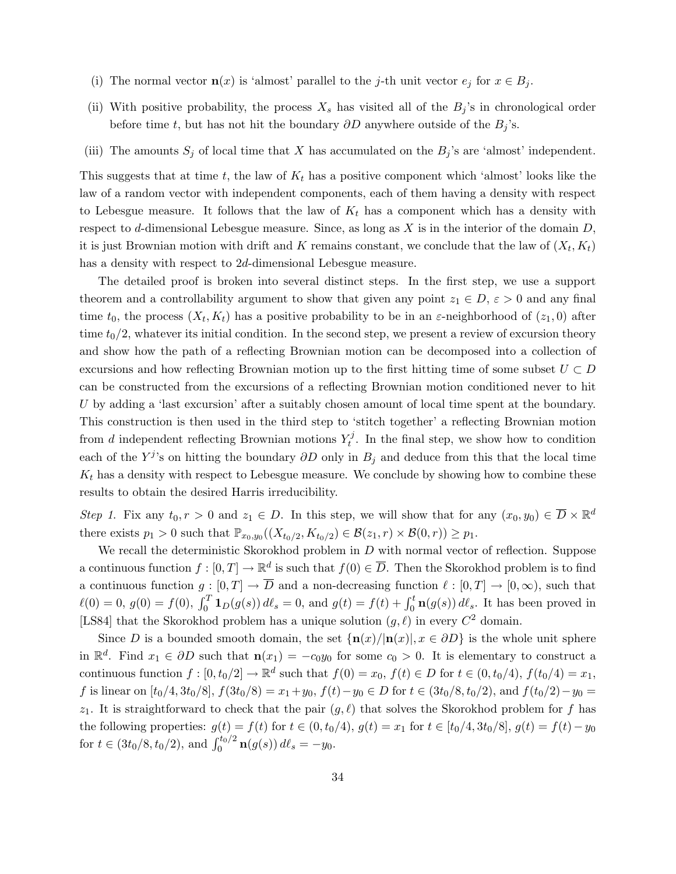- (i) The normal vector  $\mathbf{n}(x)$  is 'almost' parallel to the j-th unit vector  $e_j$  for  $x \in B_j$ .
- (ii) With positive probability, the process  $X_s$  has visited all of the  $B_j$ 's in chronological order before time t, but has not hit the boundary  $\partial D$  anywhere outside of the  $B_j$ 's.
- (iii) The amounts  $S_j$  of local time that X has accumulated on the  $B_j$ 's are 'almost' independent.

This suggests that at time t, the law of  $K_t$  has a positive component which 'almost' looks like the law of a random vector with independent components, each of them having a density with respect to Lebesgue measure. It follows that the law of  $K_t$  has a component which has a density with respect to d-dimensional Lebesgue measure. Since, as long as  $X$  is in the interior of the domain  $D$ , it is just Brownian motion with drift and K remains constant, we conclude that the law of  $(X_t, K_t)$ has a density with respect to 2d-dimensional Lebesgue measure.

The detailed proof is broken into several distinct steps. In the first step, we use a support theorem and a controllability argument to show that given any point  $z_1 \in D$ ,  $\varepsilon > 0$  and any final time  $t_0$ , the process  $(X_t, K_t)$  has a positive probability to be in an  $\varepsilon$ -neighborhood of  $(z_1, 0)$  after time  $t_0/2$ , whatever its initial condition. In the second step, we present a review of excursion theory and show how the path of a reflecting Brownian motion can be decomposed into a collection of excursions and how reflecting Brownian motion up to the first hitting time of some subset  $U \subset D$ can be constructed from the excursions of a reflecting Brownian motion conditioned never to hit U by adding a 'last excursion' after a suitably chosen amount of local time spent at the boundary. This construction is then used in the third step to 'stitch together' a reflecting Brownian motion from d independent reflecting Brownian motions  $Y_t^j$  $t<sub>t</sub><sup>t</sup>$ . In the final step, we show how to condition each of the Y<sup>j</sup>'s on hitting the boundary  $\partial D$  only in  $B_j$  and deduce from this that the local time  $K_t$  has a density with respect to Lebesgue measure. We conclude by showing how to combine these results to obtain the desired Harris irreducibility.

Step 1. Fix any  $t_0, r > 0$  and  $z_1 \in D$ . In this step, we will show that for any  $(x_0, y_0) \in \overline{D} \times \mathbb{R}^d$ there exists  $p_1 > 0$  such that  $\mathbb{P}_{x_0,y_0}((X_{t_0/2}, K_{t_0/2}) \in \mathcal{B}(z_1,r) \times \mathcal{B}(0,r)) \geq p_1$ .

We recall the deterministic Skorokhod problem in  $D$  with normal vector of reflection. Suppose a continuous function  $f: [0, T] \to \mathbb{R}^d$  is such that  $f(0) \in \overline{D}$ . Then the Skorokhod problem is to find a continuous function  $g : [0, T] \to \overline{D}$  and a non-decreasing function  $\ell : [0, T] \to [0, \infty)$ , such that  $\ell(0) = 0, g(0) = f(0), \int_0^T \mathbf{1}_D(g(s)) d\ell_s = 0$ , and  $g(t) = f(t) + \int_0^t \mathbf{n}(g(s)) d\ell_s$ . It has been proved in [LS84] that the Skorokhod problem has a unique solution  $(g, \ell)$  in every  $C^2$  domain.

Since D is a bounded smooth domain, the set  $\{\mathbf{n}(x)/|\mathbf{n}(x)|, x \in \partial D\}$  is the whole unit sphere in  $\mathbb{R}^d$ . Find  $x_1 \in \partial D$  such that  $\mathbf{n}(x_1) = -c_0y_0$  for some  $c_0 > 0$ . It is elementary to construct a continuous function  $f: [0, t_0/2] \to \mathbb{R}^d$  such that  $f(0) = x_0, f(t) \in D$  for  $t \in (0, t_0/4), f(t_0/4) = x_1$ , f is linear on  $[t_0/4, 3t_0/8]$ ,  $f(3t_0/8) = x_1+y_0$ ,  $f(t)-y_0 \in D$  for  $t \in (3t_0/8, t_0/2)$ , and  $f(t_0/2)-y_0 =$  $z_1$ . It is straightforward to check that the pair  $(g, \ell)$  that solves the Skorokhod problem for f has the following properties:  $g(t) = f(t)$  for  $t \in (0, t_0/4)$ ,  $g(t) = x_1$  for  $t \in [t_0/4, 3t_0/8]$ ,  $g(t) = f(t) - y_0$ for  $t \in (3t_0/8, t_0/2)$ , and  $\int_0^{t_0/2} \mathbf{n}(g(s)) d\ell_s = -y_0$ .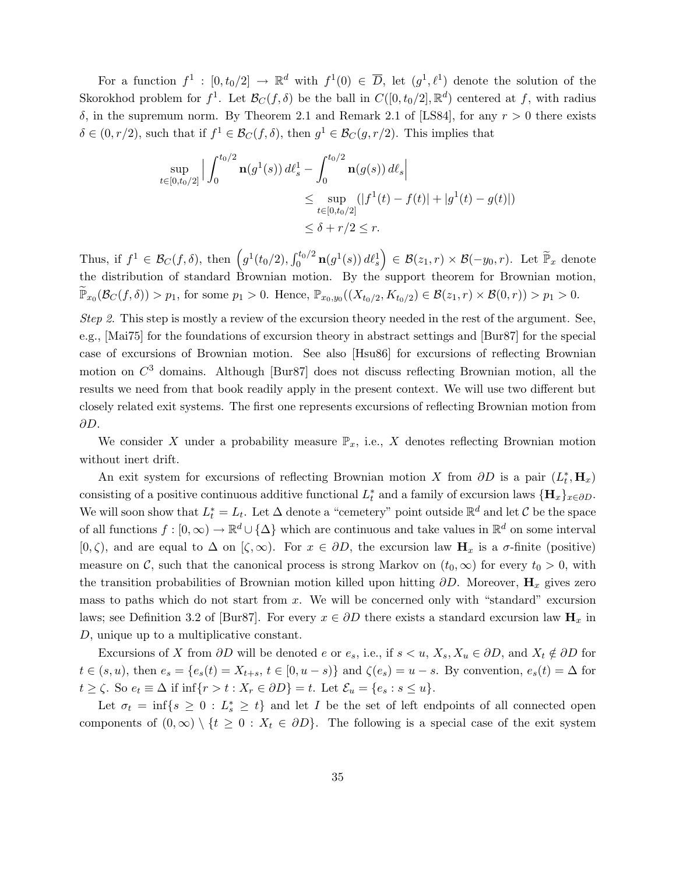For a function  $f^1: [0, t_0/2] \to \mathbb{R}^d$  with  $f^1(0) \in \overline{D}$ , let  $(g^1, \ell^1)$  denote the solution of the Skorokhod problem for  $f^1$ . Let  $\mathcal{B}_C(f,\delta)$  be the ball in  $C([0,t_0/2],\mathbb{R}^d)$  centered at f, with radius  $\delta$ , in the supremum norm. By Theorem 2.1 and Remark 2.1 of [LS84], for any  $r > 0$  there exists  $\delta \in (0, r/2)$ , such that if  $f^1 \in \mathcal{B}_C(f, \delta)$ , then  $g^1 \in \mathcal{B}_C(g, r/2)$ . This implies that

$$
\sup_{t \in [0, t_0/2]} \Big| \int_0^{t_0/2} \mathbf{n}(g^1(s)) d\ell_s^1 - \int_0^{t_0/2} \mathbf{n}(g(s)) d\ell_s \Big|
$$
  
\n
$$
\leq \sup_{t \in [0, t_0/2]} (|f^1(t) - f(t)| + |g^1(t) - g(t)|)
$$
  
\n
$$
\leq \delta + r/2 \leq r.
$$

Thus, if  $f^1 \in \mathcal{B}_C(f,\delta)$ , then  $(g^1(t_0/2), \int_0^{t_0/2} \mathbf{n}(g^1(s)) d\ell_s^1 \bigg) \in \mathcal{B}(z_1,r) \times \mathcal{B}(-y_0,r)$ . Let  $\widetilde{\mathbb{P}}_x$  denote the distribution of standard Brownian motion. By the support theorem for Brownian motion,  $\widetilde{\mathbb{P}}_{x_0}(\mathcal{B}_C(f,\delta)) > p_1$ , for some  $p_1 > 0$ . Hence,  $\mathbb{P}_{x_0,y_0}((X_{t_0/2}, K_{t_0/2}) \in \mathcal{B}(z_1,r) \times \mathcal{B}(0,r)) > p_1 > 0$ .

Step 2. This step is mostly a review of the excursion theory needed in the rest of the argument. See, e.g., [Mai75] for the foundations of excursion theory in abstract settings and [Bur87] for the special case of excursions of Brownian motion. See also [Hsu86] for excursions of reflecting Brownian motion on  $C^3$  domains. Although [Bur87] does not discuss reflecting Brownian motion, all the results we need from that book readily apply in the present context. We will use two different but closely related exit systems. The first one represents excursions of reflecting Brownian motion from ∂D.

We consider X under a probability measure  $\mathbb{P}_x$ , i.e., X denotes reflecting Brownian motion without inert drift.

An exit system for excursions of reflecting Brownian motion X from  $\partial D$  is a pair  $(L_t^*, \mathbf{H}_x)$ consisting of a positive continuous additive functional  $L_t^*$  and a family of excursion laws  ${\{\mathbf H_x\}}_{x \in \partial D}$ . We will soon show that  $L_t^* = L_t$ . Let  $\Delta$  denote a "cemetery" point outside  $\mathbb{R}^d$  and let C be the space of all functions  $f : [0, \infty) \to \mathbb{R}^d \cup {\Delta}$  which are continuous and take values in  $\mathbb{R}^d$  on some interval [0,  $\zeta$ ), and are equal to  $\Delta$  on  $[\zeta, \infty)$ . For  $x \in \partial D$ , the excursion law  $H_x$  is a  $\sigma$ -finite (positive) measure on C, such that the canonical process is strong Markov on  $(t_0, \infty)$  for every  $t_0 > 0$ , with the transition probabilities of Brownian motion killed upon hitting  $\partial D$ . Moreover,  $\mathbf{H}_x$  gives zero mass to paths which do not start from  $x$ . We will be concerned only with "standard" excursion laws; see Definition 3.2 of [Bur87]. For every  $x \in \partial D$  there exists a standard excursion law  $H_x$  in D, unique up to a multiplicative constant.

Excursions of X from  $\partial D$  will be denoted e or  $e_s$ , i.e., if  $s < u$ ,  $X_s$ ,  $X_u \in \partial D$ , and  $X_t \notin \partial D$  for  $t \in (s, u)$ , then  $e_s = \{e_s(t) = X_{t+s}, t \in [0, u - s)\}\$  and  $\zeta(e_s) = u - s$ . By convention,  $e_s(t) = \Delta$  for  $t \ge \zeta$ . So  $e_t \equiv \Delta$  if  $\inf\{r > t : X_r \in \partial D\} = t$ . Let  $\mathcal{E}_u = \{e_s : s \le u\}.$ 

Let  $\sigma_t = \inf\{s \geq 0 : L_s^* \geq t\}$  and let I be the set of left endpoints of all connected open components of  $(0, \infty) \setminus \{t \geq 0 : X_t \in \partial D\}$ . The following is a special case of the exit system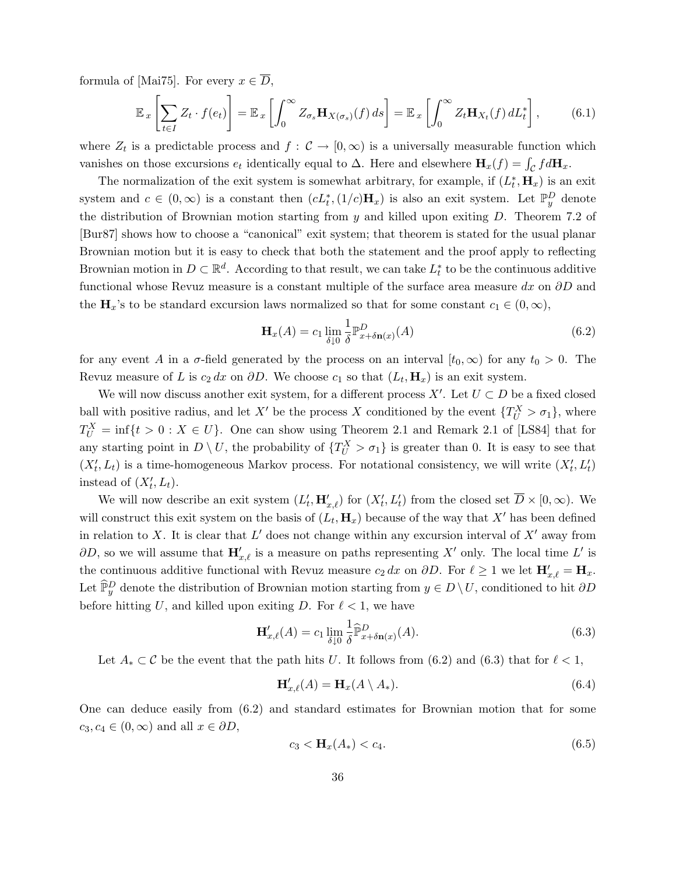formula of [Mai75]. For every  $x \in \overline{D}$ ,

$$
\mathbb{E}_x \left[ \sum_{t \in I} Z_t \cdot f(e_t) \right] = \mathbb{E}_x \left[ \int_0^\infty Z_{\sigma_s} \mathbf{H}_{X(\sigma_s)}(f) \, ds \right] = \mathbb{E}_x \left[ \int_0^\infty Z_t \mathbf{H}_{X_t}(f) \, dL_t^* \right],\tag{6.1}
$$

where  $Z_t$  is a predictable process and  $f: \mathcal{C} \to [0, \infty)$  is a universally measurable function which vanishes on those excursions  $e_t$  identically equal to  $\Delta$ . Here and elsewhere  $\mathbf{H}_x(f) = \int_{\mathcal{C}} f d\mathbf{H}_x$ .

The normalization of the exit system is somewhat arbitrary, for example, if  $(L_t^*, \mathbf{H}_x)$  is an exit system and  $c \in (0,\infty)$  is a constant then  $(cL_t^*, (1/c)H_x)$  is also an exit system. Let  $\mathbb{P}_y^D$  denote the distribution of Brownian motion starting from  $y$  and killed upon exiting  $D$ . Theorem 7.2 of [Bur87] shows how to choose a "canonical" exit system; that theorem is stated for the usual planar Brownian motion but it is easy to check that both the statement and the proof apply to reflecting Brownian motion in  $D \subset \mathbb{R}^d$ . According to that result, we can take  $L_t^*$  to be the continuous additive functional whose Revuz measure is a constant multiple of the surface area measure dx on  $\partial D$  and the  $\mathbf{H}_x$ 's to be standard excursion laws normalized so that for some constant  $c_1 \in (0, \infty)$ ,

$$
\mathbf{H}_x(A) = c_1 \lim_{\delta \downarrow 0} \frac{1}{\delta} \mathbb{P}^D_{x + \delta \mathbf{n}(x)}(A) \tag{6.2}
$$

for any event A in a  $\sigma$ -field generated by the process on an interval  $[t_0, \infty)$  for any  $t_0 > 0$ . The Revuz measure of L is  $c_2 dx$  on  $\partial D$ . We choose  $c_1$  so that  $(L_t, \mathbf{H}_x)$  is an exit system.

We will now discuss another exit system, for a different process  $X'$ . Let  $U \subset D$  be a fixed closed ball with positive radius, and let X' be the process X conditioned by the event  $\{T_U^X > \sigma_1\}$ , where  $T_U^X = \inf\{t > 0 : X \in U\}$ . One can show using Theorem 2.1 and Remark 2.1 of [LS84] that for any starting point in  $D \setminus U$ , the probability of  $\{T_U^X > \sigma_1\}$  is greater than 0. It is easy to see that  $(X'_t, L_t)$  is a time-homogeneous Markov process. For notational consistency, we will write  $(X'_t, L'_t)$ instead of  $(X'_t, L_t)$ .

We will now describe an exit system  $(L'_t, \mathbf{H}'_{x,\ell})$  for  $(X'_t, L'_t)$  from the closed set  $\overline{D} \times [0, \infty)$ . We will construct this exit system on the basis of  $(L_t, \mathbf{H}_x)$  because of the way that X' has been defined in relation to X. It is clear that  $L'$  does not change within any excursion interval of  $X'$  away from  $\partial D$ , so we will assume that  $\mathbf{H}'_{x,\ell}$  is a measure on paths representing X' only. The local time L' is the continuous additive functional with Revuz measure  $c_2 dx$  on  $\partial D$ . For  $\ell \geq 1$  we let  $\mathbf{H}'_{x,\ell} = \mathbf{H}_x$ . Let  $\widehat{\mathbb{P}}_y^D$  denote the distribution of Brownian motion starting from  $y \in D \setminus U$ , conditioned to hit  $\partial D$ before hitting U, and killed upon exiting D. For  $\ell < 1$ , we have

$$
\mathbf{H}'_{x,\ell}(A) = c_1 \lim_{\delta \downarrow 0} \frac{1}{\delta} \widehat{\mathbb{P}}_{x+\delta \mathbf{n}(x)}^D(A). \tag{6.3}
$$

Let  $A_* \subset \mathcal{C}$  be the event that the path hits U. It follows from (6.2) and (6.3) that for  $\ell < 1$ ,

$$
\mathbf{H}'_{x,\ell}(A) = \mathbf{H}_x(A \setminus A_*). \tag{6.4}
$$

One can deduce easily from (6.2) and standard estimates for Brownian motion that for some  $c_3, c_4 \in (0, \infty)$  and all  $x \in \partial D$ ,

$$
c_3 < \mathbf{H}_x(A_*) < c_4. \tag{6.5}
$$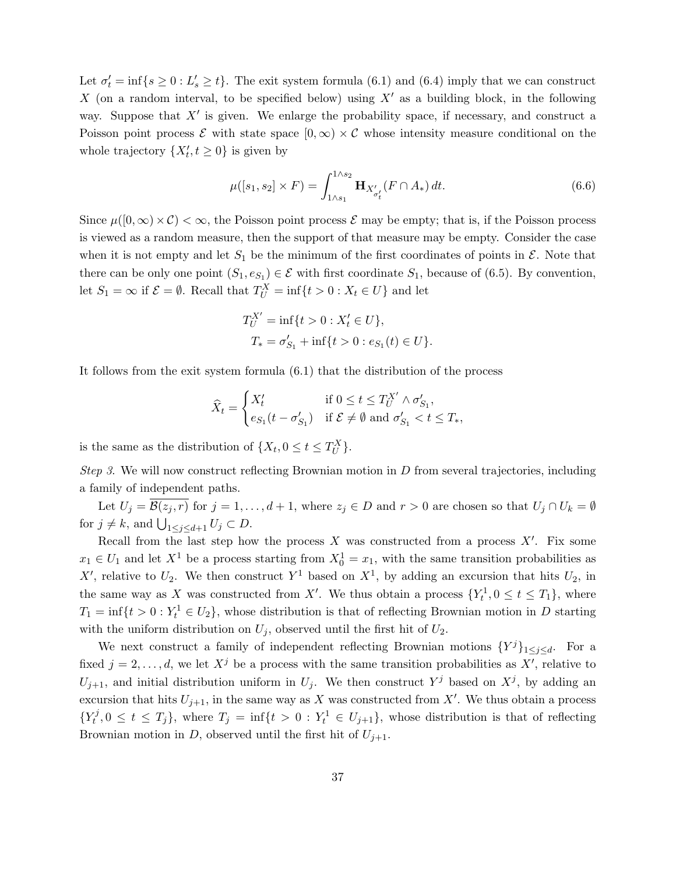Let  $\sigma'_t = \inf\{s \geq 0 : L'_s \geq t\}$ . The exit system formula (6.1) and (6.4) imply that we can construct X (on a random interval, to be specified below) using  $X'$  as a building block, in the following way. Suppose that  $X'$  is given. We enlarge the probability space, if necessary, and construct a Poisson point process  $\mathcal E$  with state space  $[0,\infty) \times \mathcal C$  whose intensity measure conditional on the whole trajectory  $\{X'_t, t \geq 0\}$  is given by

$$
\mu([s_1, s_2] \times F) = \int_{1 \wedge s_1}^{1 \wedge s_2} \mathbf{H}_{X'_{\sigma'_t}}(F \cap A_*) dt.
$$
\n(6.6)

Since  $\mu([0,\infty)\times\mathcal{C})<\infty$ , the Poisson point process  $\mathcal E$  may be empty; that is, if the Poisson process is viewed as a random measure, then the support of that measure may be empty. Consider the case when it is not empty and let  $S_1$  be the minimum of the first coordinates of points in  $\mathcal{E}$ . Note that there can be only one point  $(S_1, e_{S_1}) \in \mathcal{E}$  with first coordinate  $S_1$ , because of (6.5). By convention, let  $S_1 = \infty$  if  $\mathcal{E} = \emptyset$ . Recall that  $T_V^X = \inf\{t > 0 : X_t \in U\}$  and let

$$
T_U^{X'} = \inf\{t > 0 : X'_t \in U\},\
$$
  

$$
T_* = \sigma'_{S_1} + \inf\{t > 0 : e_{S_1}(t) \in U\}.
$$

It follows from the exit system formula (6.1) that the distribution of the process

$$
\widehat{X}_t = \begin{cases} X'_t & \text{if } 0 \le t \le T_U^{X'} \wedge \sigma'_{S_1}, \\ e_{S_1}(t - \sigma'_{S_1}) & \text{if } \mathcal{E} \ne \emptyset \text{ and } \sigma'_{S_1} < t \le T_*, \end{cases}
$$

is the same as the distribution of  $\{X_t, 0 \le t \le T_U^X\}$ .

*Step 3.* We will now construct reflecting Brownian motion in  $D$  from several trajectories, including a family of independent paths.

Let  $U_j = \overline{\mathcal{B}(z_j, r)}$  for  $j = 1, \ldots, d + 1$ , where  $z_j \in D$  and  $r > 0$  are chosen so that  $U_j \cap U_k = \emptyset$ for  $j \neq k$ , and  $\bigcup_{1 \leq j \leq d+1} U_j \subset D$ .

Recall from the last step how the process  $X$  was constructed from a process  $X'$ . Fix some  $x_1 \in U_1$  and let  $X^1$  be a process starting from  $X_0^1 = x_1$ , with the same transition probabilities as X', relative to  $U_2$ . We then construct Y<sup>1</sup> based on  $X^1$ , by adding an excursion that hits  $U_2$ , in the same way as X was constructed from X'. We thus obtain a process  $\{Y_t^1, 0 \le t \le T_1\}$ , where  $T_1 = \inf\{t > 0 : Y_t^1 \in U_2\}$ , whose distribution is that of reflecting Brownian motion in D starting with the uniform distribution on  $U_j$ , observed until the first hit of  $U_2$ .

We next construct a family of independent reflecting Brownian motions  ${Y^{j}}_{1\leq j\leq d}$ . For a fixed  $j = 2, \ldots, d$ , we let  $X^{j}$  be a process with the same transition probabilities as  $X'$ , relative to  $U_{j+1}$ , and initial distribution uniform in  $U_j$ . We then construct  $Y^j$  based on  $X^j$ , by adding an excursion that hits  $U_{j+1}$ , in the same way as X was constructed from X'. We thus obtain a process  $\{Y_t^j$  $\{f_t^j, 0 \le t \le T_j\},\$  where  $T_j = \inf\{t > 0 : Y_t^1 \in U_{j+1}\}\$ , whose distribution is that of reflecting Brownian motion in D, observed until the first hit of  $U_{j+1}$ .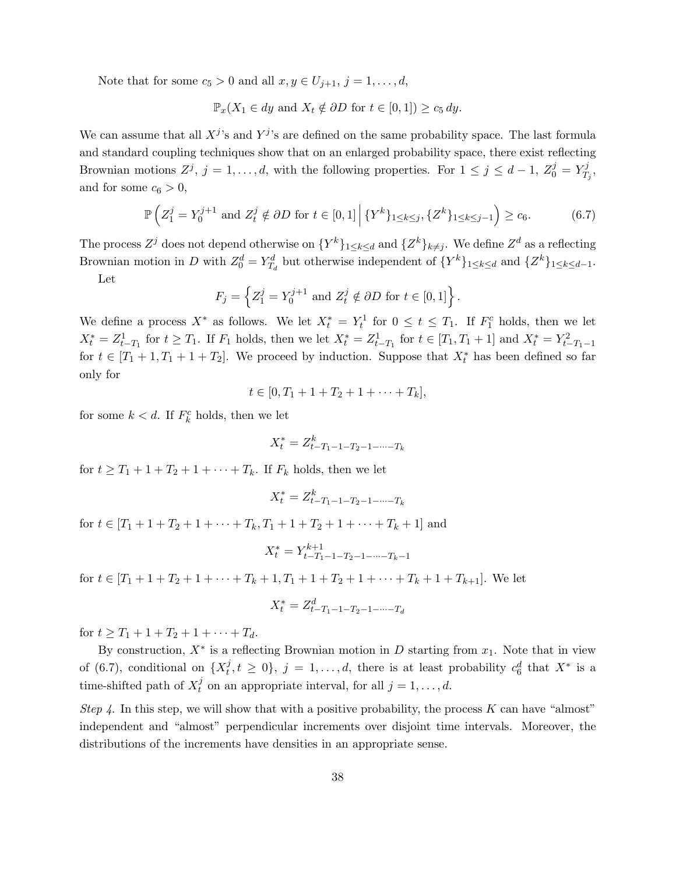Note that for some  $c_5 > 0$  and all  $x, y \in U_{j+1}, j = 1, \ldots, d$ ,

$$
\mathbb{P}_x(X_1 \in dy \text{ and } X_t \notin \partial D \text{ for } t \in [0,1]) \ge c_5 dy.
$$

We can assume that all  $X^j$ 's and  $Y^j$ 's are defined on the same probability space. The last formula and standard coupling techniques show that on an enlarged probability space, there exist reflecting Brownian motions  $Z^j$ ,  $j = 1, ..., d$ , with the following properties. For  $1 \leq j \leq d-1$ ,  $Z_0^j = Y_T^j$  $\stackrel{\cdot j}{T_j},$ and for some  $c_6 > 0$ ,

$$
\mathbb{P}\left(Z_1^j = Y_0^{j+1} \text{ and } Z_t^j \notin \partial D \text{ for } t \in [0,1] \, \Big| \, \{Y^k\}_{1 \le k \le j}, \{Z^k\}_{1 \le k \le j-1}\right) \ge c_6. \tag{6.7}
$$

The process  $Z^j$  does not depend otherwise on  $\{Y^k\}_{1\leq k\leq d}$  and  $\{Z^k\}_{k\neq j}$ . We define  $Z^d$  as a reflecting Brownian motion in D with  $Z_0^d = Y_{T_d}^d$  but otherwise independent of  $\{Y^k\}_{1 \leq k \leq d}$  and  $\{Z^k\}_{1 \leq k \leq d-1}$ . Let

$$
F_j = \left\{ Z_1^j = Y_0^{j+1} \text{ and } Z_t^j \notin \partial D \text{ for } t \in [0,1] \right\}.
$$

We define a process  $X^*$  as follows. We let  $X_t^* = Y_t^1$  for  $0 \le t \le T_1$ . If  $F_1^c$  holds, then we let  $X_t^* = Z_{t-T_1}^1$  for  $t \geq T_1$ . If  $F_1$  holds, then we let  $X_t^* = Z_{t-T_1}^1$  for  $t \in [T_1, T_1 + 1]$  and  $X_t^* = Y_{t-T_1-1}^2$ for  $t \in [T_1 + 1, T_1 + 1 + T_2]$ . We proceed by induction. Suppose that  $X_t^*$  has been defined so far only for

$$
t \in [0, T_1 + 1 + T_2 + 1 + \cdots + T_k],
$$

for some  $k < d$ . If  $F_k^c$  holds, then we let

$$
X_t^* = Z_{t-T_1-1-T_2-1-\cdots-T_k}^k
$$

for  $t \geq T_1 + 1 + T_2 + 1 + \cdots + T_k$ . If  $F_k$  holds, then we let

$$
X_t^* = Z_{t-T_1-1-T_2-1-\cdots-T_k}^k
$$

for  $t \in [T_1 + 1 + T_2 + 1 + \cdots + T_k, T_1 + 1 + T_2 + 1 + \cdots + T_k + 1]$  and

$$
X_t^* = Y_{t-T_1-1-T_2-1-\cdots-T_k-1}^{k+1}
$$

for  $t \in [T_1 + 1 + T_2 + 1 + \cdots + T_k + 1, T_1 + 1 + T_2 + 1 + \cdots + T_k + 1 + T_{k+1}].$  We let

$$
X_t^* = Z_{t-T_1-1-T_2-1-\cdots-T_d}^d
$$

for  $t > T_1 + 1 + T_2 + 1 + \cdots + T_d$ .

By construction,  $X^*$  is a reflecting Brownian motion in D starting from  $x_1$ . Note that in view of (6.7), conditional on  $\{X_t^j\}$  $t, t \geq 0$ ,  $j = 1, ..., d$ , there is at least probability  $c_6^d$  that  $X^*$  is a time-shifted path of  $X_t^j$  $t_i^j$  on an appropriate interval, for all  $j = 1, ..., d$ .

Step 4. In this step, we will show that with a positive probability, the process  $K$  can have "almost" independent and "almost" perpendicular increments over disjoint time intervals. Moreover, the distributions of the increments have densities in an appropriate sense.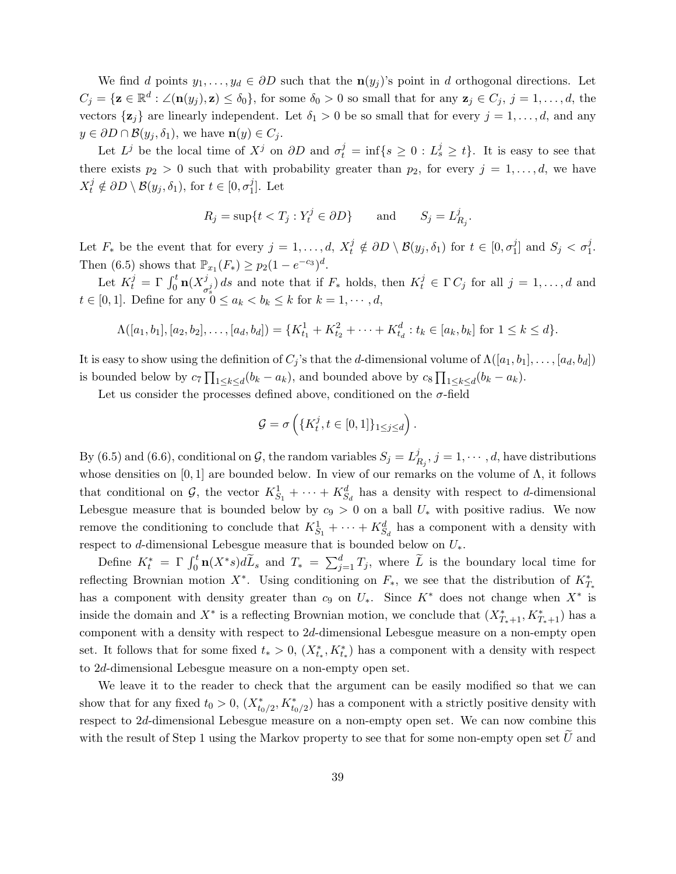We find d points  $y_1, \ldots, y_d \in \partial D$  such that the  $\mathbf{n}(y_j)$ 's point in d orthogonal directions. Let  $C_j = {\mathbf{z} \in \mathbb{R}^d : \angle(\mathbf{n}(y_j), \mathbf{z}) \le \delta_0},$  for some  $\delta_0 > 0$  so small that for any  $\mathbf{z}_j \in C_j$ ,  $j = 1, \ldots, d$ , the vectors  $\{z_j\}$  are linearly independent. Let  $\delta_1 > 0$  be so small that for every  $j = 1, \ldots, d$ , and any  $y \in \partial D \cap \mathcal{B}(y_i, \delta_1)$ , we have  $\mathbf{n}(y) \in C_i$ .

Let  $L^j$  be the local time of  $X^j$  on  $\partial D$  and  $\sigma_t^j = \inf\{s \geq 0 : L^j_s \geq t\}$ . It is easy to see that there exists  $p_2 > 0$  such that with probability greater than  $p_2$ , for every  $j = 1, \ldots, d$ , we have  $X_t^j \notin \partial D \setminus \mathcal{B}(y_j, \delta_1)$ , for  $t \in [0, \sigma_1^j]$  $_{1}^{j}$ ]. Let

$$
R_j = \sup\{t < T_j : Y_t^j \in \partial D\} \qquad \text{and} \qquad S_j = L_{R_j}^j
$$

.

Let  $F_*$  be the event that for every  $j = 1, \ldots, d$ ,  $X_t^j \notin \partial D \setminus \mathcal{B}(y_j, \delta_1)$  for  $t \in [0, \sigma_1^j]$  $j_1^j$  and  $S_j < \sigma_1^j$ . Then (6.5) shows that  $\mathbb{P}_{x_1}(F_*) \ge p_2(1 - e^{-c_3})^d$ .

Let  $K_t^j = \Gamma \int_0^t \mathbf{n}(X_\sigma^j)$  $\int_{\sigma_s^j}^{j} ds$  and note that if  $F_*$  holds, then  $K_t^j \in \Gamma C_j$  for all  $j = 1, ..., d$  and  $t \in [0, 1]$ . Define for any  $0 \le a_k < b_k \le k$  for  $k = 1, \dots, d$ ,

$$
\Lambda([a_1,b_1],[a_2,b_2],\ldots,[a_d,b_d]) = \{K_{t_1}^1 + K_{t_2}^2 + \cdots + K_{t_d}^d : t_k \in [a_k,b_k] \text{ for } 1 \leq k \leq d\}.
$$

It is easy to show using the definition of  $C_j$ 's that the d-dimensional volume of  $\Lambda([a_1, b_1], \ldots, [a_d, b_d])$ is bounded below by  $c_7 \prod_{1 \leq k \leq d} (b_k - a_k)$ , and bounded above by  $c_8 \prod_{1 \leq k \leq d} (b_k - a_k)$ .

Let us consider the processes defined above, conditioned on the  $\sigma$ -field

$$
\mathcal{G} = \sigma\left(\{K_t^j, t \in [0, 1]\}_{1 \le j \le d}\right)
$$

.

By (6.5) and (6.6), conditional on  $\mathcal{G}$ , the random variables  $S_j = L_j^j$  $\mathcal{L}_{R_j}^j, j=1,\cdots,d,$  have distributions whose densities on  $[0, 1]$  are bounded below. In view of our remarks on the volume of  $\Lambda$ , it follows that conditional on G, the vector  $K_{S_1}^1 + \cdots + K_{S_d}^d$  has a density with respect to d-dimensional Lebesgue measure that is bounded below by  $c_9 > 0$  on a ball  $U_*$  with positive radius. We now remove the conditioning to conclude that  $K_{S_1}^1 + \cdots + K_{S_d}^d$  has a component with a density with respect to d-dimensional Lebesgue measure that is bounded below on  $U_*$ .

Define  $K_t^* = \Gamma \int_0^t \mathbf{n}(X^*s) d\tilde{L}_s$  and  $T_* = \sum_{j=1}^d T_j$ , where  $\tilde{L}$  is the boundary local time for reflecting Brownian motion  $X^*$ . Using conditioning on  $F_*$ , we see that the distribution of  $K_{T_*}^*$ has a component with density greater than  $c_9$  on  $U_*$ . Since  $K^*$  does not change when  $X^*$  is inside the domain and  $X^*$  is a reflecting Brownian motion, we conclude that  $(X^*_{T_*+1}, K^*_{T_*+1})$  has a component with a density with respect to 2d-dimensional Lebesgue measure on a non-empty open set. It follows that for some fixed  $t_* > 0$ ,  $(X_{t_*}^*, K_{t_*}^*)$  has a component with a density with respect to 2d-dimensional Lebesgue measure on a non-empty open set.

We leave it to the reader to check that the argument can be easily modified so that we can show that for any fixed  $t_0 > 0$ ,  $(X_{t_0/2}^*, K_{t_0/2}^*)$  has a component with a strictly positive density with respect to 2d-dimensional Lebesgue measure on a non-empty open set. We can now combine this with the result of Step 1 using the Markov property to see that for some non-empty open set  $\overline{U}$  and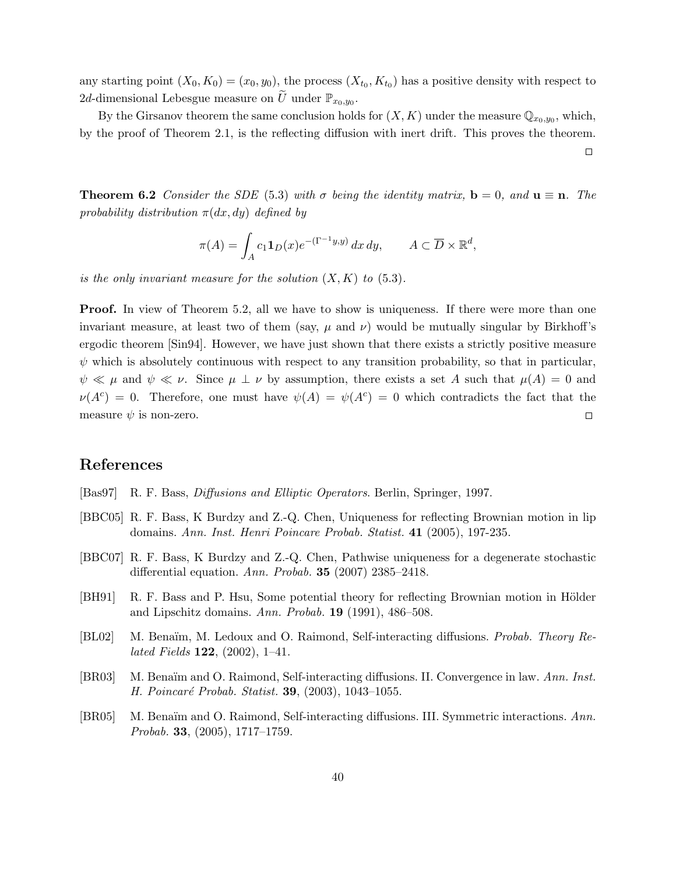any starting point  $(X_0, K_0) = (x_0, y_0)$ , the process  $(X_{t_0}, K_{t_0})$  has a positive density with respect to 2d-dimensional Lebesgue measure on  $\widetilde{U}$  under  $\mathbb{P}_{x_0,y_0}$ .

By the Girsanov theorem the same conclusion holds for  $(X, K)$  under the measure  $\mathbb{Q}_{x_0, y_0}$ , which, by the proof of Theorem 2.1, is the reflecting diffusion with inert drift. This proves the theorem.

 $\Box$ 

**Theorem 6.2** Consider the SDE (5.3) with  $\sigma$  being the identity matrix,  $\mathbf{b} = 0$ , and  $\mathbf{u} \equiv \mathbf{n}$ . The probability distribution  $\pi(dx, dy)$  defined by

$$
\pi(A) = \int_A c_1 \mathbf{1}_D(x) e^{-(\Gamma^{-1}y, y)} dx dy, \qquad A \subset \overline{D} \times \mathbb{R}^d,
$$

is the only invariant measure for the solution  $(X, K)$  to  $(5.3)$ .

**Proof.** In view of Theorem 5.2, all we have to show is uniqueness. If there were more than one invariant measure, at least two of them (say,  $\mu$  and  $\nu$ ) would be mutually singular by Birkhoff's ergodic theorem [Sin94]. However, we have just shown that there exists a strictly positive measure  $\psi$  which is absolutely continuous with respect to any transition probability, so that in particular,  $\psi \ll \mu$  and  $\psi \ll \nu$ . Since  $\mu \perp \nu$  by assumption, there exists a set A such that  $\mu(A) = 0$  and  $\nu(A^c) = 0$ . Therefore, one must have  $\psi(A) = \psi(A^c) = 0$  which contradicts the fact that the measure  $\psi$  is non-zero.  $\Box$ 

# References

- [Bas97] R. F. Bass, Diffusions and Elliptic Operators. Berlin, Springer, 1997.
- [BBC05] R. F. Bass, K Burdzy and Z.-Q. Chen, Uniqueness for reflecting Brownian motion in lip domains. Ann. Inst. Henri Poincare Probab. Statist. 41 (2005), 197-235.
- [BBC07] R. F. Bass, K Burdzy and Z.-Q. Chen, Pathwise uniqueness for a degenerate stochastic differential equation. Ann. Probab. 35 (2007) 2385–2418.
- [BH91] R. F. Bass and P. Hsu, Some potential theory for reflecting Brownian motion in Hölder and Lipschitz domains. Ann. Probab. 19 (1991), 486–508.
- [BL02] M. Benaïm, M. Ledoux and O. Raimond, Self-interacting diffusions. Probab. Theory Re*lated Fields*  $122$ ,  $(2002)$ ,  $1-41$ .
- [BR03] M. Benaïm and O. Raimond, Self-interacting diffusions. II. Convergence in law. Ann. Inst. H. Poincaré Probab. Statist. 39, (2003), 1043-1055.
- [BR05] M. Benaïm and O. Raimond, Self-interacting diffusions. III. Symmetric interactions. Ann. Probab. 33,  $(2005)$ , 1717–1759.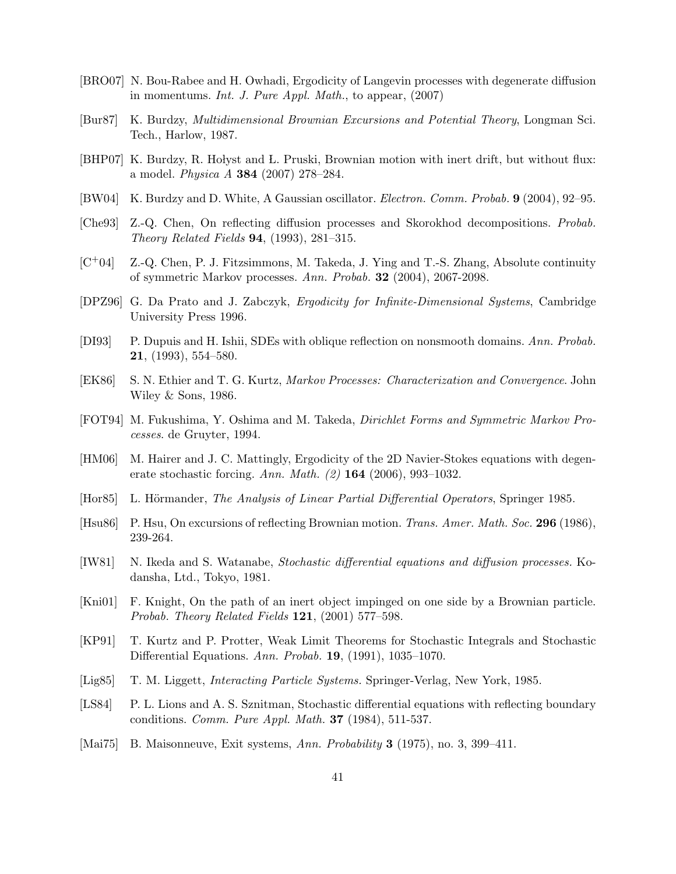- [BRO07] N. Bou-Rabee and H. Owhadi, Ergodicity of Langevin processes with degenerate diffusion in momentums. Int. J. Pure Appl. Math., to appear, (2007)
- [Bur87] K. Burdzy, Multidimensional Brownian Excursions and Potential Theory, Longman Sci. Tech., Harlow, 1987.
- [BHP07] K. Burdzy, R. Holyst and L. Pruski, Brownian motion with inert drift, but without flux: a model. *Physica A* **384** (2007) 278-284.
- [BW04] K. Burdzy and D. White, A Gaussian oscillator. Electron. Comm. Probab. 9 (2004), 92–95.
- [Che93] Z.-Q. Chen, On reflecting diffusion processes and Skorokhod decompositions. Probab. Theory Related Fields 94, (1993), 281–315.
- $[C+04]$  Z.-Q. Chen, P. J. Fitzsimmons, M. Takeda, J. Ying and T.-S. Zhang, Absolute continuity of symmetric Markov processes. Ann. Probab. 32 (2004), 2067-2098.
- [DPZ96] G. Da Prato and J. Zabczyk, Ergodicity for Infinite-Dimensional Systems, Cambridge University Press 1996.
- [DI93] P. Dupuis and H. Ishii, SDEs with oblique reflection on nonsmooth domains. Ann. Probab. 21, (1993), 554–580.
- [EK86] S. N. Ethier and T. G. Kurtz, Markov Processes: Characterization and Convergence. John Wiley & Sons, 1986.
- [FOT94] M. Fukushima, Y. Oshima and M. Takeda, Dirichlet Forms and Symmetric Markov Processes. de Gruyter, 1994.
- [HM06] M. Hairer and J. C. Mattingly, Ergodicity of the 2D Navier-Stokes equations with degenerate stochastic forcing. Ann. Math. (2) 164 (2006), 993–1032.
- [Hor85] L. Hörmander, The Analysis of Linear Partial Differential Operators, Springer 1985.
- [Hsu86] P. Hsu, On excursions of reflecting Brownian motion. Trans. Amer. Math. Soc. 296 (1986), 239-264.
- [IW81] N. Ikeda and S. Watanabe, Stochastic differential equations and diffusion processes. Kodansha, Ltd., Tokyo, 1981.
- [Kni01] F. Knight, On the path of an inert object impinged on one side by a Brownian particle. Probab. Theory Related Fields  $121, (2001)$  577–598.
- [KP91] T. Kurtz and P. Protter, Weak Limit Theorems for Stochastic Integrals and Stochastic Differential Equations. Ann. Probab. 19, (1991), 1035–1070.
- [Lig85] T. M. Liggett, Interacting Particle Systems. Springer-Verlag, New York, 1985.
- [LS84] P. L. Lions and A. S. Sznitman, Stochastic differential equations with reflecting boundary conditions. Comm. Pure Appl. Math. 37 (1984), 511-537.
- [Mai75] B. Maisonneuve, Exit systems, Ann. Probability 3 (1975), no. 3, 399–411.